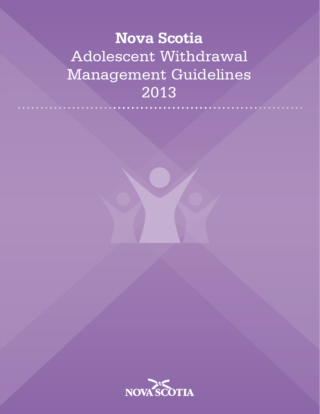# **Nova Scotia** Adolescent Withdrawal Management Guidelines 2013

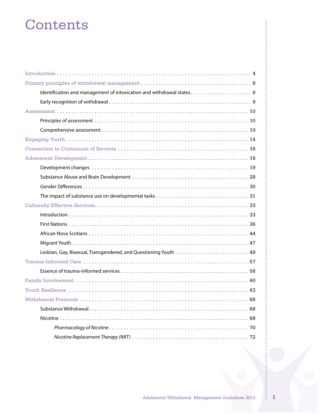# Contents

| 68<br>Withdrawal Protocols |
|----------------------------|
|                            |
|                            |
|                            |
|                            |
|                            |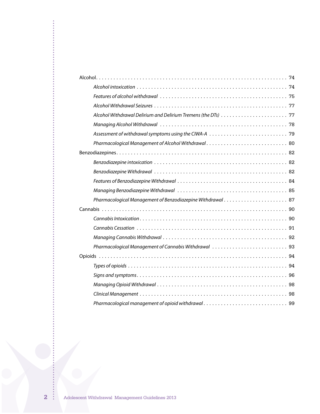| Pharmacological Management of Benzodiazepine Withdrawal 87 |
|------------------------------------------------------------|
|                                                            |
|                                                            |
|                                                            |
|                                                            |
|                                                            |
|                                                            |
|                                                            |
|                                                            |
|                                                            |
|                                                            |
|                                                            |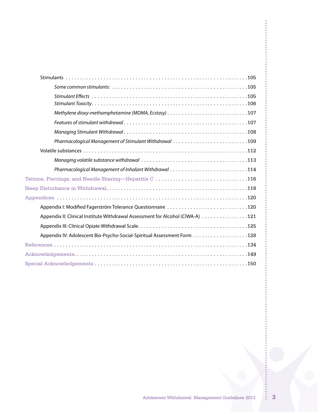$\frac{1}{2}$ 

 $\frac{1}{2}$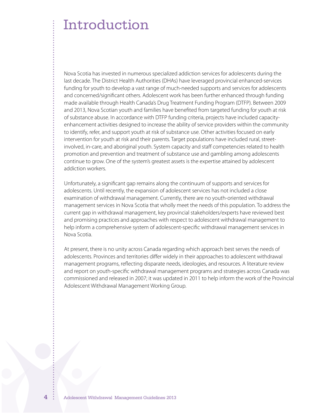Nova Scotia has invested in numerous specialized addiction services for adolescents during the last decade. The District Health Authorities (DHAs) have leveraged provincial enhanced-services funding for youth to develop a vast range of much-needed supports and services for adolescents and concerned/significant others. Adolescent work has been further enhanced through funding made available through Health Canada's Drug Treatment Funding Program (DTFP). Between 2009 and 2013, Nova Scotian youth and families have benefited from targeted funding for youth at risk of substance abuse. In accordance with DTFP funding criteria, projects have included capacityenhancement activities designed to increase the ability of service providers within the community to identify, refer, and support youth at risk of substance use. Other activities focused on early intervention for youth at risk and their parents. Target populations have included rural, streetinvolved, in-care, and aboriginal youth. System capacity and staff competencies related to health promotion and prevention and treatment of substance use and gambling among adolescents continue to grow. One of the system's greatest assets is the expertise attained by adolescent addiction workers.

Unfortunately, a significant gap remains along the continuum of supports and services for adolescents. Until recently, the expansion of adolescent services has not included a close examination of withdrawal management. Currently, there are no youth-oriented withdrawal management services in Nova Scotia that wholly meet the needs of this population. To address the current gap in withdrawal management, key provincial stakeholders/experts have reviewed best and promising practices and approaches with respect to adolescent withdrawal management to help inform a comprehensive system of adolescent-specific withdrawal management services in Nova Scotia.

At present, there is no unity across Canada regarding which approach best serves the needs of adolescents. Provinces and territories differ widely in their approaches to adolescent withdrawal management programs, reflecting disparate needs, ideologies, and resources. A literature review and report on youth-specific withdrawal management programs and strategies across Canada was commissioned and released in 2007; it was updated in 2011 to help inform the work of the Provincial Adolescent Withdrawal Management Working Group.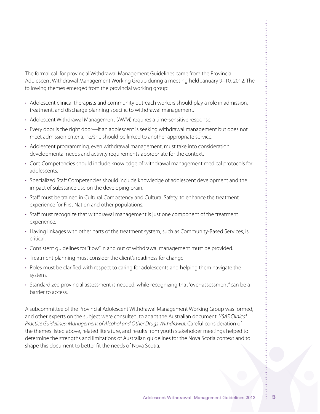The formal call for provincial Withdrawal Management Guidelines came from the Provincial Adolescent Withdrawal Management Working Group during a meeting held January 9–10, 2012. The following themes emerged from the provincial working group:

- Adolescent clinical therapists and community outreach workers should play a role in admission, treatment, and discharge planning specific to withdrawal management.
- • Adolescent Withdrawal Management (AWM) requires a time-sensitive response.
- Every door is the right door—if an adolescent is seeking withdrawal management but does not meet admission criteria, he/she should be linked to another appropriate service.
- Adolescent programming, even withdrawal management, must take into consideration developmental needs and activity requirements appropriate for the context.
- Core Competencies should include knowledge of withdrawal management medical protocols for adolescents.
- • Specialized Staff Competencies should include knowledge of adolescent development and the impact of substance use on the developing brain.
- • Staff must be trained in Cultural Competency and Cultural Safety, to enhance the treatment experience for First Nation and other populations.
- • Staff must recognize that withdrawal management is just one component of the treatment experience.
- Having linkages with other parts of the treatment system, such as Community-Based Services, is critical.
- • Consistent guidelines for"flow"in and out of withdrawal management must be provided.
- Treatment planning must consider the client's readiness for change.
- • Roles must be clarified with respect to caring for adolescents and helping them navigate the system.
- Standardized provincial assessment is needed, while recognizing that "over-assessment" can be a barrier to access.

A subcommittee of the Provincial Adolescent Withdrawal Management Working Group was formed, and other experts on the subject were consulted, to adapt the Australian document *YSAS Clinical Practice Guidelines: Management of Alcohol and Other Drugs Withdrawal*. Careful consideration of the themes listed above, related literature, and results from youth stakeholder meetings helped to determine the strengths and limitations of Australian guidelines for the Nova Scotia context and to shape this document to better fit the needs of Nova Scotia.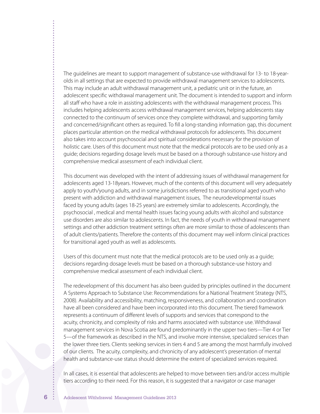The guidelines are meant to support management of substance-use withdrawal for 13- to 18-yearolds in all settings that are expected to provide withdrawal management services to adolescents. This may include an adult withdrawal management unit, a pediatric unit or in the future, an adolescent specific withdrawal management unit. The document is intended to support and inform all staff who have a role in assisting adolescents with the withdrawal management process. This includes helping adolescents access withdrawal management services, helping adolescents stay connected to the continuum of services once they complete withdrawal, and supporting family and concerned/significant others as required. To fill a long-standing information gap, this document places particular attention on the medical withdrawal protocols for adolescents. This document also takes into account psychosocial and spiritual considerations necessary for the provision of holistic care. Users of this document must note that the medical protocols are to be used only as a guide; decisions regarding dosage levels must be based on a thorough substance-use history and comprehensive medical assessment of each individual client.

This document was developed with the intent of addressing issues of withdrawal management for adolescents aged 13-18years. However, much of the contents of this document will very adequately apply to youth/young adults, and in some jurisdictions referred to as transitional aged youth who present with addiction and withdrawal management issues, The neurodevelopmental issues faced by young adults (ages 18-25 years) are extremely similar to adolescents. Accordingly, the psychosocial , medical and mental health issues facing young adults with alcohol and substance use disorders are also similar to adolescents. In fact, the needs of youth in withdrawal management settings and other addiction treatment settings often are more similar to those of adolescents than of adult clients/patients. Therefore the contents of this document may well inform clinical practices for transitional aged youth as well as adolescents.

Users of this document must note that the medical protocols are to be used only as a guide; decisions regarding dosage levels must be based on a thorough substance-use history and comprehensive medical assessment of each individual client.

The redevelopment of this document has also been guided by principles outlined in the document A Systems Approach to Substance Use: Recommendations for a National Treatment Strategy (NTS, 2008). Availability and accessibility, matching, responsiveness, and collaboration and coordination have all been considered and have been incorporated into this document. The tiered framework represents a continuum of different levels of supports and services that correspond to the acuity, chronicity, and complexity of risks and harms associated with substance use. Withdrawal management services in Nova Scotia are found predominantly in the upper two tiers—Tier 4 or Tier 5—of the framework as described in the NTS, and involve more intensive, specialized services than the lower three tiers. Clients seeking services in tiers 4 and 5 are among the most harmfully involved of our clients. The acuity, complexity, and chronicity of any adolescent's presentation of mental health and substance-use status should determine the extent of specialized services required.

In all cases, it is essential that adolescents are helped to move between tiers and/or access multiple tiers according to their need. For this reason, it is suggested that a navigator or case manager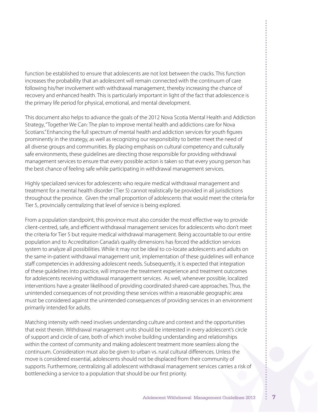function be established to ensure that adolescents are not lost between the cracks. This function increases the probability that an adolescent will remain connected with the continuum of care following his/her involvement with withdrawal management, thereby increasing the chance of recovery and enhanced health. This is particularly important in light of the fact that adolescence is the primary life period for physical, emotional, and mental development.

This document also helps to advance the goals of the 2012 Nova Scotia Mental Health and Addiction Strategy,"Together We Can: The plan to improve mental health and addictions care for Nova Scotians." Enhancing the full spectrum of mental health and addiction services for youth figures prominently in the strategy, as well as recognizing our responsibility to better meet the need of all diverse groups and communities. By placing emphasis on cultural competency and culturally safe environments, these guidelines are directing those responsible for providing withdrawal management services to ensure that every possible action is taken so that every young person has the best chance of feeling safe while participating in withdrawal management services.

Highly specialized services for adolescents who require medical withdrawal management and treatment for a mental health disorder (Tier 5) cannot realistically be provided in all jurisdictions throughout the province. Given the small proportion of adolescents that would meet the criteria for Tier 5, provincially centralizing that level of service is being explored.

From a population standpoint, this province must also consider the most effective way to provide client-centred, safe, and efficient withdrawal management services for adolescents who don't meet the criteria for Tier 5 but require medical withdrawal management. Being accountable to our entire population and to Accreditation Canada's quality dimensions has forced the addiction services system to analyze all possibilities. While it may not be ideal to co-locate adolescents and adults on the same in-patient withdrawal management unit, implementation of these guidelines will enhance staff competencies in addressing adolescent needs. Subsequently, it is expected that integration of these guidelines into practice, will improve the treatment experience and treatment outcomes for adolescents receiving withdrawal management services. As well, whenever possible, localized interventions have a greater likelihood of providing coordinated shared-care approaches. Thus, the unintended consequences of not providing these services within a reasonable geographic area must be considered against the unintended consequences of providing services in an environment primarily intended for adults.

Matching intensity with need involves understanding culture and context and the opportunities that exist therein. Withdrawal management units should be interested in every adolescent's circle of support and circle of care, both of which involve building understanding and relationships within the context of community and making adolescent treatment more seamless along the continuum. Consideration must also be given to urban vs. rural cultural differences. Unless the move is considered essential, adolescents should not be displaced from their community of supports. Furthermore, centralizing all adolescent withdrawal management services carries a risk of bottlenecking a service to a population that should be our first priority.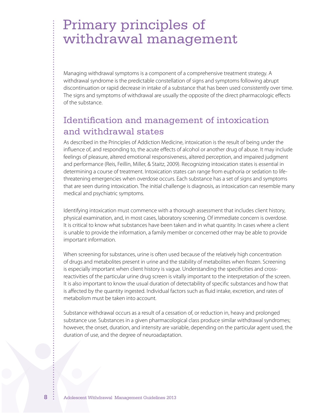# Primary principles of withdrawal management

Managing withdrawal symptoms is a component of a comprehensive treatment strategy. A withdrawal syndrome is the predictable constellation of signs and symptoms following abrupt discontinuation or rapid decrease in intake of a substance that has been used consistently over time. The signs and symptoms of withdrawal are usually the opposite of the direct pharmacologic effects of the substance.

## Identification and management of intoxication and withdrawal states

As described in the Principles of Addiction Medicine, intoxication is the result of being under the influence of, and responding to, the acute effects of alcohol or another drug of abuse. It may include feelings of pleasure, altered emotional responsiveness, altered perception, and impaired judgment and performance (Reis, Feillin, Miller, & Staitz, 2009). Recognizing intoxication states is essential in determining a course of treatment. Intoxication states can range from euphoria or sedation to lifethreatening emergencies when overdose occurs. Each substance has a set of signs and symptoms that are seen during intoxication. The initial challenge is diagnosis, as intoxication can resemble many medical and psychiatric symptoms.

Identifying intoxication must commence with a thorough assessment that includes client history, physical examination, and, in most cases, laboratory screening. Of immediate concern is overdose. It is critical to know what substances have been taken and in what quantity. In cases where a client is unable to provide the information, a family member or concerned other may be able to provide important information.

When screening for substances, urine is often used because of the relatively high concentration of drugs and metabolites present in urine and the stability of metabolites when frozen. Screening is especially important when client history is vague. Understanding the specificities and crossreactivities of the particular urine drug screen is vitally important to the interpretation of the screen. It is also important to know the usual duration of detectability of specific substances and how that is affected by the quantity ingested. Individual factors such as fluid intake, excretion, and rates of metabolism must be taken into account.

Substance withdrawal occurs as a result of a cessation of, or reduction in, heavy and prolonged substance use. Substances in a given pharmacological class produce similar withdrawal syndromes; however, the onset, duration, and intensity are variable, depending on the particular agent used, the duration of use, and the degree of neuroadaptation.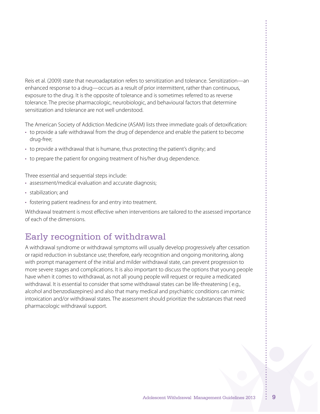Reis et al. (2009) state that neuroadaptation refers to sensitization and tolerance. Sensitization—an enhanced response to a drug—occurs as a result of prior intermittent, rather than continuous, exposure to the drug. It is the opposite of tolerance and is sometimes referred to as reverse tolerance. The precise pharmacologic, neurobiologic, and behavioural factors that determine sensitization and tolerance are not well understood.

The American Society of Addiction Medicine (ASAM) lists three immediate goals of detoxification:

- to provide a safe withdrawal from the drug of dependence and enable the patient to become drug-free;
- to provide a withdrawal that is humane, thus protecting the patient's dignity; and
- to prepare the patient for ongoing treatment of his/her drug dependence.

Three essential and sequential steps include:

- assessment/medical evaluation and accurate diagnosis;
- • stabilization; and
- fostering patient readiness for and entry into treatment.

Withdrawal treatment is most effective when interventions are tailored to the assessed importance of each of the dimensions.

## Early recognition of withdrawal

A withdrawal syndrome or withdrawal symptoms will usually develop progressively after cessation or rapid reduction in substance use; therefore, early recognition and ongoing monitoring, along with prompt management of the initial and milder withdrawal state, can prevent progression to more severe stages and complications. It is also important to discuss the options that young people have when it comes to withdrawal, as not all young people will request or require a medicated withdrawal. It is essential to consider that some withdrawal states can be life-threatening ( e.g., alcohol and benzodiazepines) and also that many medical and psychiatric conditions can mimic intoxication and/or withdrawal states. The assessment should prioritize the substances that need pharmacologic withdrawal support.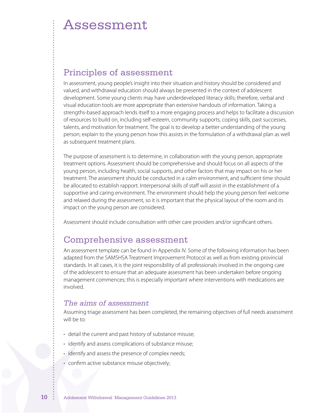## Principles of assessment

In assessment, young people's insight into their situation and history should be considered and valued, and withdrawal education should always be presented in the context of adolescent development. Some young clients may have underdeveloped literacy skills; therefore, verbal and visual education tools are more appropriate than extensive handouts of information. Taking a strengths-based approach lends itself to a more engaging process and helps to facilitate a discussion of resources to build on, including self-esteem, community supports, coping skills, past successes, talents, and motivation for treatment. The goal is to develop a better understanding of the young person; explain to the young person how this assists in the formulation of a withdrawal plan as well as subsequent treatment plans.

The purpose of assessment is to determine, in collaboration with the young person, appropriate treatment options. Assessment should be comprehensive and should focus on all aspects of the young person, including health, social supports, and other factors that may impact on his or her treatment. The assessment should be conducted in a calm environment, and sufficient time should be allocated to establish rapport. Interpersonal skills of staff will assist in the establishment of a supportive and caring environment. The environment should help the young person feel welcome and relaxed during the assessment, so it is important that the physical layout of the room and its impact on the young person are considered.

Assessment should include consultation with other care providers and/or significant others.

## Comprehensive assessment

An assessment template can be found in Appendix IV. Some of the following information has been adapted from the SAMSHSA Treatment Improvement Protocol as well as from existing provincial standards. In all cases, it is the joint responsibility of all professionals involved in the ongoing care of the adolescent to ensure that an adequate assessment has been undertaken before ongoing management commences; this is especially important where interventions with medications are involved.

### *The aims of assessment*

Assuming triage assessment has been completed, the remaining objectives of full needs assessment will be to:

- detail the current and past history of substance misuse;
- identify and assess complications of substance misuse;
- identify and assess the presence of complex needs;
- confirm active substance misuse objectively;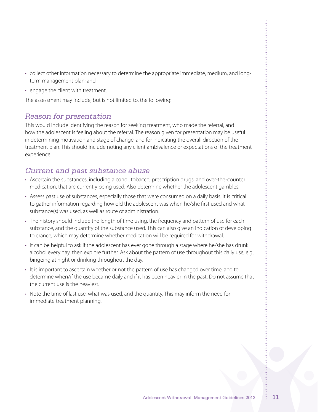- • collect other information necessary to determine the appropriate immediate, medium, and longterm management plan; and
- engage the client with treatment.

The assessment may include, but is not limited to, the following:

### *Reason for presentation*

This would include identifying the reason for seeking treatment, who made the referral, and how the adolescent is feeling about the referral. The reason given for presentation may be useful in determining motivation and stage of change, and for indicating the overall direction of the treatment plan. This should include noting any client ambivalence or expectations of the treatment experience.

## *Current and past substance abuse*

- • Ascertain the substances, including alcohol, tobacco, prescription drugs, and over-the-counter medication, that are currently being used. Also determine whether the adolescent gambles.
- • Assess past use of substances, especially those that were consumed on a daily basis. It is critical to gather information regarding how old the adolescent was when he/she first used and what substance(s) was used, as well as route of administration.
- The history should include the length of time using, the frequency and pattern of use for each substance, and the quantity of the substance used. This can also give an indication of developing tolerance, which may determine whether medication will be required for withdrawal.
- • It can be helpful to ask if the adolescent has ever gone through a stage where he/she has drunk alcohol every day, then explore further. Ask about the pattern of use throughout this daily use, e.g., bingeing at night or drinking throughout the day.
- • It is important to ascertain whether or not the pattern of use has changed over time, and to determine when/if the use became daily and if it has been heavier in the past. Do not assume that the current use is the heaviest.
- Note the time of last use, what was used, and the quantity. This may inform the need for immediate treatment planning.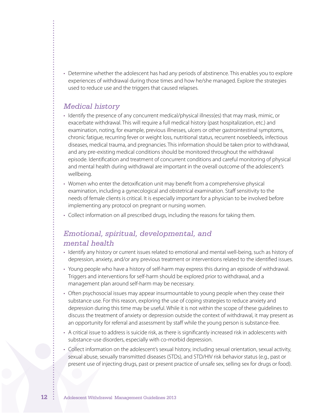• Determine whether the adolescent has had any periods of abstinence. This enables you to explore experiences of withdrawal during those times and how he/she managed. Explore the strategies used to reduce use and the triggers that caused relapses.

### *Medical history*

- • Identify the presence of any concurrent medical/physical illness(es) that may mask, mimic, or exacerbate withdrawal. This will require a full medical history (past hospitalization, etc.) and examination, noting, for example, previous illnesses, ulcers or other gastrointestinal symptoms, chronic fatigue, recurring fever or weight loss, nutritional status, recurrent nosebleeds, infectious diseases, medical trauma, and pregnancies. This information should be taken prior to withdrawal, and any pre-existing medical conditions should be monitored throughout the withdrawal episode. Identification and treatment of concurrent conditions and careful monitoring of physical and mental health during withdrawal are important in the overall outcome of the adolescent's wellbeing.
- • Women who enter the detoxification unit may benefit from a comprehensive physical examination, including a gynecological and obstetrical examination. Staff sensitivity to the needs of female clients is critical. It is especially important for a physician to be involved before implementing any protocol on pregnant or nursing women.
- Collect information on all prescribed drugs, including the reasons for taking them.

## *Emotional, spiritual, developmental, and mental health*

- • Identify any history or current issues related to emotional and mental well-being, such as history of depression, anxiety, and/or any previous treatment or interventions related to the identified issues.
- • Young people who have a history of self-harm may express this during an episode of withdrawal. Triggers and interventions for self-harm should be explored prior to withdrawal, and a management plan around self-harm may be necessary.
- Often psychosocial issues may appear insurmountable to young people when they cease their substance use. For this reason, exploring the use of coping strategies to reduce anxiety and depression during this time may be useful. While it is not within the scope of these guidelines to discuss the treatment of anxiety or depression outside the context of withdrawal, it may present as an opportunity for referral and assessment by staff while the young person is substance-free.
- • A critical issue to address is suicide risk, as there is significantly increased risk in adolescents with substance-use disorders, especially with co-morbid depression.
- • Collect information on the adolescent's sexual history, including sexual orientation, sexual activity, sexual abuse, sexually transmitted diseases (STDs), and STD/HIV risk behavior status (e.g., past or present use of injecting drugs, past or present practice of unsafe sex, selling sex for drugs or food).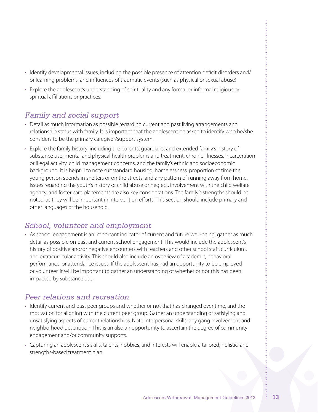- • Identify developmental issues, including the possible presence of attention deficit disorders and/ or learning problems, and influences of traumatic events (such as physical or sexual abuse).
- • Explore the adolescent's understanding of spirituality and any formal or informal religious or spiritual affiliations or practices.

## *Family and social support*

- • Detail as much information as possible regarding current and past living arrangements and relationship status with family. It is important that the adolescent be asked to identify who he/she considers to be the primary caregiver/support system.
- • Explore the family history, including the parents', guardians', and extended family's history of substance use, mental and physical health problems and treatment, chronic illnesses, incarceration or illegal activity, child management concerns, and the family's ethnic and socioeconomic background. It is helpful to note substandard housing, homelessness, proportion of time the young person spends in shelters or on the streets, and any pattern of running away from home. Issues regarding the youth's history of child abuse or neglect, involvement with the child welfare agency, and foster care placements are also key considerations. The family's strengths should be noted, as they will be important in intervention efforts. This section should include primary and other languages of the household.

### *School, volunteer and employment*

• As school engagement is an important indicator of current and future well-being, gather as much detail as possible on past and current school engagement. This would include the adolescent's history of positive and/or negative encounters with teachers and other school staff, curriculum, and extracurricular activity. This should also include an overview of academic, behavioral performance, or attendance issues. If the adolescent has had an opportunity to be employed or volunteer, it will be important to gather an understanding of whether or not this has been impacted by substance use.

## *Peer relations and recreation*

- • Identify current and past peer groups and whether or not that has changed over time, and the motivation for aligning with the current peer group. Gather an understanding of satisfying and unsatisfying aspects of current relationships. Note interpersonal skills, any gang involvement and neighborhood description. This is an also an opportunity to ascertain the degree of community engagement and/or community supports.
- • Capturing an adolescent's skills, talents, hobbies, and interests will enable a tailored, holistic, and strengths-based treatment plan.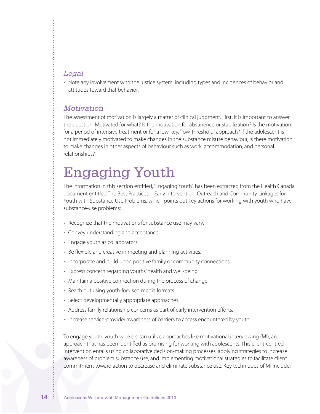### *Legal*

• Note any involvement with the justice system, including types and incidences of behavior and attitudes toward that behavior.

### *Motivation*

The assessment of motivation is largely a matter of clinical judgment. First, it is important to answer the question: Motivated for what? Is the motivation for abstinence or stabilization? Is the motivation for a period of intensive treatment or for a low-key, "low-threshold" approach? If the adolescent is not immediately motivated to make changes in the substance misuse behaviour, is there motivation to make changes in other aspects of behaviour such as work, accommodation, and personal relationships?

# Engaging Youth

The information in this section entitled,"Engaging Youth", has been extracted from the Health Canada document entitled The Best Practices—Early Intervention, Outreach and Community Linkages for Youth with Substance Use Problems, which points out key actions for working with youth who have substance-use problems:

- Recognize that the motivations for substance use may vary.
- • Convey understanding and acceptance.
- Engage youth as collaborators.
- Be flexible and creative in meeting and planning activities.
- Incorporate and build upon positive family or community connections.
- Express concern regarding youths' health and well-being.
- Maintain a positive connection during the process of change.
- Reach out using youth-focused media formats.
- Select developmentally appropriate approaches.
- Address family relationship concerns as part of early intervention efforts.
- • Increase service-provider awareness of barriers to access encountered by youth.

To engage youth, youth workers can utilize approaches like motivational interviewing (MI), an approach that has been identified as promising for working with adolescents. This client-centred intervention entails using collaborative decision-making processes, applying strategies to increase awareness of problem substance use, and implementing motivational strategies to facilitate client commitment toward action to decrease and eliminate substance use. Key techniques of MI include: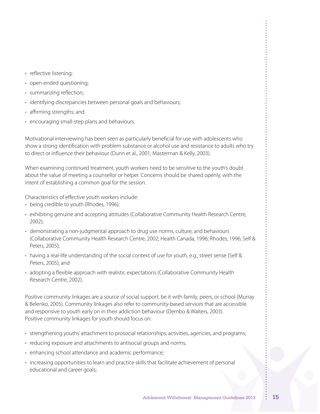- reflective listening;
- • open-ended questioning;
- summarizing reflection;
- identifying discrepancies between personal goals and behaviours;
- • affirming strengths; and
- encouraging small-step plans and behaviours.

Motivational interviewing has been seen as particularly beneficial for use with adolescents who show a strong identification with problem substance or alcohol use and resistance to adults who try to direct or influence their behaviour (Dunn et al., 2001; Masterman & Kelly, 2003).

When examining continued treatment, youth workers need to be sensitive to the youth's doubt about the value of meeting a counsellor or helper. Concerns should be shared openly, with the intent of establishing a common goal for the session.

Characteristics of effective youth workers include:

- being credible to youth (Rhodes, 1996);
- exhibiting genuine and accepting attitudes (Collaborative Community Health Research Centre, 2002);
- • demonstrating a non-judgmental approach to drug use norms, culture, and behaviours (Collaborative Community Health Research Centre, 2002; Health Canada, 1996; Rhodes, 1996; Self & Peters, 2005);
- having a real-life understanding of the social context of use for youth, e.g., street sense (Self & Peters, 2005); and
- • adopting a flexible approach with realistic expectations (Collaborative Community Health Research Centre, 2002).

Positive community linkages are a source of social support, be it with family, peers, or school (Murray & Belenko, 2005). Community linkages also refer to community-based services that are accessible and responsive to youth early on in their addiction behaviour (Dembo & Walters, 2003). Positive community linkages for youth should focus on:

- strengthening youths' attachment to prosocial relationships, activities, agencies, and programs;
- reducing exposure and attachments to antisocial groups and norms;
- enhancing school attendance and academic performance;
- increasing opportunities to learn and practice skills that facilitate achievement of personal educational and career goals;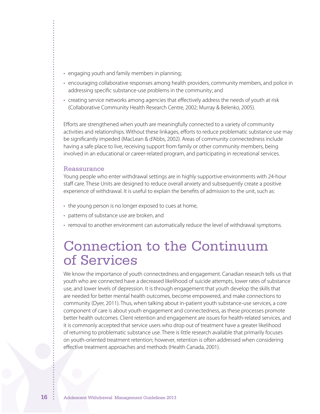- engaging youth and family members in planning;
- encouraging collaborative responses among health providers, community members, and police in addressing specific substance-use problems in the community; and
- • creating service networks among agencies that effectively address the needs of youth at risk (Collaborative Community Health Research Centre, 2002; Murray & Belenko, 2005).

Efforts are strengthened when youth are meaningfully connected to a variety of community activities and relationships. Without these linkages, efforts to reduce problematic substance use may be significantly impeded (MacLean & d'Abbs, 2002). Areas of community connectedness include having a safe place to live, receiving support from family or other community members, being involved in an educational or career-related program, and participating in recreational services.

#### Reassurance

Young people who enter withdrawal settings are in highly supportive environments with 24-hour staff care. These Units are designed to reduce overall anxiety and subsequently create a positive experience of withdrawal. It is useful to explain the benefits of admission to the unit, such as:

- the young person is no longer exposed to cues at home,
- • patterns of substance use are broken, and
- removal to another environment can automatically reduce the level of withdrawal symptoms.

# Connection to the Continuum of Services

We know the importance of youth connectedness and engagement. Canadian research tells us that youth who are connected have a decreased likelihood of suicide attempts, lower rates of substance use, and lower levels of depression. It is through engagement that youth develop the skills that are needed for better mental health outcomes, become empowered, and make connections to community (Dyer, 2011). Thus, when talking about in-patient youth substance-use services, a core component of care is about youth engagement and connectedness, as these processes promote better health outcomes. Client retention and engagement are issues for health-related services, and it is commonly accepted that service users who drop out of treatment have a greater likelihood of returning to problematic substance use. There is little research available that primarily focuses on youth-oriented treatment retention; however, retention is often addressed when considering effective treatment approaches and methods (Health Canada, 2001).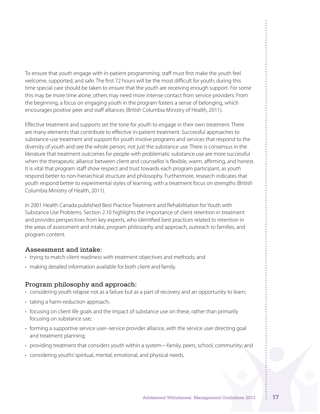To ensure that youth engage with in-patient programming, staff must first make the youth feel welcome, supported, and safe. The first 72 hours will be the most difficult for youth; during this time special care should be taken to ensure that the youth are receiving enough support. For some this may be more time alone; others may need more intense contact from service providers. From the beginning, a focus on engaging youth in the program fosters a sense of belonging, which encourages positive peer and staff alliances (British Columbia Ministry of Health, 2011).

Effective treatment and supports set the tone for youth to engage in their own treatment. There are many elements that contribute to effective in-patient treatment. Successful approaches to substance-use treatment and support for youth involve programs and services that respond to the diversity of youth and see the whole person, not just the substance use. There is consensus in the literature that treatment outcomes for people with problematic substance use are more successful when the therapeutic alliance between client and counsellor is flexible, warm, affirming, and honest. It is vital that program staff show respect and trust towards each program participant, as youth respond better to non-hierarchical structure and philosophy. Furthermore, research indicates that youth respond better to experimental styles of learning, with a treatment focus on strengths (British Columbia Ministry of Health, 2011).

In 2001 Health Canada published Best Practice Treatment and Rehabilitation for Youth with Substance Use Problems. Section 2.10 highlights the importance of client retention in treatment and provides perspectives from key experts, who identified best practices related to retention in the areas of assessment and intake, program philosophy and approach, outreach to families, and program content.

#### Assessment and intake:

- trying to match client readiness with treatment objectives and methods; and
- making detailed information available for both client and family.

### Program philosophy and approach:

- considering youth relapse not as a failure but as a part of recovery and an opportunity to learn;
- taking a harm-reduction approach;
- • focusing on client life goals and the impact of substance use on these, rather than primarily focusing on substance use;
- forming a supportive service user–service provider alliance, with the service user directing goal and treatment planning;
- providing treatment that considers youth within a system—family, peers, school, community; and
- considering youths' spiritual, mental, emotional, and physical needs.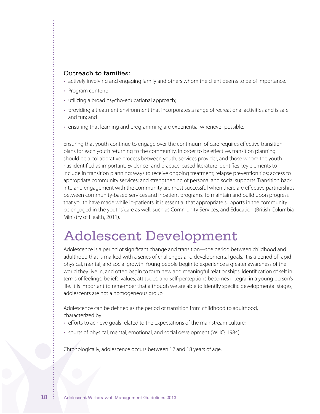#### Outreach to families:

- • actively involving and engaging family and others whom the client deems to be of importance.
- Program content:
- utilizing a broad psycho-educational approach;
- • providing a treatment environment that incorporates a range of recreational activities and is safe and fun; and
- ensuring that learning and programming are experiential whenever possible.

Ensuring that youth continue to engage over the continuum of care requires effective transition plans for each youth returning to the community. In order to be effective, transition planning should be a collaborative process between youth, services provider, and those whom the youth has identified as important. Evidence- and practice-based literature identifies key elements to include in transition planning: ways to receive ongoing treatment; relapse prevention tips; access to appropriate community services; and strengthening of personal and social supports. Transition back into and engagement with the community are most successful when there are effective partnerships between community-based services and inpatient programs. To maintain and build upon progress that youth have made while in-patients, it is essential that appropriate supports in the community be engaged in the youths' care as well, such as Community Services, and Education (British Columbia Ministry of Health, 2011).

# Adolescent Development

Adolescence is a period of significant change and transition—the period between childhood and adulthood that is marked with a series of challenges and developmental goals. It is a period of rapid physical, mental, and social growth. Young people begin to experience a greater awareness of the world they live in, and often begin to form new and meaningful relationships. Identification of self in terms of feelings, beliefs, values, attitudes, and self-perceptions becomes integral in a young person's life. It is important to remember that although we are able to identify specific developmental stages, adolescents are not a homogeneous group.

Adolescence can be defined as the period of transition from childhood to adulthood, characterized by:

- • efforts to achieve goals related to the expectations of the mainstream culture;
- spurts of physical, mental, emotional, and social development (WHO, 1984).

Chronologically, adolescence occurs between 12 and 18 years of age.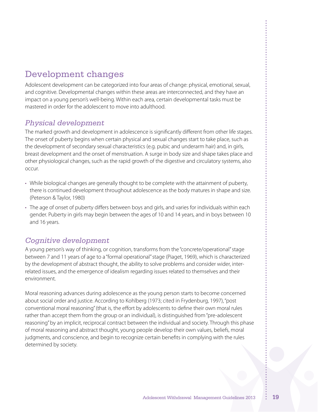## Development changes

Adolescent development can be categorized into four areas of change: physical, emotional, sexual, and cognitive. Developmental changes within these areas are interconnected, and they have an impact on a young person's well-being. Within each area, certain developmental tasks must be mastered in order for the adolescent to move into adulthood.

### *Physical development*

The marked growth and development in adolescence is significantly different from other life stages. The onset of puberty begins when certain physical and sexual changes start to take place, such as the development of secondary sexual characteristics (e.g. pubic and underarm hair) and, in girls, breast development and the onset of menstruation. A surge in body size and shape takes place and other physiological changes, such as the rapid growth of the digestive and circulatory systems, also occur.

- • While biological changes are generally thought to be complete with the attainment of puberty, there is continued development throughout adolescence as the body matures in shape and size. (Peterson & Taylor, 1980)
- The age of onset of puberty differs between boys and girls, and varies for individuals within each gender. Puberty in girls may begin between the ages of 10 and 14 years, and in boys between 10 and 16 years.

## *Cognitive development*

A young person's way of thinking, or cognition, transforms from the "concrete/operational"stage between 7 and 11 years of age to a "formal operational"stage (Piaget, 1969), which is characterized by the development of abstract thought, the ability to solve problems and consider wider, interrelated issues, and the emergence of idealism regarding issues related to themselves and their environment.

Moral reasoning advances during adolescence as the young person starts to become concerned about social order and justice. According to Kohlberg (1973; cited in Frydenburg, 1997),"post conventional moral reasoning"(that is, the effort by adolescents to define their own moral rules rather than accept them from the group or an individual), is distinguished from"pre-adolescent reasoning"by an implicit, reciprocal contract between the individual and society. Through this phase of moral reasoning and abstract thought, young people develop their own values, beliefs, moral judgments, and conscience, and begin to recognize certain benefits in complying with the rules determined by society.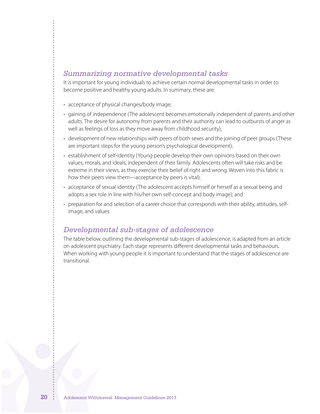### *Summarizing normative developmental tasks*

It is important for young individuals to achieve certain normal developmental tasks in order to become positive and healthy young adults. In summary, these are:

- acceptance of physical changes/body image;
- • gaining of independence (The adolescent becomes emotionally independent of parents and other adults. The desire for autonomy from parents and their authority can lead to outbursts of anger as well as feelings of loss as they move away from childhood security);
- • development of new relationships with peers of both sexes and the joining of peer groups (These are important steps for the young person's psychological development);
- establishment of self-identity (Young people develop their own opinions based on their own values, morals, and ideals, independent of their family. Adolescents often will take risks and be extreme in their views, as they exercise their belief of right and wrong. Woven into this fabric is how their peers view them—acceptance by peers is vital);
- acceptance of sexual identity (The adolescent accepts himself or herself as a sexual being and adopts a sex role in line with his/her own self-concept and body image); and
- preparation for and selection of a career choice that corresponds with their ability, attitudes, selfimage, and values.

#### *Developmental sub-stages of adolescence*

The table below, outlining the developmental sub-stages of adolescence, is adapted from an article on adolescent psychiatry. Each stage represents different developmental tasks and behaviours. When working with young people it is important to understand that the stages of adolescence are transitional.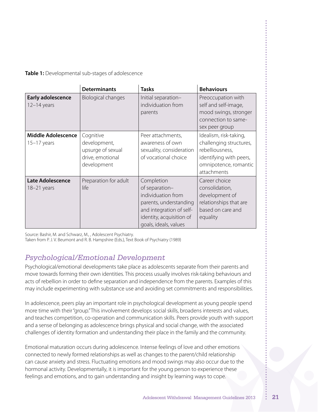**Table 1:** Developmental sub-stages of adolescence

|                                            | <b>Determinants</b>                                                               | <b>Tasks</b>                                                                                                                                                  | <b>Behaviours</b>                                                                                                                       |
|--------------------------------------------|-----------------------------------------------------------------------------------|---------------------------------------------------------------------------------------------------------------------------------------------------------------|-----------------------------------------------------------------------------------------------------------------------------------------|
| <b>Early adolescence</b><br>$12-14$ years  | <b>Biological changes</b>                                                         | Initial separation-<br>individuation from<br>parents                                                                                                          | Preoccupation with<br>self and self-image,<br>mood swings, stronger<br>connection to same-<br>sex peer group                            |
| <b>Middle Adolescence</b><br>$15-17$ years | Cognitive<br>development,<br>upsurge of sexual<br>drive, emotional<br>development | Peer attachments,<br>awareness of own<br>sexuality, consideration<br>of vocational choice                                                                     | Idealism, risk-taking,<br>challenging structures,<br>rebelliousness,<br>identifying with peers,<br>omnipotence, romantic<br>attachments |
| <b>Late Adolescence</b><br>$18-21$ years   | Preparation for adult<br>life                                                     | Completion<br>of separation-<br>individuation from<br>parents, understanding<br>and integration of self-<br>identity, acquisition of<br>goals, ideals, values | Career choice<br>consolidation,<br>development of<br>relationships that are<br>based on care and<br>equality                            |

Source: Bashir, M. and Schwarz, M., , Adolescent Psychiatry.

Taken from P. J. V. Beumont and R. B. Hampshire (Eds.), Text Book of Psychiatry (1989)

## *Psychological/Emotional Development*

Psychological/emotional developments take place as adolescents separate from their parents and move towards forming their own identities. This process usually involves risk-taking behaviours and acts of rebellion in order to define separation and independence from the parents. Examples of this may include experimenting with substance use and avoiding set commitments and responsibilities.

In adolescence, peers play an important role in psychological development as young people spend more time with their"group."This involvement develops social skills, broadens interests and values, and teaches competition, co-operation and communication skills. Peers provide youth with support and a sense of belonging as adolescence brings physical and social change, with the associated challenges of identity formation and understanding their place in the family and the community.

Emotional maturation occurs during adolescence. Intense feelings of love and other emotions connected to newly formed relationships as well as changes to the parent/child relationship can cause anxiety and stress. Fluctuating emotions and mood swings may also occur due to the hormonal activity. Developmentally, it is important for the young person to experience these feelings and emotions, and to gain understanding and insight by learning ways to cope.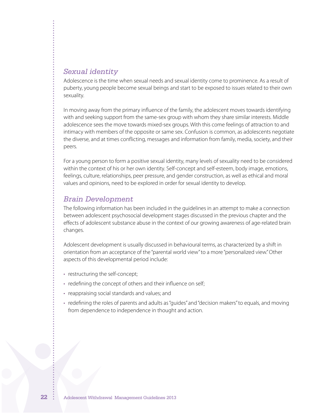#### *Sexual identity*

Adolescence is the time when sexual needs and sexual identity come to prominence. As a result of puberty, young people become sexual beings and start to be exposed to issues related to their own sexuality.

In moving away from the primary influence of the family, the adolescent moves towards identifying with and seeking support from the same-sex group with whom they share similar interests. Middle adolescence sees the move towards mixed-sex groups. With this come feelings of attraction to and intimacy with members of the opposite or same sex. Confusion is common, as adolescents negotiate the diverse, and at times conflicting, messages and information from family, media, society, and their peers.

For a young person to form a positive sexual identity, many levels of sexuality need to be considered within the context of his or her own identity. Self-concept and self-esteem, body image, emotions, feelings, culture, relationships, peer pressure, and gender construction, as well as ethical and moral values and opinions, need to be explored in order for sexual identity to develop.

#### *Brain Development*

The following information has been included in the guidelines in an attempt to make a connection between adolescent psychosocial development stages discussed in the previous chapter and the effects of adolescent substance abuse in the context of our growing awareness of age-related brain changes.

Adolescent development is usually discussed in behavioural terms, as characterized by a shift in orientation from an acceptance of the "parental world view"to a more "personalized view."Other aspects of this developmental period include:

- restructuring the self-concept;
- redefining the concept of others and their influence on self;
- • reappraising social standards and values; and
- • redefining the roles of parents and adults as"guides" and"decision makers"to equals, and moving from dependence to independence in thought and action.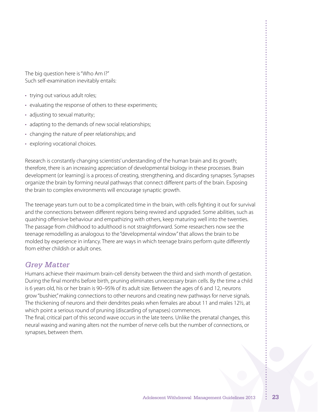The big question here is"Who Am I?" Such self-examination inevitably entails:

- trying out various adult roles;
- evaluating the response of others to these experiments;
- adjusting to sexual maturity;
- adapting to the demands of new social relationships;
- changing the nature of peer relationships; and
- exploring vocational choices.

Research is constantly changing scientists'understanding of the human brain and its growth; therefore, there is an increasing appreciation of developmental biology in these processes. Brain development (or learning) is a process of creating, strengthening, and discarding synapses. Synapses organize the brain by forming neural pathways that connect different parts of the brain. Exposing the brain to complex environments will encourage synaptic growth.

The teenage years turn out to be a complicated time in the brain, with cells fighting it out for survival and the connections between different regions being rewired and upgraded. Some abilities, such as quashing offensive behaviour and empathizing with others, keep maturing well into the twenties. The passage from childhood to adulthood is not straightforward. Some researchers now see the teenage remodelling as analogous to the "developmental window"that allows the brain to be molded by experience in infancy. There are ways in which teenage brains perform quite differently from either childish or adult ones.

## *Grey Matter*

Humans achieve their maximum brain-cell density between the third and sixth month of gestation. During the final months before birth, pruning eliminates unnecessary brain cells. By the time a child is 6 years old, his or her brain is 90–95% of its adult size. Between the ages of 6 and 12, neurons grow"bushier,"making connections to other neurons and creating new pathways for nerve signals. The thickening of neurons and their dendrites peaks when females are about 11 and males 12½, at which point a serious round of pruning (discarding of synapses) commences.

The final, critical part of this second wave occurs in the late teens. Unlike the prenatal changes, this neural waxing and waning alters not the number of nerve cells but the number of connections, or synapses, between them.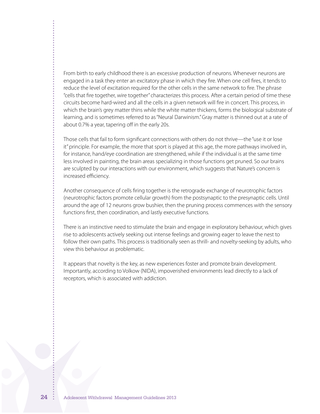From birth to early childhood there is an excessive production of neurons. Whenever neurons are engaged in a task they enter an excitatory phase in which they fire. When one cell fires, it tends to reduce the level of excitation required for the other cells in the same network to fire. The phrase "cells that fire together, wire together" characterizes this process. After a certain period of time these circuits become hard-wired and all the cells in a given network will fire in concert. This process, in which the brain's grey matter thins while the white matter thickens, forms the biological substrate of learning, and is sometimes referred to as"Neural Darwinism."Gray matter is thinned out at a rate of about 0.7% a year, tapering off in the early 20s.

Those cells that fail to form significant connections with others do not thrive—the "use it or lose it" principle. For example, the more that sport is played at this age, the more pathways involved in, for instance, hand/eye coordination are strengthened, while if the individual is at the same time less involved in painting, the brain areas specializing in those functions get pruned. So our brains are sculpted by our interactions with our environment, which suggests that Nature's concern is increased efficiency.

Another consequence of cells firing together is the retrograde exchange of neurotrophic factors (neurotrophic factors promote cellular growth) from the postsynaptic to the presynaptic cells. Until around the age of 12 neurons grow bushier, then the pruning process commences with the sensory functions first, then coordination, and lastly executive functions.

There is an instinctive need to stimulate the brain and engage in exploratory behaviour, which gives rise to adolescents actively seeking out intense feelings and growing eager to leave the nest to follow their own paths. This process is traditionally seen as thrill- and novelty-seeking by adults, who view this behaviour as problematic.

It appears that novelty is the key, as new experiences foster and promote brain development. Importantly, according to Volkow (NIDA), impoverished environments lead directly to a lack of receptors, which is associated with addiction.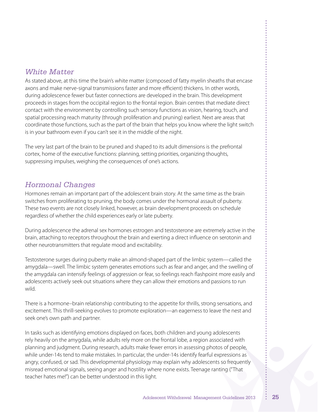### *White Matter*

As stated above, at this time the brain's white matter (composed of fatty myelin sheaths that encase axons and make nerve-signal transmissions faster and more efficient) thickens. In other words, during adolescence fewer but faster connections are developed in the brain. This development proceeds in stages from the occipital region to the frontal region. Brain centres that mediate direct contact with the environment by controlling such sensory functions as vision, hearing, touch, and spatial processing reach maturity (through proliferation and pruning) earliest. Next are areas that coordinate those functions, such as the part of the brain that helps you know where the light switch is in your bathroom even if you can't see it in the middle of the night.

The very last part of the brain to be pruned and shaped to its adult dimensions is the prefrontal cortex, home of the executive functions: planning, setting priorities, organizing thoughts, suppressing impulses, weighing the consequences of one's actions.

## *Hormonal Changes*

Hormones remain an important part of the adolescent brain story. At the same time as the brain switches from proliferating to pruning, the body comes under the hormonal assault of puberty. These two events are not closely linked, however, as brain development proceeds on schedule regardless of whether the child experiences early or late puberty.

During adolescence the adrenal sex hormones estrogen and testosterone are extremely active in the brain, attaching to receptors throughout the brain and exerting a direct influence on serotonin and other neurotransmitters that regulate mood and excitability.

Testosterone surges during puberty make an almond-shaped part of the limbic system—called the amygdala—swell. The limbic system generates emotions such as fear and anger, and the swelling of the amygdala can intensify feelings of aggression or fear, so feelings reach flashpoint more easily and adolescents actively seek out situations where they can allow their emotions and passions to run wild.

There is a hormone–brain relationship contributing to the appetite for thrills, strong sensations, and excitement. This thrill-seeking evolves to promote exploration—an eagerness to leave the nest and seek one's own path and partner.

In tasks such as identifying emotions displayed on faces, both children and young adolescents rely heavily on the amygdala, while adults rely more on the frontal lobe, a region associated with planning and judgment. During research, adults make fewer errors in assessing photos of people, while under-14s tend to make mistakes. In particular, the under-14s identify fearful expressions as angry, confused, or sad. This developmental physiology may explain why adolescents so frequently misread emotional signals, seeing anger and hostility where none exists. Teenage ranting ("That teacher hates me!") can be better understood in this light.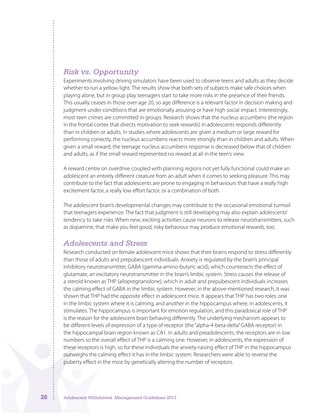### *Risk vs. Opportunity*

Experiments involving driving simulators have been used to observe teens and adults as they decide whether to run a yellow light. The results show that both sets of subjects make safe choices when playing alone, but in group play teenagers start to take more risks in the presence of their friends. This usually ceases in those over age 20, so age difference is a relevant factor in decision making and judgment under conditions that are emotionally arousing or have high social impact. Interestingly, most teen crimes are committed in groups. Research shows that the nucleus accumbens (the region in the frontal cortex that directs motivation to seek rewards) in adolescents responds differently than in children or adults. In studies where adolescents are given a medium or large reward for performing correctly, the nucleus accumbens reacts more strongly than in children and adults. When given a small reward, the teenage nucleus accumbens response is decreased below that of children and adults, as if the small reward represented no reward at all in the teen's view.

A reward centre on overdrive coupled with planning regions not yet fully functional could make an adolescent an entirely different creature from an adult when it comes to seeking pleasure. This may contribute to the fact that adolescents are prone to engaging in behaviours that have a really high excitement factor, a really low effort factor, or a combination of both.

The adolescent brain's developmental changes may contribute to the occasional emotional turmoil that teenagers experience. The fact that judgment is still developing may also explain adolescents' tendency to take risks. When new, exciting activities cause neurons to release neurotransmitters, such as dopamine, that make you feel good, risky behaviour may produce emotional rewards, too.

#### *Adolescents and Stress*

Research conducted on female adolescent mice shows that their brains respond to stress differently than those of adults and prepubescent individuals. Anxiety is regulated by the brain's principal inhibitory neurotransmitter, GABA (gamma-amino-butyric-acid), which counteracts the effect of glutamate, an excitatory neurotransmitter in the brain's limbic system. Stress causes the release of a steroid known as THP (allopregnanolone), which in adult and prepubescent individuals increases the calming effect of GABA in the limbic system. However, in the above-mentioned research, it was shown that THP had the opposite effect in adolescent mice. It appears that THP has two roles: one in the limbic system where it is calming, and another in the hippocampus where, in adolescents, it stimulates. The hippocampus is important for emotion regulation, and this paradoxical role of THP is the reason for the adolescent brain behaving differently. The underlying mechanism appears to be different levels of expression of a type of receptor (the "alpha-4-beta-delta"GABA receptor) in the hippocampal brain region known as CA1. In adults and preadolescents, the receptors are in low numbers so the overall effect of THP is a calming one. However, in adolescents, the expression of these receptors is high, so for these individuals the anxiety-raising effect of THP in the hippocampus outweighs the calming effect it has in the limbic system. Researchers were able to reverse the puberty effect in the mice by genetically altering the number of receptors.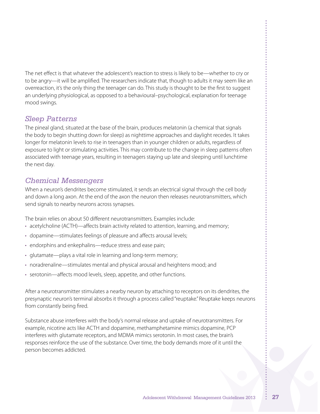The net effect is that whatever the adolescent's reaction to stress is likely to be—whether to cry or to be angry—it will be amplified. The researchers indicate that, though to adults it may seem like an overreaction, it's the only thing the teenager can do. This study is thought to be the first to suggest an underlying physiological, as opposed to a behavioural–psychological, explanation for teenage mood swings.

## *Sleep Patterns*

The pineal gland, situated at the base of the brain, produces melatonin (a chemical that signals the body to begin shutting down for sleep) as nighttime approaches and daylight recedes. It takes longer for melatonin levels to rise in teenagers than in younger children or adults, regardless of exposure to light or stimulating activities. This may contribute to the change in sleep patterns often associated with teenage years, resulting in teenagers staying up late and sleeping until lunchtime the next day.

## *Chemical Messengers*

When a neuron's dendrites become stimulated, it sends an electrical signal through the cell body and down a long axon. At the end of the axon the neuron then releases neurotransmitters, which send signals to nearby neurons across synapses.

The brain relies on about 50 different neurotransmitters. Examples include:

- acetylcholine (ACTH)—affects brain activity related to attention, learning, and memory;
- dopamine—stimulates feelings of pleasure and affects arousal levels;
- endorphins and enkephalins—reduce stress and ease pain;
- glutamate—plays a vital role in learning and long-term memory;
- noradrenaline—stimulates mental and physical arousal and heightens mood; and
- serotonin—affects mood levels, sleep, appetite, and other functions.

After a neurotransmitter stimulates a nearby neuron by attaching to receptors on its dendrites, the presynaptic neuron's terminal absorbs it through a process called"reuptake."Reuptake keeps neurons from constantly being fired.

Substance abuse interferes with the body's normal release and uptake of neurotransmitters. For example, nicotine acts like ACTH and dopamine, methamphetamine mimics dopamine, PCP interferes with glutamate receptors, and MDMA mimics serotonin. In most cases, the brain's responses reinforce the use of the substance. Over time, the body demands more of it until the person becomes addicted.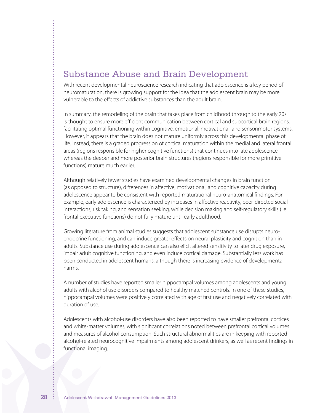## Substance Abuse and Brain Development

With recent developmental neuroscience research indicating that adolescence is a key period of neuromaturation, there is growing support for the idea that the adolescent brain may be more vulnerable to the effects of addictive substances than the adult brain.

In summary, the remodeling of the brain that takes place from childhood through to the early 20s is thought to ensure more efficient communication between cortical and subcortical brain regions, facilitating optimal functioning within cognitive, emotional, motivational, and sensorimotor systems. However, it appears that the brain does not mature uniformly across this developmental phase of life. Instead, there is a graded progression of cortical maturation within the medial and lateral frontal areas (regions responsible for higher cognitive functions) that continues into late adolescence, whereas the deeper and more posterior brain structures (regions responsible for more primitive functions) mature much earlier.

Although relatively fewer studies have examined developmental changes in brain function (as opposed to structure), differences in affective, motivational, and cognitive capacity during adolescence appear to be consistent with reported maturational neuro-anatomical findings. For example, early adolescence is characterized by increases in affective reactivity, peer-directed social interactions, risk taking, and sensation seeking, while decision making and self-regulatory skills (i.e. frontal executive functions) do not fully mature until early adulthood.

Growing literature from animal studies suggests that adolescent substance use disrupts neuroendocrine functioning, and can induce greater effects on neural plasticity and cognition than in adults. Substance use during adolescence can also elicit altered sensitivity to later drug exposure, impair adult cognitive functioning, and even induce cortical damage. Substantially less work has been conducted in adolescent humans, although there is increasing evidence of developmental harms.

A number of studies have reported smaller hippocampal volumes among adolescents and young adults with alcohol use disorders compared to healthy matched controls. In one of these studies, hippocampal volumes were positively correlated with age of first use and negatively correlated with duration of use.

Adolescents with alcohol-use disorders have also been reported to have smaller prefrontal cortices and white-matter volumes, with significant correlations noted between prefrontal cortical volumes and measures of alcohol consumption. Such structural abnormalities are in keeping with reported alcohol-related neurocognitive impairments among adolescent drinkers, as well as recent findings in functional imaging.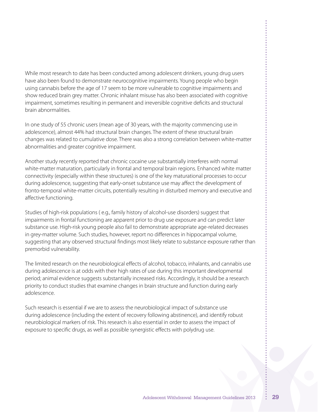While most research to date has been conducted among adolescent drinkers, young drug users have also been found to demonstrate neurocognitive impairments. Young people who begin using cannabis before the age of 17 seem to be more vulnerable to cognitive impairments and show reduced brain grey matter. Chronic inhalant misuse has also been associated with cognitive impairment, sometimes resulting in permanent and irreversible cognitive deficits and structural brain abnormalities.

In one study of 55 chronic users (mean age of 30 years, with the majority commencing use in adolescence), almost 44% had structural brain changes. The extent of these structural brain changes was related to cumulative dose. There was also a strong correlation between white-matter abnormalities and greater cognitive impairment.

Another study recently reported that chronic cocaine use substantially interferes with normal white-matter maturation, particularly in frontal and temporal brain regions. Enhanced white matter connectivity (especially within these structures) is one of the key maturational processes to occur during adolescence, suggesting that early-onset substance use may affect the development of fronto-temporal white-matter circuits, potentially resulting in disturbed memory and executive and affective functioning.

Studies of high-risk populations ( e.g., family history of alcohol-use disorders) suggest that impairments in frontal functioning are apparent prior to drug use exposure and can predict later substance use. High-risk young people also fail to demonstrate appropriate age-related decreases in grey-matter volume. Such studies, however, report no differences in hippocampal volume, suggesting that any observed structural findings most likely relate to substance exposure rather than premorbid vulnerability.

The limited research on the neurobiological effects of alcohol, tobacco, inhalants, and cannabis use during adolescence is at odds with their high rates of use during this important developmental period; animal evidence suggests substantially increased risks. Accordingly, it should be a research priority to conduct studies that examine changes in brain structure and function during early adolescence.

Such research is essential if we are to assess the neurobiological impact of substance use during adolescence (including the extent of recovery following abstinence), and identify robust neurobiological markers of risk. This research is also essential in order to assess the impact of exposure to specific drugs, as well as possible synergistic effects with polydrug use.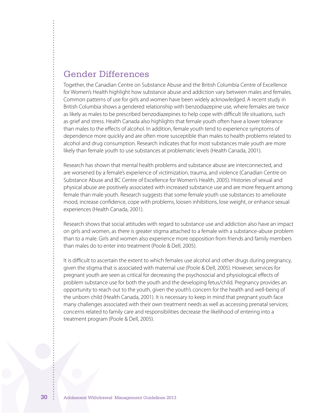## Gender Differences

Together, the Canadian Centre on Substance Abuse and the British Columbia Centre of Excellence for Women's Health highlight how substance abuse and addiction vary between males and females. Common patterns of use for girls and women have been widely acknowledged. A recent study in British Columbia shows a gendered relationship with benzodiazepine use, where females are twice as likely as males to be prescribed benzodiazepines to help cope with difficult life situations, such as grief and stress. Health Canada also highlights that female youth often have a lower tolerance than males to the effects of alcohol. In addition, female youth tend to experience symptoms of dependence more quickly and are often more susceptible than males to health problems related to alcohol and drug consumption. Research indicates that for most substances male youth are more likely than female youth to use substances at problematic levels (Health Canada, 2001).

Research has shown that mental health problems and substance abuse are interconnected, and are worsened by a female's experience of victimization, trauma, and violence (Canadian Centre on Substance Abuse and BC Centre of Excellence for Women's Health, 2005). Histories of sexual and physical abuse are positively associated with increased substance use and are more frequent among female than male youth. Research suggests that some female youth use substances to ameliorate mood, increase confidence, cope with problems, loosen inhibitions, lose weight, or enhance sexual experiences (Health Canada, 2001).

Research shows that social attitudes with regard to substance use and addiction also have an impact on girls and women, as there is greater stigma attached to a female with a substance-abuse problem than to a male. Girls and women also experience more opposition from friends and family members than males do to enter into treatment (Poole & Dell, 2005).

It is difficult to ascertain the extent to which females use alcohol and other drugs during pregnancy, given the stigma that is associated with maternal use (Poole & Dell, 2005). However, services for pregnant youth are seen as critical for decreasing the psychosocial and physiological effects of problem substance use for both the youth and the developing fetus/child. Pregnancy provides an opportunity to reach out to the youth, given the youth's concern for the health and well-being of the unborn child (Health Canada, 2001). It is necessary to keep in mind that pregnant youth face many challenges associated with their own treatment needs as well as accessing prenatal services; concerns related to family care and responsibilities decrease the likelihood of entering into a treatment program (Poole & Dell, 2005).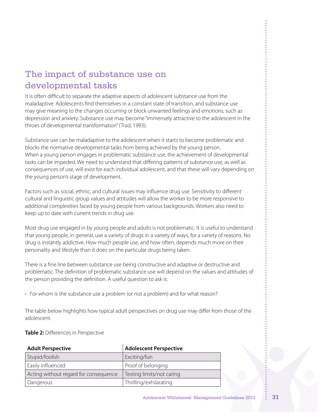## The impact of substance use on developmental tasks

It is often difficult to separate the adaptive aspects of adolescent substance use from the maladaptive. Adolescents find themselves in a constant state of transition, and substance use may give meaning to the changes occurring or block unwanted feelings and emotions, such as depression and anxiety. Substance use may become "immensely attractive to the adolescent in the throes of developmental transformation"(Trad, 1993).

Substance use can be maladaptive to the adolescent when it starts to become problematic and blocks the normative developmental tasks from being achieved by the young person. When a young person engages in problematic substance use, the achievement of developmental tasks can be impeded. We need to understand that differing patterns of substance use, as well as consequences of use, will exist for each individual adolescent, and that these will vary depending on the young person's stage of development.

Factors such as social, ethnic, and cultural issues may influence drug use. Sensitivity to different cultural and linguistic group values and attitudes will allow the worker to be more responsive to additional complexities faced by young people from various backgrounds. Workers also need to keep up to date with current trends in drug use.

Most drug use engaged in by young people and adults is not problematic. It is useful to understand that young people, in general, use a variety of drugs in a variety of ways, for a variety of reasons. No drug is instantly addictive. How much people use, and how often, depends much more on their personality and lifestyle than it does on the particular drugs being taken.

There is a fine line between substance use being constructive and adaptive or destructive and problematic. The definition of problematic substance use will depend on the values and attitudes of the person providing the definition. A useful question to ask is:

• For whom is the substance use a problem (or not a problem) and for what reason?

The table below highlights how typical adult perspectives on drug use may differ from those of the adolescent.

#### **Table 2:** Differences in Perspective

| <b>Adult Perspective</b>              | <b>Adolescent Perspective</b> |
|---------------------------------------|-------------------------------|
| Stupid/foolish                        | Exciting/fun                  |
| Easily influenced                     | Proof of belonging            |
| Acting without regard for consequence | Testing limits/not caring     |
| Dangerous                             | Thrilling/exhilarating        |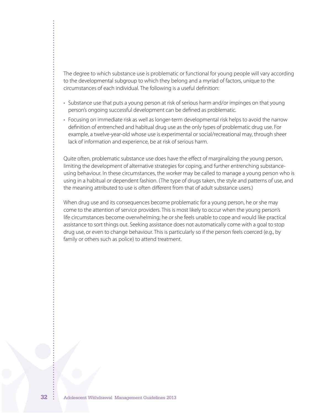The degree to which substance use is problematic or functional for young people will vary according to the developmental subgroup to which they belong and a myriad of factors, unique to the circumstances of each individual. The following is a useful definition:

- • Substance use that puts a young person at risk of serious harm and/or impinges on that young person's ongoing successful development can be defined as problematic.
- • Focusing on immediate risk as well as longer-term developmental risk helps to avoid the narrow definition of entrenched and habitual drug use as the only types of problematic drug use. For example, a twelve-year-old whose use is experimental or social/recreational may, through sheer lack of information and experience, be at risk of serious harm.

Quite often, problematic substance use does have the effect of marginalizing the young person, limiting the development of alternative strategies for coping, and further entrenching substanceusing behaviour. In these circumstances, the worker may be called to manage a young person who is using in a habitual or dependent fashion. (The type of drugs taken, the style and patterns of use, and the meaning attributed to use is often different from that of adult substance users.)

When drug use and its consequences become problematic for a young person, he or she may come to the attention of service providers. This is most likely to occur when the young person's life circumstances become overwhelming; he or she feels unable to cope and would like practical assistance to sort things out. Seeking assistance does not automatically come with a goal to stop drug use, or even to change behaviour. This is particularly so if the person feels coerced (e.g., by family or others such as police) to attend treatment.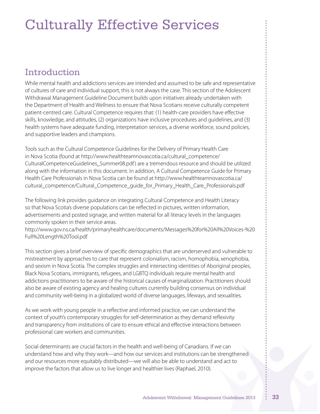# Culturally Effective Services

## Introduction

While mental health and addictions services are intended and assumed to be safe and representative of cultures of care and individual support, this is not always the case. This section of the Adolescent Withdrawal Management Guideline Document builds upon initiatives already undertaken with the Department of Health and Wellness to ensure that Nova Scotians receive culturally competent patient-centred care. Cultural Competence requires that: (1) health-care providers have effective skills, knowledge, and attitudes, (2) organizations have inclusive procedures and guidelines, and (3) health systems have adequate funding, interpretation services, a diverse workforce, sound policies, and supportive leaders and champions.

Tools such as the Cultural Competence Guidelines for the Delivery of Primary Health Care in Nova Scotia (found at http://www.healthteamnovascotia.ca/cultural\_competence/ CulturalCompetenceGuidelines\_Summer08.pdf) are a tremendous resource and should be utilized along with the information in this document. In addition, A Cultural Competence Guide for Primary Health Care Professionals in Nova Scotia can be found at http://www.healthteamnovascotia.ca/ cultural\_competence/Cultural\_Competence\_guide\_for\_Primary\_Health\_Care\_Professionals.pdf

The following link provides guidance on integrating Cultural Competence and Health Literacy so that Nova Scotia's diverse populations can be reflected in pictures, written information, advertisements and posted signage, and written material for all literacy levels in the languages commonly spoken in their service areas.

http://www.gov.ns.ca/health/primaryhealthcare/documents/Messages%20for%20All%20Voices-%20 Full%20Length%20Tool.pdf

This section gives a brief overview of specific demographics that are underserved and vulnerable to mistreatment by approaches to care that represent colonialism, racism, homophobia, xenophobia, and sexism in Nova Scotia. The complex struggles and intersecting identities of Aboriginal peoples, Black Nova Scotians, immigrants, refugees, and LGBTQ individuals require mental health and addictions practitioners to be aware of the historical causes of marginalization. Practitioners should also be aware of existing agency and healing cultures currently building consensus on individual and community well-being in a globalized world of diverse languages, lifeways, and sexualities.

As we work with young people in a reflective and informed practice, we can understand the context of youth's contemporary struggles for self-determination as they demand reflexivity and transparency from institutions of care to ensure ethical and effective interactions between professional care workers and communities.

Social determinants are crucial factors in the health and well-being of Canadians. If we can understand how and why they work—and how our services and institutions can be strengthened and our resources more equitably distributed—we will also be able to understand and act to improve the factors that allow us to live longer and healthier lives (Raphael, 2010).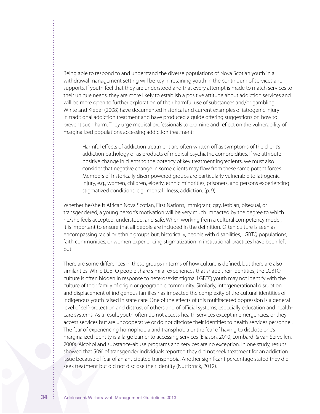Being able to respond to and understand the diverse populations of Nova Scotian youth in a withdrawal management setting will be key in retaining youth in the continuum of services and supports. If youth feel that they are understood and that every attempt is made to match services to their unique needs, they are more likely to establish a positive attitude about addiction services and will be more open to further exploration of their harmful use of substances and/or gambling. White and Kleber (2008) have documented historical and current examples of iatrogenic injury in traditional addiction treatment and have produced a guide offering suggestions on how to prevent such harm. They urge medical professionals to examine and reflect on the vulnerability of marginalized populations accessing addiction treatment:

Harmful effects of addiction treatment are often written off as symptoms of the client's addiction pathology or as products of medical psychiatric comorbidities. If we attribute positive change in clients to the potency of key treatment ingredients, we must also consider that negative change in some clients may flow from these same potent forces. Members of historically disempowered groups are particularly vulnerable to iatrogenic injury, e.g., women, children, elderly, ethnic minorities, prisoners, and persons experiencing stigmatized conditions, e.g., mental illness, addiction. (p. 9)

Whether he/she is African Nova Scotian, First Nations, immigrant, gay, lesbian, bisexual, or transgendered, a young person's motivation will be very much impacted by the degree to which he/she feels accepted, understood, and safe. When working from a cultural competency model, it is important to ensure that all people are included in the definition. Often culture is seen as encompassing racial or ethnic groups but, historically, people with disabilities, LGBTQ populations, faith communities, or women experiencing stigmatization in institutional practices have been left out.

There are some differences in these groups in terms of how culture is defined, but there are also similarities. While LGBTQ people share similar experiences that shape their identities, the LGBTQ culture is often hidden in response to heterosexist stigma. LGBTQ youth may not identify with the culture of their family of origin or geographic community. Similarly, intergenerational disruption and displacement of indigenous families has impacted the complexity of the cultural identities of indigenous youth raised in state care. One of the effects of this multifaceted oppression is a general level of self-protection and distrust of others and of official systems, especially education and healthcare systems. As a result, youth often do not access health services except in emergencies, or they access services but are uncooperative or do not disclose their identities to health services personnel. The fear of experiencing homophobia and transphobia or the fear of having to disclose one's marginalized identity is a large barrier to accessing services (Eliason, 2010; Lombardi & van Servellen, 2000). Alcohol and substance-abuse programs and services are no exception. In one study, results showed that 50% of transgender individuals reported they did not seek treatment for an addiction issue because of fear of an anticipated transphobia. Another significant percentage stated they did seek treatment but did not disclose their identity (Nuttbrock, 2012).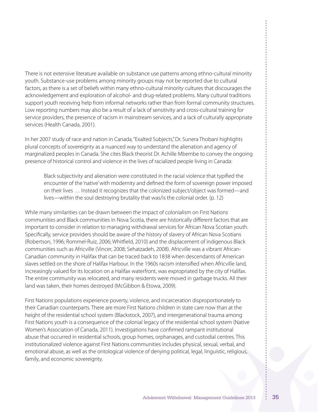There is not extensive literature available on substance use patterns among ethno-cultural minority youth. Substance-use problems among minority groups may not be reported due to cultural factors, as there is a set of beliefs within many ethno-cultural minority cultures that discourages the acknowledgement and exploration of alcohol- and drug-related problems. Many cultural traditions support youth receiving help from informal networks rather than from formal community structures. Low reporting numbers may also be a result of a lack of sensitivity and cross-cultural training for service providers, the presence of racism in mainstream services, and a lack of culturally appropriate services (Health Canada, 2001).

In her 2007 study of race and nation in Canada,"Exalted Subjects,"Dr. Sunera Thobani highlights plural concepts of sovereignty as a nuanced way to understand the alienation and agency of marginalized peoples in Canada. She cites Black theorist Dr. Achille Mbembe to convey the ongoing presence of historical control and violence in the lives of racialized people living in Canada:

Black subjectivity and alienation were constituted in the racial violence that typified the encounter of the 'native'with modernity and defined the form of sovereign power imposed on their lives … Instead it recognizes that the colonized subject/object was formed—and lives—within the soul destroying brutality that was/is the colonial order. (p. 12)

While many similarities can be drawn between the impact of colonialism on First Nations communities and Black communities in Nova Scotia, there are historically different factors that are important to consider in relation to managing withdrawal services for African Nova Scotian youth. Specifically, service providers should be aware of the history of slavery of African Nova Scotians (Robertson, 1996; Rommel-Ruiz, 2006; Whitfield, 2010) and the displacement of indigenous Black communities such as Africville (Vincer, 2008; Sehatzadeh, 2008). Africville was a vibrant African-Canadian community in Halifax that can be traced back to 1838 when descendants of American slaves settled on the shore of Halifax Harbour. In the 1960s racism intensified when Africville land, increasingly valued for its location on a Halifax waterfront, was expropriated by the city of Halifax. The entire community was relocated, and many residents were moved in garbage trucks. All their land was taken, their homes destroyed (McGibbon & Etowa, 2009).

First Nations populations experience poverty, violence, and incarceration disproportionately to their Canadian counterparts. There are more First Nations children in state care now than at the height of the residential school system (Blackstock, 2007), and intergenerational trauma among First Nations youth is a consequence of the colonial legacy of the residential school system (Native Women's Association of Canada, 2011). Investigations have confirmed rampant institutional abuse that occurred in residential schools, group homes, orphanages, and custodial centres. This institutionalized violence against First Nations communities includes physical, sexual, verbal, and emotional abuse, as well as the ontological violence of denying political, legal, linguistic, religious, family, and economic sovereignty.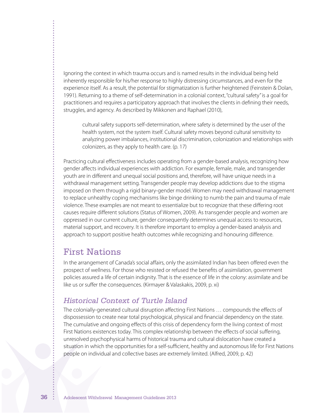Ignoring the context in which trauma occurs and is named results in the individual being held inherently responsible for his/her response to highly distressing circumstances, and even for the experience itself. As a result, the potential for stigmatization is further heightened (Feinstein & Dolan, 1991). Returning to a theme of self-determination in a colonial context,"cultural safety"is a goal for practitioners and requires a participatory approach that involves the clients in defining their needs, struggles, and agency. As described by Mikkonen and Raphael (2010),

cultural safety supports self-determination, where safety is determined by the user of the health system, not the system itself. Cultural safety moves beyond cultural sensitivity to analyzing power imbalances, institutional discrimination, colonization and relationships with colonizers, as they apply to health care. (p. 17)

Practicing cultural effectiveness includes operating from a gender-based analysis, recognizing how gender affects individual experiences with addiction. For example, female, male, and transgender youth are in different and unequal social positions and, therefore, will have unique needs in a withdrawal management setting. Transgender people may develop addictions due to the stigma imposed on them through a rigid binary-gender model. Women may need withdrawal management to replace unhealthy coping mechanisms like binge drinking to numb the pain and trauma of male violence. These examples are not meant to essentialize but to recognize that these differing root causes require different solutions (Status of Women, 2009). As transgender people and women are oppressed in our current culture, gender consequently determines unequal access to resources, material support, and recovery. It is therefore important to employ a gender-based analysis and approach to support positive health outcomes while recognizing and honouring difference.

# First Nations

In the arrangement of Canada's social affairs, only the assimilated Indian has been offered even the prospect of wellness. For those who resisted or refused the benefits of assimilation, government policies assured a life of certain indignity. That is the essence of life in the colony: assimilate and be like us or suffer the consequences. (Kirmayer & Valaskakis, 2009, p. xi)

# *Historical Context of Turtle Island*

The colonially-generated cultural disruption affecting First Nations … compounds the effects of dispossession to create near total psychological, physical and financial dependency on the state. The cumulative and ongoing effects of this crisis of dependency form the living context of most First Nations existences today. This complex relationship between the effects of social suffering, unresolved psychophysical harms of historical trauma and cultural dislocation have created a situation in which the opportunities for a self-sufficient, healthy and autonomous life for First Nations people on individual and collective bases are extremely limited. (Alfred, 2009, p. 42)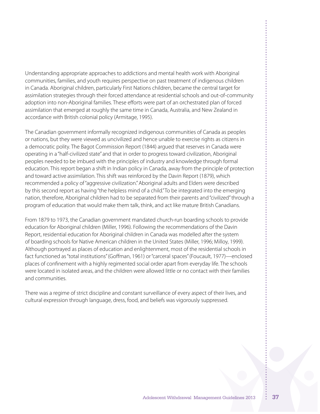Understanding appropriate approaches to addictions and mental health work with Aboriginal communities, families, and youth requires perspective on past treatment of indigenous children in Canada. Aboriginal children, particularly First Nations children, became the central target for assimilation strategies through their forced attendance at residential schools and out-of-community adoption into non-Aboriginal families. These efforts were part of an orchestrated plan of forced assimilation that emerged at roughly the same time in Canada, Australia, and New Zealand in accordance with British colonial policy (Armitage, 1995).

The Canadian government informally recognized indigenous communities of Canada as peoples or nations, but they were viewed as uncivilized and hence unable to exercise rights as citizens in a democratic polity. The Bagot Commission Report (1844) argued that reserves in Canada were operating in a "half-civilized state" and that in order to progress toward civilization, Aboriginal peoples needed to be imbued with the principles of industry and knowledge through formal education. This report began a shift in Indian policy in Canada, away from the principle of protection and toward active assimilation. This shift was reinforced by the Davin Report (1879), which recommended a policy of"aggressive civilization."Aboriginal adults and Elders were described by this second report as having"the helpless mind of a child."To be integrated into the emerging nation, therefore, Aboriginal children had to be separated from their parents and"civilized"through a program of education that would make them talk, think, and act like mature British Canadians.

From 1879 to 1973, the Canadian government mandated church-run boarding schools to provide education for Aboriginal children (Miller, 1996). Following the recommendations of the Davin Report, residential education for Aboriginal children in Canada was modelled after the system of boarding schools for Native American children in the United States (Miller, 1996; Milloy, 1999). Although portrayed as places of education and enlightenment, most of the residential schools in fact functioned as"total institutions"(Goffman, 1961) or"carceral spaces"(Foucault, 1977)—enclosed places of confinement with a highly regimented social order apart from everyday life. The schools were located in isolated areas, and the children were allowed little or no contact with their families and communities.

There was a regime of strict discipline and constant surveillance of every aspect of their lives, and cultural expression through language, dress, food, and beliefs was vigorously suppressed.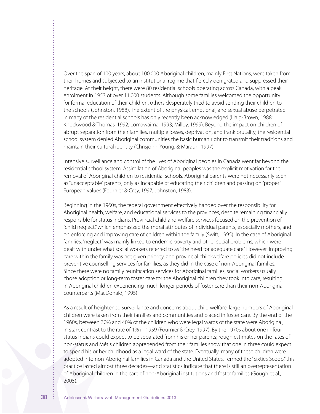Over the span of 100 years, about 100,000 Aboriginal children, mainly First Nations, were taken from their homes and subjected to an institutional regime that fiercely denigrated and suppressed their heritage. At their height, there were 80 residential schools operating across Canada, with a peak enrolment in 1953 of over 11,000 students. Although some families welcomed the opportunity for formal education of their children, others desperately tried to avoid sending their children to the schools (Johnston, 1988). The extent of the physical, emotional, and sexual abuse perpetrated in many of the residential schools has only recently been acknowledged (Haig-Brown, 1988; Knockwood & Thomas, 1992; Lomawaima, 1993; Milloy, 1999). Beyond the impact on children of abrupt separation from their families, multiple losses, deprivation, and frank brutality, the residential school system denied Aboriginal communities the basic human right to transmit their traditions and maintain their cultural identity (Chrisjohn, Young, & Maraun, 1997).

Intensive surveillance and control of the lives of Aboriginal peoples in Canada went far beyond the residential school system. Assimilation of Aboriginal peoples was the explicit motivation for the removal of Aboriginal children to residential schools. Aboriginal parents were not necessarily seen as "unacceptable" parents, only as incapable of educating their children and passing on "proper" European values (Fournier & Crey, 1997; Johnston, 1983).

Beginning in the 1960s, the federal government effectively handed over the responsibility for Aboriginal health, welfare, and educational services to the provinces, despite remaining financially responsible for status Indians. Provincial child and welfare services focused on the prevention of "child neglect,"which emphasized the moral attributes of individual parents, especially mothers, and on enforcing and improving care of children within the family (Swift, 1995). In the case of Aboriginal families,"neglect"was mainly linked to endemic poverty and other social problems, which were dealt with under what social workers referred to as"the need for adequate care."However, improving care within the family was not given priority, and provincial child-welfare policies did not include preventive counselling services for families, as they did in the case of non-Aboriginal families. Since there were no family reunification services for Aboriginal families, social workers usually chose adoption or long-term foster care for the Aboriginal children they took into care, resulting in Aboriginal children experiencing much longer periods of foster care than their non-Aboriginal counterparts (MacDonald, 1995).

As a result of heightened surveillance and concerns about child welfare, large numbers of Aboriginal children were taken from their families and communities and placed in foster care. By the end of the 1960s, between 30% and 40% of the children who were legal wards of the state were Aboriginal, in stark contrast to the rate of 1% in 1959 (Fournier & Crey, 1997). By the 1970s about one in four status Indians could expect to be separated from his or her parents; rough estimates on the rates of non-status and Métis children apprehended from their families show that one in three could expect to spend his or her childhood as a legal ward of the state. Eventually, many of these children were adopted into non-Aboriginal families in Canada and the United States. Termed the "Sixties Scoop,"this practice lasted almost three decades—and statistics indicate that there is still an overrepresentation of Aboriginal children in the care of non-Aboriginal institutions and foster families (Gough et al., 2005).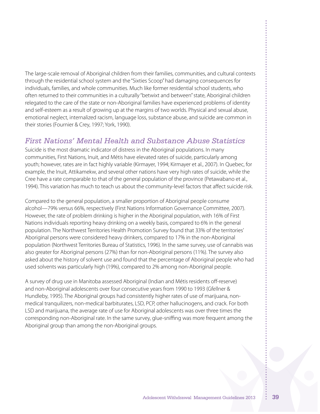The large-scale removal of Aboriginal children from their families, communities, and cultural contexts through the residential school system and the "Sixties Scoop"had damaging consequences for individuals, families, and whole communities. Much like former residential school students, who often returned to their communities in a culturally "betwixt and between"state, Aboriginal children relegated to the care of the state or non-Aboriginal families have experienced problems of identity and self-esteem as a result of growing up at the margins of two worlds. Physical and sexual abuse, emotional neglect, internalized racism, language loss, substance abuse, and suicide are common in their stories (Fournier & Crey, 1997; York, 1990).

# *First Nations' Mental Health and Substance Abuse Statistics*

Suicide is the most dramatic indicator of distress in the Aboriginal populations. In many communities, First Nations, Inuit, and Métis have elevated rates of suicide, particularly among youth; however, rates are in fact highly variable (Kirmayer, 1994; Kirmayer et al., 2007). In Quebec, for example, the Inuit, Attikamekw, and several other nations have very high rates of suicide, while the Cree have a rate comparable to that of the general population of the province (Petawabano et al., 1994). This variation has much to teach us about the community-level factors that affect suicide risk.

Compared to the general population, a smaller proportion of Aboriginal people consume alcohol—79% versus 66%, respectively (First Nations Information Governance Committee, 2007). However, the rate of problem drinking is higher in the Aboriginal population, with 16% of First Nations individuals reporting heavy drinking on a weekly basis, compared to 6% in the general population. The Northwest Territories Health Promotion Survey found that 33% of the territories' Aboriginal persons were considered heavy drinkers, compared to 17% in the non-Aboriginal population (Northwest Territories Bureau of Statistics, 1996). In the same survey, use of cannabis was also greater for Aboriginal persons (27%) than for non-Aboriginal persons (11%). The survey also asked about the history of solvent use and found that the percentage of Aboriginal people who had used solvents was particularly high (19%), compared to 2% among non-Aboriginal people.

A survey of drug use in Manitoba assessed Aboriginal (Indian and Métis residents off-reserve) and non-Aboriginal adolescents over four consecutive years from 1990 to 1993 (Gfellner & Hundleby, 1995). The Aboriginal groups had consistently higher rates of use of marijuana, nonmedical tranquilizers, non-medical barbiturates, LSD, PCP, other hallucinogens, and crack. For both LSD and marijuana, the average rate of use for Aboriginal adolescents was over three times the corresponding non-Aboriginal rate. In the same survey, glue-sniffing was more frequent among the Aboriginal group than among the non-Aboriginal groups.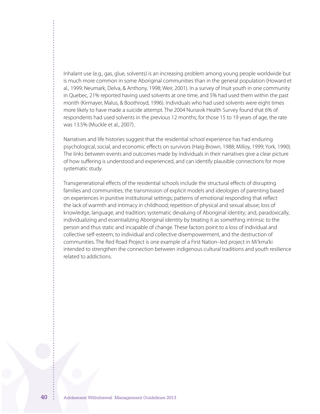Inhalant use (e.g., gas, glue, solvents) is an increasing problem among young people worldwide but is much more common in some Aboriginal communities than in the general population (Howard et al., 1999; Neumark, Delva, & Anthony, 1998; Weir, 2001). In a survey of Inuit youth in one community in Quebec, 21% reported having used solvents at one time, and 5% had used them within the past month (Kirmayer, Malus, & Boothroyd, 1996). Individuals who had used solvents were eight times more likely to have made a suicide attempt. The 2004 Nunavik Health Survey found that 6% of respondents had used solvents in the previous 12 months; for those 15 to 19 years of age, the rate was 13.5% (Muckle et al., 2007).

Narratives and life histories suggest that the residential school experience has had enduring psychological, social, and economic effects on survivors (Haig-Brown, 1988; Milloy, 1999; York, 1990). The links between events and outcomes made by individuals in their narratives give a clear picture of how suffering is understood and experienced, and can identify plausible connections for more systematic study.

Transgenerational effects of the residential schools include the structural effects of disrupting families and communities; the transmission of explicit models and ideologies of parenting based on experiences in punitive institutional settings; patterns of emotional responding that reflect the lack of warmth and intimacy in childhood; repetition of physical and sexual abuse; loss of knowledge, language, and tradition; systematic devaluing of Aboriginal identity; and, paradoxically, individualizing and essentializing Aboriginal identity by treating it as something intrinsic to the person and thus static and incapable of change. These factors point to a loss of individual and collective self-esteem, to individual and collective disempowerment, and the destruction of communities. The Red Road Project is one example of a First Nation–led project in Mi'kma'ki intended to strengthen the connection between indigenous cultural traditions and youth resilience related to addictions.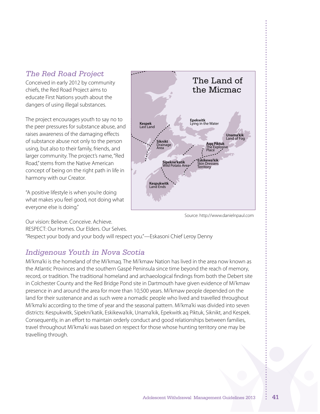# *The Red Road Project*

Conceived in early 2012 by community chiefs, the Red Road Project aims to educate First Nations youth about the dangers of using illegal substances.

The project encourages youth to say no to the peer pressures for substance abuse, and raises awareness of the damaging effects of substance abuse not only to the person using, but also to their family, friends, and larger community. The project's name,"Red Road,"stems from the Native American concept of being on the right path in life in harmony with our Creator.

"A positive lifestyle is when you're doing what makes you feel good, not doing what everyone else is doing."



Source: http://www.danielnpaul.com

Our vision: Believe. Conceive. Achieve.

RESPECT: Our Homes. Our Elders. Our Selves.

"Respect your body and your body will respect you."—Eskasoni Chief Leroy Denny

# *Indigenous Youth in Nova Scotia*

Mi'kma'ki is the homeland of the Mi'kmaq. The Mi'kmaw Nation has lived in the area now known as the Atlantic Provinces and the southern Gaspé Peninsula since time beyond the reach of memory, record, or tradition. The traditional homeland and archaeological findings from both the Debert site in Colchester County and the Red Bridge Pond site in Dartmouth have given evidence of Mi'kmaw presence in and around the area for more than 10,500 years. Mi'kmaw people depended on the land for their sustenance and as such were a nomadic people who lived and travelled throughout Mi'kma'ki according to the time of year and the seasonal pattern. Mi'kma'ki was divided into seven districts: Kespukwitk, Sipekni'katik, Eskikewa'kik, Unama'kik, Epekwitk aq Piktuk, Siknikt, and Kespek. Consequently, in an effort to maintain orderly conduct and good relationships between families, travel throughout Mi'kma'ki was based on respect for those whose hunting territory one may be travelling through.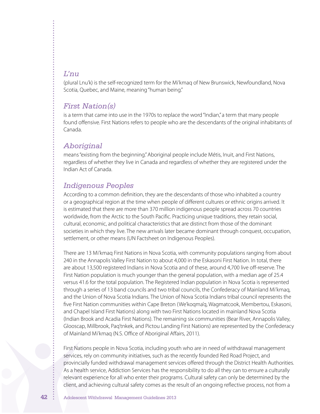### *L'nu*

(plural Lnu'k) is the self-recognized term for the Mi'kmaq of New Brunswick, Newfoundland, Nova Scotia, Quebec, and Maine, meaning"human being."

### *First Nation(s)*

is a term that came into use in the 1970s to replace the word "Indian," a term that many people found offensive. First Nations refers to people who are the descendants of the original inhabitants of Canada.

### *Aboriginal*

means"existing from the beginning."Aboriginal people include Métis, Inuit, and First Nations, regardless of whether they live in Canada and regardless of whether they are registered under the Indian Act of Canada.

### *Indigenous Peoples*

According to a common definition, they are the descendants of those who inhabited a country or a geographical region at the time when people of different cultures or ethnic origins arrived. It is estimated that there are more than 370 million indigenous people spread across 70 countries worldwide, from the Arctic to the South Pacific. Practicing unique traditions, they retain social, cultural, economic, and political characteristics that are distinct from those of the dominant societies in which they live. The new arrivals later became dominant through conquest, occupation, settlement, or other means (UN Factsheet on Indigenous Peoples).

There are 13 Mi'kmaq First Nations in Nova Scotia, with community populations ranging from about 240 in the Annapolis Valley First Nation to about 4,000 in the Eskasoni First Nation. In total, there are about 13,500 registered Indians in Nova Scotia and of these, around 4,700 live off-reserve. The First Nation population is much younger than the general population, with a median age of 25.4 versus 41.6 for the total population. The Registered Indian population in Nova Scotia is represented through a series of 13 band councils and two tribal councils, the Confederacy of Mainland Mi'kmaq, and the Union of Nova Scotia Indians. The Union of Nova Scotia Indians tribal council represents the five First Nation communities within Cape Breton (We'koqma'q, Wagmatcook, Membertou, Eskasoni, and Chapel Island First Nations) along with two First Nations located in mainland Nova Scotia (Indian Brook and Acadia First Nations). The remaining six communities (Bear River, Annapolis Valley, Glooscap, Millbrook, Paq'tnkek, and Pictou Landing First Nations) are represented by the Confederacy of Mainland Mi'kmaq (N.S. Office of Aboriginal Affairs, 2011).

First Nations people in Nova Scotia, including youth who are in need of withdrawal management services, rely on community initiatives, such as the recently founded Red Road Project, and provincially funded withdrawal management services offered through the District Health Authorities. As a health service, Addiction Services has the responsibility to do all they can to ensure a culturally relevant experience for all who enter their programs. Cultural safety can only be determined by the client, and achieving cultural safety comes as the result of an ongoing reflective process, not from a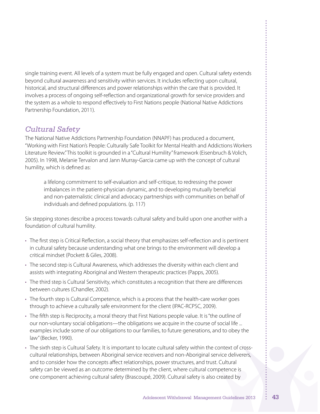single training event. All levels of a system must be fully engaged and open. Cultural safety extends beyond cultural awareness and sensitivity within services. It includes reflecting upon cultural, historical, and structural differences and power relationships within the care that is provided. It involves a process of ongoing self-reflection and organizational growth for service providers and the system as a whole to respond effectively to First Nations people (National Native Addictions Partnership Foundation, 2011).

# *Cultural Safety*

The National Native Addictions Partnership Foundation (NNAPF) has produced a document, "Working with First Nation's People: Culturally Safe Toolkit for Mental Health and Addictions Workers Literature Review."This toolkit is grounded in a "Cultural Humility"framework (Eisenbruch & Volich, 2005). In 1998, Melanie Tervalon and Jann Murray-Garcia came up with the concept of cultural humility, which is defined as:

a lifelong commitment to self-evaluation and self-critique, to redressing the power imbalances in the patient-physician dynamic, and to developing mutually beneficial and non-paternalistic clinical and advocacy partnerships with communities on behalf of individuals and defined populations. (p. 117)

Six stepping stones describe a process towards cultural safety and build upon one another with a foundation of cultural humility.

- The first step is Critical Reflection, a social theory that emphasizes self-reflection and is pertinent in cultural safety because understanding what one brings to the environment will develop a critical mindset (Pockett & Giles, 2008).
- The second step is Cultural Awareness, which addresses the diversity within each client and assists with integrating Aboriginal and Western therapeutic practices (Papps, 2005).
- The third step is Cultural Sensitivity, which constitutes a recognition that there are differences between cultures (Chandler, 2002).
- The fourth step is Cultural Competence, which is a process that the health-care worker goes through to achieve a culturally safe environment for the client (IPAC-RCPSC, 2009).
- • The fifth step is Reciprocity, a moral theory that First Nations people value. It is"the outline of our non-voluntary social obligations—the obligations we acquire in the course of social life ... examples include some of our obligations to our families, to future generations, and to obey the law"(Becker, 1990).
- The sixth step is Cultural Safety. It is important to locate cultural safety within the context of crosscultural relationships, between Aboriginal service receivers and non-Aboriginal service deliverers, and to consider how the concepts affect relationships, power structures, and trust. Cultural safety can be viewed as an outcome determined by the client, where cultural competence is one component achieving cultural safety (Brascoupé, 2009). Cultural safety is also created by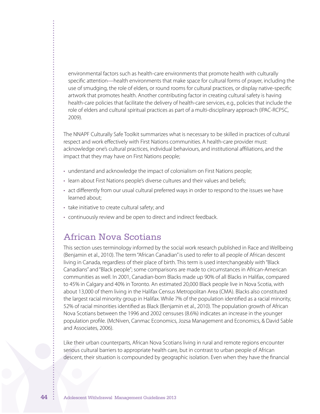environmental factors such as health-care environments that promote health with culturally specific attention—health environments that make space for cultural forms of prayer, including the use of smudging, the role of elders, or round rooms for cultural practices, or display native-specific artwork that promotes health. Another contributing factor in creating cultural safety is having health-care policies that facilitate the delivery of health-care services, e.g., policies that include the role of elders and cultural spiritual practices as part of a multi-disciplinary approach (IPAC-RCPSC, 2009).

The NNAPF Culturally Safe Toolkit summarizes what is necessary to be skilled in practices of cultural respect and work effectively with First Nations communities. A health-care provider must: acknowledge one's cultural practices, individual behaviours, and institutional affiliations, and the impact that they may have on First Nations people;

- understand and acknowledge the impact of colonialism on First Nations people;
- learn about First Nations people's diverse cultures and their values and beliefs;
- • act differently from our usual cultural preferred ways in order to respond to the issues we have learned about;
- take initiative to create cultural safety; and
- continuously review and be open to direct and indirect feedback.

# African Nova Scotians

This section uses terminology informed by the social work research published in Race and Wellbeing (Benjamin et al., 2010). The term"African Canadian"is used to refer to all people of African descent living in Canada, regardless of their place of birth. This term is used interchangeably with"Black Canadians" and"Black people"; some comparisons are made to circumstances in African-American communities as well. In 2001, Canadian-born Blacks made up 90% of all Blacks in Halifax, compared to 45% in Calgary and 40% in Toronto. An estimated 20,000 Black people live in Nova Scotia, with about 13,000 of them living in the Halifax Census Metropolitan Area (CMA). Blacks also constituted the largest racial minority group in Halifax. While 7% of the population identified as a racial minority, 52% of racial minorities identified as Black (Benjamin et al., 2010). The population growth of African Nova Scotians between the 1996 and 2002 censuses (8.6%) indicates an increase in the younger population profile. (McNiven, Canmac Economics, Jozsa Management and Economics, & David Sable and Associates, 2006).

Like their urban counterparts, African Nova Scotians living in rural and remote regions encounter serious cultural barriers to appropriate health care, but in contrast to urban people of African descent, their situation is compounded by geographic isolation. Even when they have the financial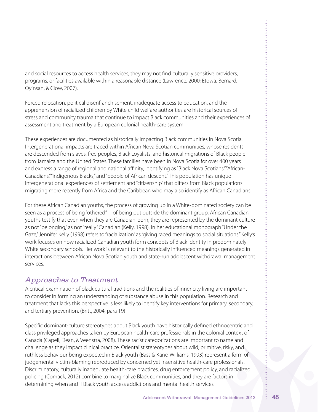and social resources to access health services, they may not find culturally sensitive providers, programs, or facilities available within a reasonable distance (Lawrence, 2000; Etowa, Bernard, Oyinsan, & Clow, 2007).

Forced relocation, political disenfranchisement, inadequate access to education, and the apprehension of racialized children by White child welfare authorities are historical sources of stress and community trauma that continue to impact Black communities and their experiences of assessment and treatment by a European colonial health-care system.

These experiences are documented as historically impacting Black communities in Nova Scotia. Intergenerational impacts are traced within African Nova Scotian communities, whose residents are descended from slaves, free peoples, Black Loyalists, and historical migrations of Black people from Jamaica and the United States. These families have been in Nova Scotia for over 400 years and express a range of regional and national affinity, identifying as"Black Nova Scotians,""African-Canadians,""indigenous Blacks," and"people of African descent."This population has unique intergenerational experiences of settlement and"citizenship"that differs from Black populations migrating more recently from Africa and the Caribbean who may also identify as African Canadians.

For these African Canadian youths, the process of growing up in a White-dominated society can be seen as a process of being "othered"—of being put outside the dominant group. African Canadian youths testify that even when they are Canadian-born, they are represented by the dominant culture as not"belonging," as not"really"Canadian (Kelly, 1998). In her educational monograph"Under the Gaze," Jennifer Kelly (1998) refers to "racialization" as "giving raced meanings to social situations." Kelly's work focuses on how racialized Canadian youth form concepts of Black identity in predominately White secondary schools. Her work is relevant to the historically influenced meanings generated in interactions between African Nova Scotian youth and state-run adolescent withdrawal management services.

# *Approaches to Treatment*

A critical examination of black cultural traditions and the realities of inner city living are important to consider in forming an understanding of substance abuse in this population. Research and treatment that lacks this perspective is less likely to identify key interventions for primary, secondary, and tertiary prevention. (Britt, 2004, para 19)

Specific dominant-culture stereotypes about Black youth have historically defined ethnocentric and class privileged approaches taken by European health-care professionals in the colonial context of Canada (Capell, Dean, & Veenstra, 2008). These racist categorizations are important to name and challenge as they impact clinical practice. Orientalist stereotypes about wild, primitive, risky, and ruthless behaviour being expected in Black youth (Bass & Kane-Williams, 1993) represent a form of judgemental victim-blaming reproduced by concerned yet insensitive health-care professionals. Discriminatory, culturally inadequate health-care practices, drug enforcement policy, and racialized policing (Comack, 2012) combine to marginalize Black communities, and they are factors in determining when and if Black youth access addictions and mental health services.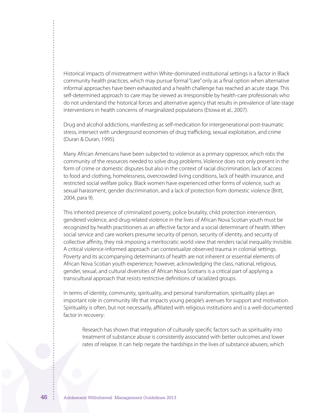Historical impacts of mistreatment within White-dominated institutional settings is a factor in Black community health practices, which may pursue formal"care"only as a final option when alternative informal approaches have been exhausted and a health challenge has reached an acute stage. This self-determined approach to care may be viewed as irresponsible by health-care professionals who do not understand the historical forces and alternative agency that results in prevalence of late-stage interventions in health concerns of marginalized populations (Etowa et al., 2007).

Drug and alcohol addictions, manifesting as self-medication for intergenerational post-traumatic stress, intersect with underground economies of drug trafficking, sexual exploitation, and crime (Duran & Duran, 1995).

Many African Americans have been subjected to violence as a primary oppressor, which robs the community of the resources needed to solve drug problems. Violence does not only present in the form of crime or domestic disputes but also in the context of racial discrimination, lack of access to food and clothing, homelessness, overcrowded living conditions, lack of health insurance, and restricted social welfare policy. Black women have experienced other forms of violence, such as sexual harassment, gender discrimination, and a lack of protection from domestic violence (Britt, 2004, para 9).

This inherited presence of criminalized poverty, police brutality, child protection intervention, gendered violence, and drug-related violence in the lives of African Nova Scotian youth must be recognized by health practitioners as an affective factor and a social determinant of health. When social service and care workers presume security of person, security of identity, and security of collective affinity, they risk imposing a meritocratic world view that renders racial inequality invisible. A critical violence-informed approach can contextualize observed trauma in colonial settings. Poverty and its accompanying determinants of health are not inherent or essential elements of African Nova Scotian youth experience; however, acknowledging the class, national, religious, gender, sexual, and cultural diversities of African Nova Scotians is a critical part of applying a transcultural approach that resists restrictive definitions of racialized groups.

In terms of identity, community, spirituality, and personal transformation, spirituality plays an important role in community life that impacts young people's avenues for support and motivation. Spirituality is often, but not necessarily, affiliated with religious institutions and is a well-documented factor in recovery:

Research has shown that integration of culturally specific factors such as spirituality into treatment of substance abuse is consistently associated with better outcomes and lower rates of relapse. It can help negate the hardships in the lives of substance abusers, which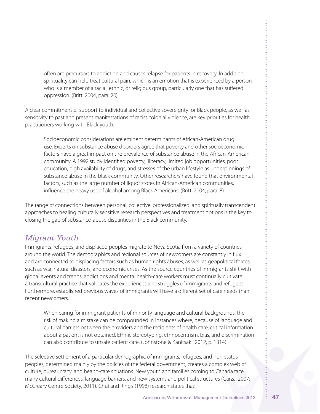often are precursors to addiction and causes relapse for patients in recovery. In addition, spirituality can help treat cultural pain, which is an emotion that is experienced by a person who is a member of a racial, ethnic, or religious group, particularly one that has suffered oppression. (Britt, 2004, para. 20)

A clear commitment of support to individual and collective sovereignty for Black people, as well as sensitivity to past and present manifestations of racist colonial violence, are key priorities for health practitioners working with Black youth.

Socioeconomic considerations are eminent determinants of African-American drug use. Experts on substance abuse disorders agree that poverty and other socioeconomic factors have a great impact on the prevalence of substance abuse in the African-American community. A 1992 study identified poverty, illiteracy, limited job opportunities, poor education, high availability of drugs, and stresses of the urban lifestyle as underpinnings of substance abuse in the black community. Other researchers have found that environmental factors, such as the large number of liquor stores in African-American communities, influence the heavy use of alcohol among Black Americans. (Britt, 2004, para. 8)

The range of connections between personal, collective, professionalized, and spiritually transcendent approaches to healing culturally sensitive research perspectives and treatment options is the key to closing the gap of substance-abuse disparities in the Black community.

# *Migrant Youth*

Immigrants, refugees, and displaced peoples migrate to Nova Scotia from a variety of countries around the world. The demographics and regional sources of newcomers are constantly in flux and are connected to displacing factors such as human rights abuses, as well as geopolitical forces such as war, natural disasters, and economic crises. As the source countries of immigrants shift with global events and trends, addictions and mental health-care workers must continually cultivate a transcultural practice that validates the experiences and struggles of immigrants and refugees. Furthermore, established previous waves of immigrants will have a different set of care needs than recent newcomers.

When caring for immigrant patients of minority language and cultural backgrounds, the risk of making a mistake can be compounded in instances where, because of language and cultural barriers between the providers and the recipients of health care, critical information about a patient is not obtained. Ethnic stereotyping, ethnocentrism, bias, and discrimination can also contribute to unsafe patient care. (Johnstone & Kanitsaki, 2012, p. 1314)

The selective settlement of a particular demographic of immigrants, refugees, and non-status peoples, determined mainly by the policies of the federal government, creates a complex web of culture, bureaucracy, and health-care situations. New youth and families coming to Canada face many cultural differences, language barriers, and new systems and political structures (Garza, 2007; McCreary Centre Society, 2011). Chui and Ring's (1998) research states that: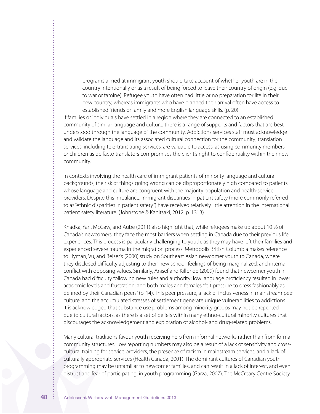programs aimed at immigrant youth should take account of whether youth are in the country intentionally or as a result of being forced to leave their country of origin (e.g. due to war or famine). Refugee youth have often had little or no preparation for life in their new country, whereas immigrants who have planned their arrival often have access to established friends or family and more English language skills. (p. 20)

If families or individuals have settled in a region where they are connected to an established community of similar language and culture, there is a range of supports and factors that are best understood through the language of the community. Addictions services staff must acknowledge and validate the language and its associated cultural connection for the community; translation services, including tele-translating services, are valuable to access, as using community members or children as de facto translators compromises the client's right to confidentiality within their new community.

In contexts involving the health care of immigrant patients of minority language and cultural backgrounds, the risk of things going wrong can be disproportionately high compared to patients whose language and culture are congruent with the majority population and health-service providers. Despite this imbalance, immigrant disparities in patient safety (more commonly referred to as"ethnic disparities in patient safety") have received relatively little attention in the international patient safety literature. (Johnstone & Kanitsaki, 2012, p. 1313)

Khadka, Yan, McGaw, and Aube (2011) also highlight that, while refugees make up about 10 % of Canada's newcomers, they face the most barriers when settling in Canada due to their previous life experiences. This process is particularly challenging to youth, as they may have left their families and experienced severe trauma in the migration process. Metropolis British Columbia makes reference to Hyman, Vu, and Beiser's (2000) study on Southeast Asian newcomer youth to Canada, where they disclosed difficulty adjusting to their new school, feelings of being marginalized, and internal conflict with opposing values. Similarly, Anisef and Killbride (2009) found that newcomer youth in Canada had difficulty following new rules and authority; low language proficiency resulted in lower academic levels and frustration; and both males and females"felt pressure to dress fashionably as defined by their Canadian peers"(p. 14). This peer pressure, a lack of inclusiveness in mainstream peer culture, and the accumulated stresses of settlement generate unique vulnerabilities to addictions. It is acknowledged that substance use problems among minority groups may not be reported due to cultural factors, as there is a set of beliefs within many ethno-cultural minority cultures that discourages the acknowledgement and exploration of alcohol- and drug-related problems.

Many cultural traditions favour youth receiving help from informal networks rather than from formal community structures. Low reporting numbers may also be a result of a lack of sensitivity and crosscultural training for service providers, the presence of racism in mainstream services, and a lack of culturally appropriate services (Health Canada, 2001). The dominant cultures of Canadian youth programming may be unfamiliar to newcomer families, and can result in a lack of interest, and even distrust and fear of participating, in youth programming (Garza, 2007). The McCreary Centre Society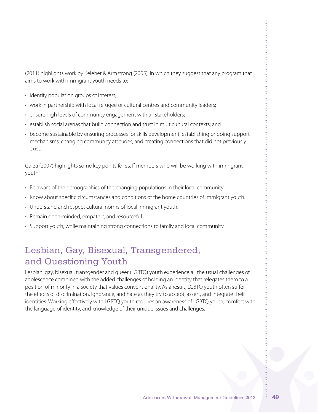(2011) highlights work by Keleher & Armstrong (2005), in which they suggest that any program that aims to work with immigrant youth needs to:

- identify population groups of interest;
- work in partnership with local refugee or cultural centres and community leaders;
- ensure high levels of community engagement with all stakeholders;
- establish social arenas that build connection and trust in multicultural contexts; and
- • become sustainable by ensuring processes for skills development, establishing ongoing support mechanisms, changing community attitudes, and creating connections that did not previously exist.

Garza (2007) highlights some key points for staff members who will be working with immigrant youth:

- • Be aware of the demographics of the changing populations in their local community.
- • Know about specific circumstances and conditions of the home countries of immigrant youth.
- Understand and respect cultural norms of local immigrant youth.
- Remain open-minded, empathic, and resourceful.
- • Support youth, while maintaining strong connections to family and local community.

# Lesbian, Gay, Bisexual, Transgendered, and Questioning Youth

Lesbian, gay, bisexual, transgender and queer (LGBTQ) youth experience all the usual challenges of adolescence combined with the added challenges of holding an identity that relegates them to a position of minority in a society that values conventionality. As a result, LGBTQ youth often suffer the effects of discrimination, ignorance, and hate as they try to accept, assert, and integrate their identities. Working effectively with LGBTQ youth requires an awareness of LGBTQ youth, comfort with the language of identity, and knowledge of their unique issues and challenges.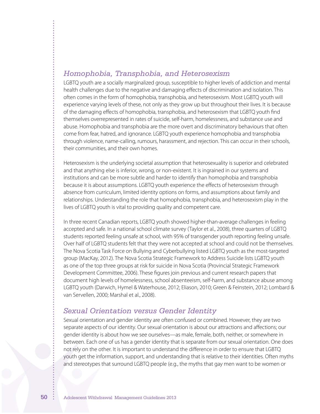### *Homophobia, Transphobia, and Heterosexism*

LGBTQ youth are a socially marginalized group, susceptible to higher levels of addiction and mental health challenges due to the negative and damaging effects of discrimination and isolation. This often comes in the form of homophobia, transphobia, and heterosexism. Most LGBTQ youth will experience varying levels of these, not only as they grow up but throughout their lives. It is because of the damaging effects of homophobia, transphobia, and heterosexism that LGBTQ youth find themselves overrepresented in rates of suicide, self-harm, homelessness, and substance use and abuse. Homophobia and transphobia are the more overt and discriminatory behaviours that often come from fear, hatred, and ignorance. LGBTQ youth experience homophobia and transphobia through violence, name-calling, rumours, harassment, and rejection. This can occur in their schools, their communities, and their own homes.

Heterosexism is the underlying societal assumption that heterosexuality is superior and celebrated and that anything else is inferior, wrong, or non-existent. It is ingrained in our systems and institutions and can be more subtle and harder to identify than homophobia and transphobia because it is about assumptions. LGBTQ youth experience the effects of heterosexism through absence from curriculum, limited identity options on forms, and assumptions about family and relationships. Understanding the role that homophobia, transphobia, and heterosexism play in the lives of LGBTQ youth is vital to providing quality and competent care.

In three recent Canadian reports, LGBTQ youth showed higher-than-average challenges in feeling accepted and safe. In a national school climate survey (Taylor et al., 2008), three quarters of LGBTQ students reported feeling unsafe at school, with 95% of transgender youth reporting feeling unsafe. Over half of LGBTQ students felt that they were not accepted at school and could not be themselves. The Nova Scotia Task Force on Bullying and Cyberbullying listed LGBTQ youth as the most-targeted group (MacKay, 2012). The Nova Scotia Strategic Framework to Address Suicide lists LGBTQ youth as one of the top three groups at risk for suicide in Nova Scotia (Provincial Strategic Framework Development Committee, 2006). These figures join previous and current research papers that document high levels of homelessness, school absenteeism, self-harm, and substance abuse among LGBTQ youth (Darwich, Hymel & Waterhouse, 2012; Eliason, 2010; Green & Feinstein, 2012; Lombard & van Servellen, 2000; Marshal et al., 2008).

### *Sexual Orientation versus Gender Identity*

Sexual orientation and gender identity are often confused or combined. However, they are two separate aspects of our identity. Our sexual orientation is about our attractions and affections; our gender identity is about how we see ourselves—as male, female, both, neither, or somewhere in between. Each one of us has a gender identity that is separate from our sexual orientation. One does not rely on the other. It is important to understand the difference in order to ensure that LGBTQ youth get the information, support, and understanding that is relative to their identities. Often myths and stereotypes that surround LGBTQ people (e.g., the myths that gay men want to be women or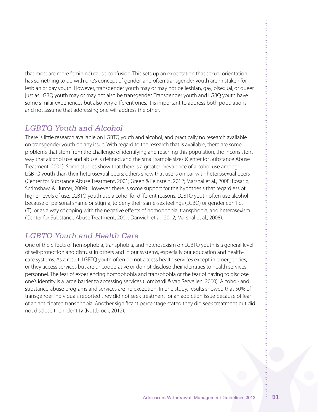that most are more feminine) cause confusion. This sets up an expectation that sexual orientation has something to do with one's concept of gender, and often transgender youth are mistaken for lesbian or gay youth. However, transgender youth may or may not be lesbian, gay, bisexual, or queer, just as LGBQ youth may or may not also be transgender. Transgender youth and LGBQ youth have some similar experiences but also very different ones. It is important to address both populations and not assume that addressing one will address the other.

# *LGBTQ Youth and Alcohol*

There is little research available on LGBTQ youth and alcohol, and practically no research available on transgender youth on any issue. With regard to the research that is available, there are some problems that stem from the challenge of identifying and reaching this population, the inconsistent way that alcohol use and abuse is defined, and the small sample sizes (Center for Substance Abuse Treatment, 2001). Some studies show that there is a greater prevalence of alcohol use among LGBTQ youth than their heterosexual peers; others show that use is on par with heterosexual peers (Center for Substance Abuse Treatment, 2001; Green & Feinstein, 2012; Marshal et al., 2008; Rosario, Scrimshaw, & Hunter, 2009). However, there is some support for the hypothesis that regardless of higher levels of use, LGBTQ youth use alcohol for different reasons. LGBTQ youth often use alcohol because of personal shame or stigma, to deny their same-sex feelings (LGBQ) or gender conflict (T), or as a way of coping with the negative effects of homophobia, transphobia, and heterosexism (Center for Substance Abuse Treatment, 2001; Darwich et al., 2012; Marshal et al., 2008).

# *LGBTQ Youth and Health Care*

One of the effects of homophobia, transphobia, and heterosexism on LGBTQ youth is a general level of self-protection and distrust in others and in our systems, especially our education and healthcare systems. As a result, LGBTQ youth often do not access health services except in emergencies, or they access services but are uncooperative or do not disclose their identities to health services personnel. The fear of experiencing homophobia and transphobia or the fear of having to disclose one's identity is a large barrier to accessing services (Lombardi & van Servellen, 2000). Alcohol- and substance-abuse programs and services are no exception. In one study, results showed that 50% of transgender individuals reported they did not seek treatment for an addiction issue because of fear of an anticipated transphobia. Another significant percentage stated they did seek treatment but did not disclose their identity (Nuttbrock, 2012).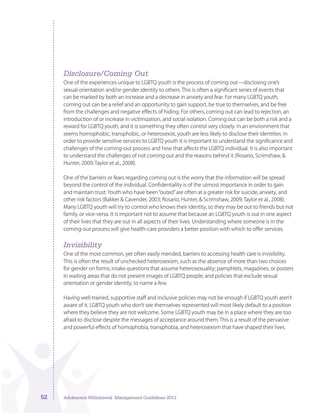### *Disclosure/Coming Out*

One of the experiences unique to LGBTQ youth is the process of coming out—disclosing one's sexual orientation and/or gender identity to others. This is often a significant series of events that can be marked by both an increase and a decrease in anxiety and fear. For many LGBTQ youth, coming out can be a relief and an opportunity to gain support, be true to themselves, and be free from the challenges and negative effects of hiding. For others, coming out can lead to rejection, an introduction of or increase in victimization, and social isolation. Coming out can be both a risk and a reward for LGBTQ youth, and it is something they often control very closely. In an environment that seems homophobic, transphobic, or heterosexist, youth are less likely to disclose their identities. In order to provide sensitive services to LGBTQ youth it is important to understand the significance and challenges of the coming-out process and how that affects the LGBTQ individual. It is also important to understand the challenges of not coming out and the reasons behind it (Rosario, Scrimshaw, & Hunter, 2009; Taylor et al., 2008).

One of the barriers or fears regarding coming out is the worry that the information will be spread beyond the control of the individual. Confidentiality is of the utmost importance in order to gain and maintain trust. Youth who have been"outed" are often at a greater risk for suicide, anxiety, and other risk factors (Bakker & Cavender, 2003; Rosario, Hunter, & Scrimshaw, 2009; Taylor et al., 2008). Many LGBTQ youth will try to control who knows their identity, so they may be out to friends but not family, or vice-versa. It is important not to assume that because an LGBTQ youth is out in one aspect of their lives that they are out in all aspects of their lives. Understanding where someone is in the coming-out process will give health-care providers a better position with which to offer services.

### *Invisibility*

One of the most common, yet often easily mended, barriers to accessing health care is invisibility. This is often the result of unchecked heterosexism, such as the absence of more than two choices for gender on forms; intake questions that assume heterosexuality; pamphlets, magazines, or posters in waiting areas that do not present images of LGBTQ people; and policies that exclude sexual orientation or gender identity, to name a few.

Having well-trained, supportive staff and inclusive policies may not be enough if LGBTQ youth aren't aware of it. LGBTQ youth who don't see themselves represented will most likely default to a position where they believe they are not welcome. Some LGBTQ youth may be in a place where they are too afraid to disclose despite the messages of acceptance around them. This is a result of the pervasive and powerful effects of homophobia, transphobia, and heterosexism that have shaped their lives.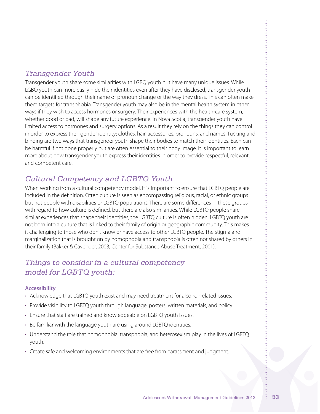# *Transgender Youth*

Transgender youth share some similarities with LGBQ youth but have many unique issues. While LGBQ youth can more easily hide their identities even after they have disclosed, transgender youth can be identified through their name or pronoun change or the way they dress. This can often make them targets for transphobia. Transgender youth may also be in the mental health system in other ways if they wish to access hormones or surgery. Their experiences with the health-care system, whether good or bad, will shape any future experience. In Nova Scotia, transgender youth have limited access to hormones and surgery options. As a result they rely on the things they can control in order to express their gender identity: clothes, hair, accessories, pronouns, and names. Tucking and binding are two ways that transgender youth shape their bodies to match their identities. Each can be harmful if not done properly but are often essential to their body image. It is important to learn more about how transgender youth express their identities in order to provide respectful, relevant, and competent care.

# *Cultural Competency and LGBTQ Youth*

When working from a cultural competency model, it is important to ensure that LGBTQ people are included in the definition. Often culture is seen as encompassing religious, racial, or ethnic groups but not people with disabilities or LGBTQ populations. There are some differences in these groups with regard to how culture is defined, but there are also similarities. While LGBTQ people share similar experiences that shape their identities, the LGBTQ culture is often hidden. LGBTQ youth are not born into a culture that is linked to their family of origin or geographic community. This makes it challenging to those who don't know or have access to other LGBTQ people. The stigma and marginalization that is brought on by homophobia and transphobia is often not shared by others in their family (Bakker & Cavender, 2003; Center for Substance Abuse Treatment, 2001).

# *Things to consider in a cultural competency model for LGBTQ youth:*

#### **Accessibility**

- • Acknowledge that LGBTQ youth exist and may need treatment for alcohol-related issues.
- Provide visibility to LGBTQ youth through language, posters, written materials, and policy.
- Ensure that staff are trained and knowledgeable on LGBTQ youth issues.
- Be familiar with the language youth are using around LGBTQ identities.
- • Understand the role that homophobia, transphobia, and heterosexism play in the lives of LGBTQ youth.
- • Create safe and welcoming environments that are free from harassment and judgment.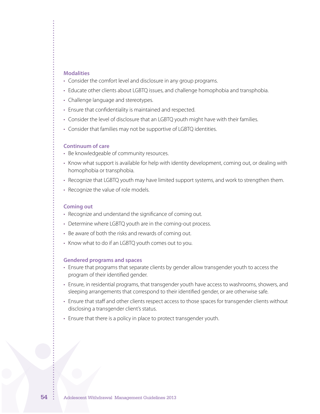#### **Modalities**

- Consider the comfort level and disclosure in any group programs.
- Educate other clients about LGBTQ issues, and challenge homophobia and transphobia.
- Challenge language and stereotypes.
- Ensure that confidentiality is maintained and respected.
- Consider the level of disclosure that an LGBTQ youth might have with their families.
- Consider that families may not be supportive of LGBTQ identities.

#### **Continuum of care**

- Be knowledgeable of community resources.
- • Know what support is available for help with identity development, coming out, or dealing with homophobia or transphobia.
- • Recognize that LGBTQ youth may have limited support systems, and work to strengthen them.
- Recognize the value of role models.

#### **Coming out**

- Recognize and understand the significance of coming out.
- Determine where LGBTQ youth are in the coming-out process.
- Be aware of both the risks and rewards of coming out.
- Know what to do if an LGBTQ youth comes out to you.

#### **Gendered programs and spaces**

- Ensure that programs that separate clients by gender allow transgender youth to access the program of their identified gender.
- Ensure, in residential programs, that transgender youth have access to washrooms, showers, and sleeping arrangements that correspond to their identified gender, or are otherwise safe.
- • Ensure that staff and other clients respect access to those spaces for transgender clients without disclosing a transgender client's status.
- Ensure that there is a policy in place to protect transgender youth.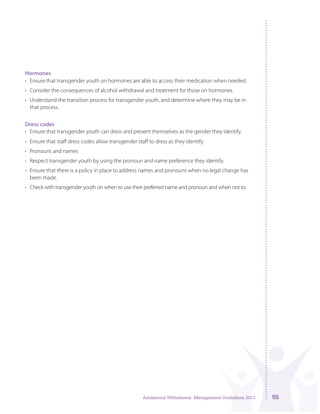#### **Hormones**

- Ensure that transgender youth on hormones are able to access their medication when needed.
- Consider the consequences of alcohol withdrawal and treatment for those on hormones.
- Understand the transition process for transgender youth, and determine where they may be in that process.

#### **Dress codes**

- Ensure that transgender youth can dress and present themselves as the gender they identify.
- Ensure that staff dress codes allow transgender staff to dress as they identify.
- • Pronouns and names
- Respect transgender youth by using the pronoun and name preference they identify.
- Ensure that there is a policy in place to address names and pronouns when no legal change has been made.
- Check with transgender youth on when to use their preferred name and pronoun and when not to.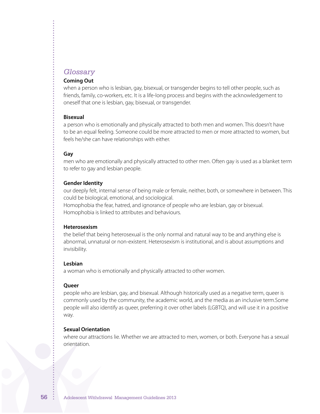### *Glossary*

#### **Coming Out**

when a person who is lesbian, gay, bisexual, or transgender begins to tell other people, such as friends, family, co-workers, etc. It is a life-long process and begins with the acknowledgement to oneself that one is lesbian, gay, bisexual, or transgender.

#### **Bisexual**

a person who is emotionally and physically attracted to both men and women. This doesn't have to be an equal feeling. Someone could be more attracted to men or more attracted to women, but feels he/she can have relationships with either.

#### **Gay**

men who are emotionally and physically attracted to other men. Often gay is used as a blanket term to refer to gay and lesbian people.

#### **Gender Identity**

our deeply felt, internal sense of being male or female, neither, both, or somewhere in between. This could be biological, emotional, and sociological.

Homophobia the fear, hatred, and ignorance of people who are lesbian, gay or bisexual. Homophobia is linked to attributes and behaviours.

#### **Heterosexism**

the belief that being heterosexual is the only normal and natural way to be and anything else is abnormal, unnatural or non-existent. Heterosexism is institutional, and is about assumptions and invisibility.

#### **Lesbian**

a woman who is emotionally and physically attracted to other women.

#### **Queer**

people who are lesbian, gay, and bisexual. Although historically used as a negative term, queer is commonly used by the community, the academic world, and the media as an inclusive term.Some people will also identify as queer, preferring it over other labels (LGBTQ), and will use it in a positive way.

#### **Sexual Orientation**

where our attractions lie. Whether we are attracted to men, women, or both. Everyone has a sexual orientation.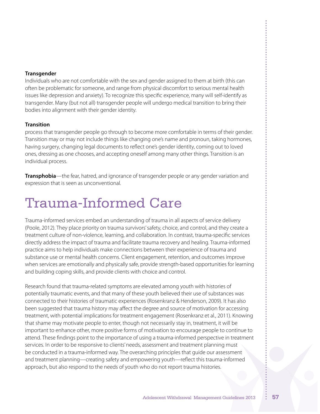#### **Transgender**

Individuals who are not comfortable with the sex and gender assigned to them at birth (this can often be problematic for someone, and range from physical discomfort to serious mental health issues like depression and anxiety). To recognize this specific experience, many will self-identify as transgender. Many (but not all) transgender people will undergo medical transition to bring their bodies into alignment with their gender identity.

#### **Transition**

process that transgender people go through to become more comfortable in terms of their gender. Transition may or may not include things like changing one's name and pronoun, taking hormones, having surgery, changing legal documents to reflect one's gender identity, coming out to loved ones, dressing as one chooses, and accepting oneself among many other things. Transition is an individual process.

**Transphobia**—the fear, hatred, and ignorance of transgender people or any gender variation and expression that is seen as unconventional.

# Trauma-Informed Care

Trauma-informed services embed an understanding of trauma in all aspects of service delivery (Poole, 2012). They place priority on trauma survivors'safety, choice, and control, and they create a treatment culture of non-violence, learning, and collaboration. In contrast, trauma-specific services directly address the impact of trauma and facilitate trauma recovery and healing. Trauma-informed practice aims to help individuals make connections between their experience of trauma and substance use or mental health concerns. Client engagement, retention, and outcomes improve when services are emotionally and physically safe, provide strength-based opportunities for learning and building coping skills, and provide clients with choice and control.

Research found that trauma-related symptoms are elevated among youth with histories of potentially traumatic events, and that many of these youth believed their use of substances was connected to their histories of traumatic experiences (Rosenkranz & Henderson, 2009). It has also been suggested that trauma history may affect the degree and source of motivation for accessing treatment, with potential implications for treatment engagement (Rosenkranz et al., 2011). Knowing that shame may motivate people to enter, though not necessarily stay in, treatment, it will be important to enhance other, more positive forms of motivation to encourage people to continue to attend. These findings point to the importance of using a trauma-informed perspective in treatment services. In order to be responsive to clients'needs, assessment and treatment planning must be conducted in a trauma-informed way. The overarching principles that guide our assessment and treatment planning—creating safety and empowering youth—reflect this trauma-informed approach, but also respond to the needs of youth who do not report trauma histories.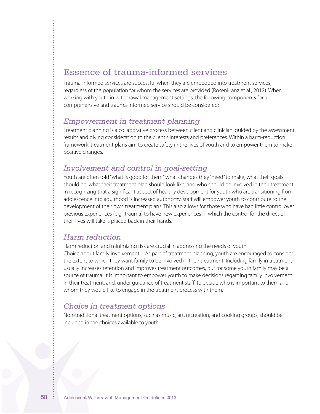# Essence of trauma-informed services

Trauma-informed services are successful when they are embedded into treatment services, regardless of the population for whom the services are provided (Rosenkranz et al., 2012). When working with youth in withdrawal management settings, the following components for a comprehensive and trauma-informed service should be considered:

### *Empowerment in treatment planning*

Treatment planning is a collaborative process between client and clinician, guided by the assessment results and giving consideration to the client's interests and preferences. Within a harm-reduction framework, treatment plans aim to create safety in the lives of youth and to empower them to make positive changes.

### *Involvement and control in goal-setting*

Youth are often told "what is good for them," what changes they "need" to make, what their goals should be, what their treatment plan should look like, and who should be involved in their treatment. In recognizing that a significant aspect of healthy development for youth who are transitioning from adolescence into adulthood is increased autonomy, staff will empower youth to contribute to the development of their own treatment plans. This also allows for those who have had little control over previous experiences (e.g., trauma) to have new experiences in which the control for the direction their lives will take is placed back in their hands.

# *Harm reduction*

Harm reduction and minimizing risk are crucial in addressing the needs of youth. Choice about family involvement—As part of treatment planning, youth are encouraged to consider the extent to which they want family to be involved in their treatment. Including family in treatment usually increases retention and improves treatment outcomes, but for some youth family may be a source of trauma. It is important to empower youth to make decisions regarding family involvement in their treatment, and, under guidance of treatment staff, to decide who is important to them and whom they would like to engage in the treatment process with them.

### *Choice in treatment options*

Non-traditional treatment options, such as music, art, recreation, and cooking groups, should be included in the choices available to youth.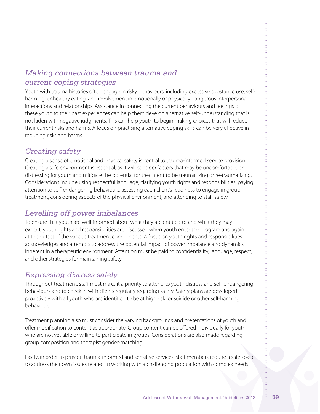# *Making connections between trauma and current coping strategies*

Youth with trauma histories often engage in risky behaviours, including excessive substance use, selfharming, unhealthy eating, and involvement in emotionally or physically dangerous interpersonal interactions and relationships. Assistance in connecting the current behaviours and feelings of these youth to their past experiences can help them develop alternative self-understanding that is not laden with negative judgments. This can help youth to begin making choices that will reduce their current risks and harms. A focus on practising alternative coping skills can be very effective in reducing risks and harms.

# *Creating safety*

Creating a sense of emotional and physical safety is central to trauma-informed service provision. Creating a safe environment is essential, as it will consider factors that may be uncomfortable or distressing for youth and mitigate the potential for treatment to be traumatizing or re-traumatizing. Considerations include using respectful language, clarifying youth rights and responsibilities, paying attention to self-endangering behaviours, assessing each client's readiness to engage in group treatment, considering aspects of the physical environment, and attending to staff safety.

# *Levelling off power imbalances*

To ensure that youth are well-informed about what they are entitled to and what they may expect, youth rights and responsibilities are discussed when youth enter the program and again at the outset of the various treatment components. A focus on youth rights and responsibilities acknowledges and attempts to address the potential impact of power imbalance and dynamics inherent in a therapeutic environment. Attention must be paid to confidentiality, language, respect, and other strategies for maintaining safety.

# *Expressing distress safely*

Throughout treatment, staff must make it a priority to attend to youth distress and self-endangering behaviours and to check in with clients regularly regarding safety. Safety plans are developed proactively with all youth who are identified to be at high risk for suicide or other self-harming behaviour.

Treatment planning also must consider the varying backgrounds and presentations of youth and offer modification to content as appropriate. Group content can be offered individually for youth who are not yet able or willing to participate in groups. Considerations are also made regarding group composition and therapist gender-matching.

Lastly, in order to provide trauma-informed and sensitive services, staff members require a safe space to address their own issues related to working with a challenging population with complex needs.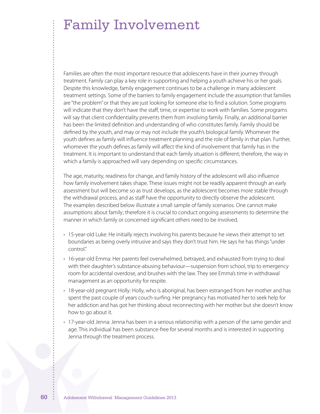Families are often the most important resource that adolescents have in their journey through treatment. Family can play a key role in supporting and helping a youth achieve his or her goals. Despite this knowledge, family engagement continues to be a challenge in many adolescent treatment settings. Some of the barriers to family engagement include the assumption that families are "the problem"or that they are just looking for someone else to find a solution. Some programs will indicate that they don't have the staff, time, or expertise to work with families. Some programs will say that client confidentiality prevents them from involving family. Finally, an additional barrier has been the limited definition and understanding of who constitutes family. Family should be defined by the youth, and may or may not include the youth's biological family. Whomever the youth defines as family will influence treatment planning and the role of family in that plan. Further, whomever the youth defines as family will affect the kind of involvement that family has in the treatment. It is important to understand that each family situation is different; therefore, the way in which a family is approached will vary depending on specific circumstances.

The age, maturity, readiness for change, and family history of the adolescent will also influence how family involvement takes shape. These issues might not be readily apparent through an early assessment but will become so as trust develops, as the adolescent becomes more stable through the withdrawal process, and as staff have the opportunity to directly observe the adolescent. The examples described below illustrate a small sample of family scenarios. One cannot make assumptions about family; therefore it is crucial to conduct ongoing assessments to determine the manner in which family or concerned significant others need to be involved.

- • 15-year-old Luke: He initially rejects involving his parents because he views their attempt to set boundaries as being overly intrusive and says they don't trust him. He says he has things"under control."
- 16-year-old Emma: Her parents feel overwhelmed, betrayed, and exhausted from trying to deal with their daughter's substance-abusing behaviour—suspension from school, trip to emergency room for accidental overdose, and brushes with the law. They see Emma's time in withdrawal management as an opportunity for respite.
- 18-year-old pregnant Holly: Holly, who is aboriginal, has been estranged from her mother and has spent the past couple of years couch-surfing. Her pregnancy has motivated her to seek help for her addiction and has got her thinking about reconnecting with her mother but she doesn't know how to go about it.
- • 17-year-old Jenna: Jenna has been in a serious relationship with a person of the same gender and age. This individual has been substance-free for several months and is interested in supporting Jenna through the treatment process.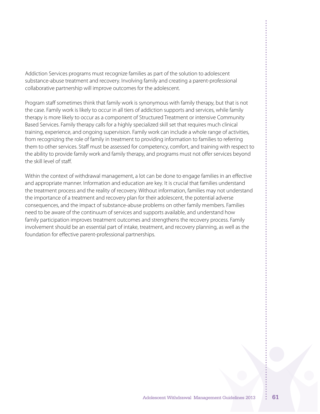Addiction Services programs must recognize families as part of the solution to adolescent substance-abuse treatment and recovery. Involving family and creating a parent-professional collaborative partnership will improve outcomes for the adolescent.

Program staff sometimes think that family work is synonymous with family therapy, but that is not the case. Family work is likely to occur in all tiers of addiction supports and services, while family therapy is more likely to occur as a component of Structured Treatment or intensive Community Based Services. Family therapy calls for a highly specialized skill set that requires much clinical training, experience, and ongoing supervision. Family work can include a whole range of activities, from recognizing the role of family in treatment to providing information to families to referring them to other services. Staff must be assessed for competency, comfort, and training with respect to the ability to provide family work and family therapy, and programs must not offer services beyond the skill level of staff.

Within the context of withdrawal management, a lot can be done to engage families in an effective and appropriate manner. Information and education are key. It is crucial that families understand the treatment process and the reality of recovery. Without information, families may not understand the importance of a treatment and recovery plan for their adolescent, the potential adverse consequences, and the impact of substance-abuse problems on other family members. Families need to be aware of the continuum of services and supports available, and understand how family participation improves treatment outcomes and strengthens the recovery process. Family involvement should be an essential part of intake, treatment, and recovery planning, as well as the foundation for effective parent-professional partnerships.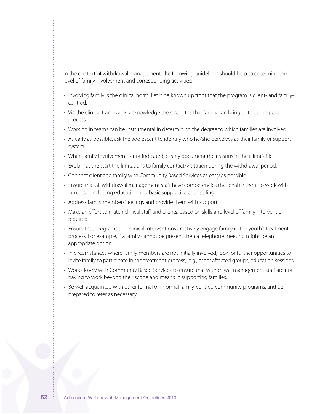In the context of withdrawal management, the following guidelines should help to determine the level of family involvement and corresponding activities:

- • Involving family is the clinical norm. Let it be known up front that the program is client- and familycentred.
- • Via the clinical framework, acknowledge the strengths that family can bring to the therapeutic process.
- • Working in teams can be instrumental in determining the degree to which families are involved.
- • As early as possible, ask the adolescent to identify who he/she perceives as their family or support system.
- When family involvement is not indicated, clearly document the reasons in the client's file.
- • Explain at the start the limitations to family contact/visitation during the withdrawal period.
- Connect client and family with Community Based Services as early as possible.
- • Ensure that all withdrawal management staff have competencies that enable them to work with families—including education and basic supportive counselling.
- Address family members' feelings and provide them with support.
- Make an effort to match clinical staff and clients, based on skills and level of family intervention required.
- • Ensure that programs and clinical interventions creatively engage family in the youth's treatment process. For example, if a family cannot be present then a telephone meeting might be an appropriate option.
- In circumstances where family members are not initially involved, look for further opportunities to invite family to participate in the treatment process, e.g., other affected groups, education sessions.
- • Work closely with Community Based Services to ensure that withdrawal management staff are not having to work beyond their scope and means in supporting families.
- • Be well acquainted with other formal or informal family-centred community programs, and be prepared to refer as necessary.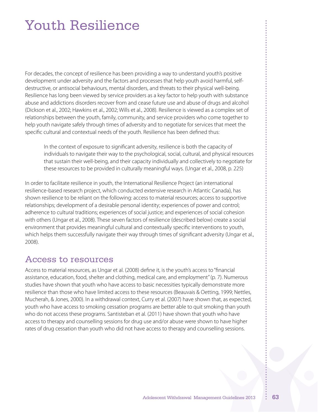# Youth Resilience

For decades, the concept of resilience has been providing a way to understand youth's positive development under adversity and the factors and processes that help youth avoid harmful, selfdestructive, or antisocial behaviours, mental disorders, and threats to their physical well-being. Resilience has long been viewed by service providers as a key factor to help youth with substance abuse and addictions disorders recover from and cease future use and abuse of drugs and alcohol (Dickson et al., 2002; Hawkins et al., 2002; Wills et al., 2008). Resilience is viewed as a complex set of relationships between the youth, family, community, and service providers who come together to help youth navigate safely through times of adversity and to negotiate for services that meet the specific cultural and contextual needs of the youth. Resilience has been defined thus:

In the context of exposure to significant adversity, resilience is both the capacity of individuals to navigate their way to the psychological, social, cultural, and physical resources that sustain their well-being, and their capacity individually and collectively to negotiate for these resources to be provided in culturally meaningful ways. (Ungar et al., 2008, p. 225)

In order to facilitate resilience in youth, the International Resilience Project (an international resilience-based research project, which conducted extensive research in Atlantic Canada), has shown resilience to be reliant on the following: access to material resources; access to supportive relationships; development of a desirable personal identity; experiences of power and control; adherence to cultural traditions; experiences of social justice; and experiences of social cohesion with others (Ungar et al., 2008). These seven factors of resilience (described below) create a social environment that provides meaningful cultural and contextually specific interventions to youth, which helps them successfully navigate their way through times of significant adversity (Ungar et al., 2008).

# Access to resources

Access to material resources, as Ungar et al. (2008) define it, is the youth's access to"financial assistance, education, food, shelter and clothing, medical care, and employment"(p. 7). Numerous studies have shown that youth who have access to basic necessities typically demonstrate more resilience than those who have limited access to these resources (Beauvais & Oetting, 1999; Nettles, Mucherah, & Jones, 2000). In a withdrawal context, Curry et al. (2007) have shown that, as expected, youth who have access to smoking cessation programs are better able to quit smoking than youth who do not access these programs. Santisteban et al. (2011) have shown that youth who have access to therapy and counselling sessions for drug use and/or abuse were shown to have higher rates of drug cessation than youth who did not have access to therapy and counselling sessions.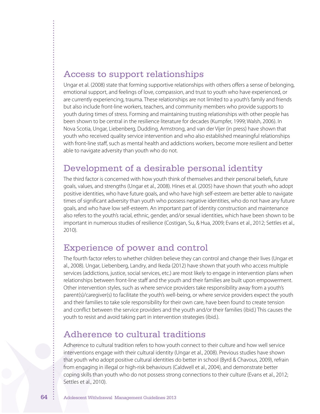# Access to support relationships

Ungar et al. (2008) state that forming supportive relationships with others offers a sense of belonging, emotional support, and feelings of love, compassion, and trust to youth who have experienced, or are currently experiencing, trauma. These relationships are not limited to a youth's family and friends but also include front-line workers, teachers, and community members who provide supports to youth during times of stress. Forming and maintaining trusting relationships with other people has been shown to be central in the resilience literature for decades (Kumpfer, 1999; Walsh, 2006). In Nova Scotia, Ungar, Liebenberg, Dudding, Armstrong, and van der Vijer (in press) have shown that youth who received quality service intervention and who also established meaningful relationships with front-line staff, such as mental health and addictions workers, become more resilient and better able to navigate adversity than youth who do not.

# Development of a desirable personal identity

The third factor is concerned with how youth think of themselves and their personal beliefs, future goals, values, and strengths (Ungar et al., 2008). Hines et al. (2005) have shown that youth who adopt positive identities, who have future goals, and who have high self-esteem are better able to navigate times of significant adversity than youth who possess negative identities, who do not have any future goals, and who have low self-esteem. An important part of identity construction and maintenance also refers to the youth's racial, ethnic, gender, and/or sexual identities, which have been shown to be important in numerous studies of resilience (Costigan, Su, & Hua, 2009; Evans et al., 2012; Settles et al., 2010).

# Experience of power and control

The fourth factor refers to whether children believe they can control and change their lives (Ungar et al., 2008). Ungar, Liebenberg, Landry, and Ikeda (2012) have shown that youth who access multiple services (addictions, justice, social services, etc.) are most likely to engage in intervention plans when relationships between front-line staff and the youth and their families are built upon empowerment. Other intervention styles, such as where service providers take responsibility away from a youth's parent(s)/caregiver(s) to facilitate the youth's well-being, or where service providers expect the youth and their families to take sole responsibility for their own care, have been found to create tension and conflict between the service providers and the youth and/or their families (ibid.) This causes the youth to resist and avoid taking part in intervention strategies (ibid.).

# Adherence to cultural traditions

Adherence to cultural tradition refers to how youth connect to their culture and how well service interventions engage with their cultural identity (Ungar et al., 2008). Previous studies have shown that youth who adopt positive cultural identities do better in school (Byrd & Chavous, 2009), refrain from engaging in illegal or high-risk behaviours (Caldwell et al., 2004), and demonstrate better coping skills than youth who do not possess strong connections to their culture (Evans et al., 2012; Settles et al., 2010).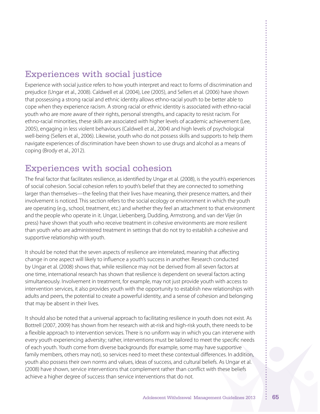# Experiences with social justice

Experience with social justice refers to how youth interpret and react to forms of discrimination and prejudice (Ungar et al., 2008). Caldwell et al. (2004), Lee (2005), and Sellers et al. (2006) have shown that possessing a strong racial and ethnic identity allows ethno-racial youth to be better able to cope when they experience racism. A strong racial or ethnic identity is associated with ethno-racial youth who are more aware of their rights, personal strengths, and capacity to resist racism. For ethno-racial minorities, these skills are associated with higher levels of academic achievement (Lee, 2005), engaging in less violent behaviours (Caldwell et al., 2004) and high levels of psychological well-being (Sellers et al., 2006). Likewise, youth who do not possess skills and supports to help them navigate experiences of discrimination have been shown to use drugs and alcohol as a means of coping (Brody et al., 2012).

# Experiences with social cohesion

The final factor that facilitates resilience, as identified by Ungar et al. (2008), is the youth's experiences of social cohesion. Social cohesion refers to youth's belief that they are connected to something larger than themselves—the feeling that their lives have meaning, their presence matters, and their involvement is noticed. This section refers to the social ecology or environment in which the youth are operating (e.g., school, treatment, etc.) and whether they feel an attachment to that environment and the people who operate in it. Ungar, Liebenberg, Dudding, Armstrong, and van der Vijer (in press) have shown that youth who receive treatment in cohesive environments are more resilient than youth who are administered treatment in settings that do not try to establish a cohesive and supportive relationship with youth.

It should be noted that the seven aspects of resilience are interrelated, meaning that affecting change in one aspect will likely to influence a youth's success in another. Research conducted by Ungar et al. (2008) shows that, while resilience may not be derived from all seven factors at one time, international research has shown that resilience is dependent on several factors acting simultaneously. Involvement in treatment, for example, may not just provide youth with access to intervention services, it also provides youth with the opportunity to establish new relationships with adults and peers, the potential to create a powerful identity, and a sense of cohesion and belonging that may be absent in their lives.

It should also be noted that a universal approach to facilitating resilience in youth does not exist. As Bottrell (2007, 2009) has shown from her research with at-risk and high-risk youth, there needs to be a flexible approach to intervention services. There is no uniform way in which you can intervene with every youth experiencing adversity; rather, interventions must be tailored to meet the specific needs of each youth. Youth come from diverse backgrounds (for example, some may have supportive family members, others may not), so services need to meet these contextual differences. In addition, youth also possess their own norms and values, ideas of success, and cultural beliefs. As Ungar et al. (2008) have shown, service interventions that complement rather than conflict with these beliefs achieve a higher degree of success than service interventions that do not.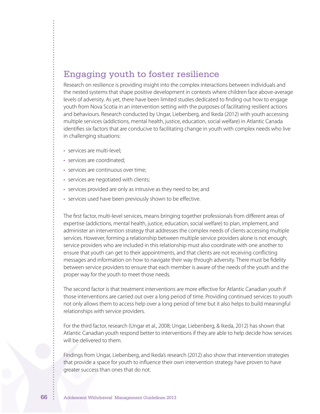# Engaging youth to foster resilience

Research on resilience is providing insight into the complex interactions between individuals and the nested systems that shape positive development in contexts where children face above-average levels of adversity. As yet, there have been limited studies dedicated to finding out how to engage youth from Nova Scotia in an intervention setting with the purposes of facilitating resilient actions and behaviours. Research conducted by Ungar, Liebenberg, and Ikeda (2012) with youth accessing multiple services (addictions, mental health, justice, education, social welfare) in Atlantic Canada identifies six factors that are conducive to facilitating change in youth with complex needs who live in challenging situations:

- services are multi-level:
- services are coordinated:
- services are continuous over time;
- services are negotiated with clients;
- services provided are only as intrusive as they need to be; and
- services used have been previously shown to be effective.

The first factor, multi-level services, means bringing together professionals from different areas of expertise (addictions, mental health, justice, education, social welfare) to plan, implement, and administer an intervention strategy that addresses the complex needs of clients accessing multiple services. However, forming a relationship between multiple service providers alone is not enough; service providers who are included in this relationship must also coordinate with one another to ensure that youth can get to their appointments, and that clients are not receiving conflicting messages and information on how to navigate their way through adversity. There must be fidelity between service providers to ensure that each member is aware of the needs of the youth and the proper way for the youth to meet those needs.

The second factor is that treatment interventions are more effective for Atlantic Canadian youth if those interventions are carried out over a long period of time. Providing continued services to youth not only allows them to access help over a long period of time but it also helps to build meaningful relationships with service providers.

For the third factor, research (Ungar et al., 2008; Ungar, Liebenberg, & Ikeda, 2012) has shown that Atlantic Canadian youth respond better to interventions if they are able to help decide how services will be delivered to them.

Findings from Ungar, Liebenberg, and Ikeda's research (2012) also show that intervention strategies that provide a space for youth to influence their own intervention strategy have proven to have greater success than ones that do not.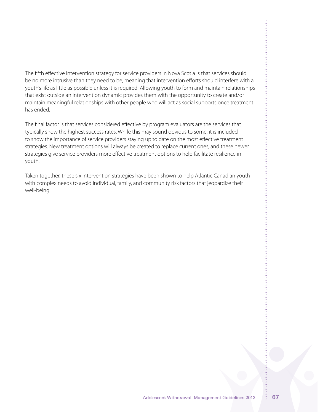The fifth effective intervention strategy for service providers in Nova Scotia is that services should be no more intrusive than they need to be, meaning that intervention efforts should interfere with a youth's life as little as possible unless it is required. Allowing youth to form and maintain relationships that exist outside an intervention dynamic provides them with the opportunity to create and/or maintain meaningful relationships with other people who will act as social supports once treatment has ended.

The final factor is that services considered effective by program evaluators are the services that typically show the highest success rates. While this may sound obvious to some, it is included to show the importance of service providers staying up to date on the most effective treatment strategies. New treatment options will always be created to replace current ones, and these newer strategies give service providers more effective treatment options to help facilitate resilience in youth.

Taken together, these six intervention strategies have been shown to help Atlantic Canadian youth with complex needs to avoid individual, family, and community risk factors that jeopardize their well-being.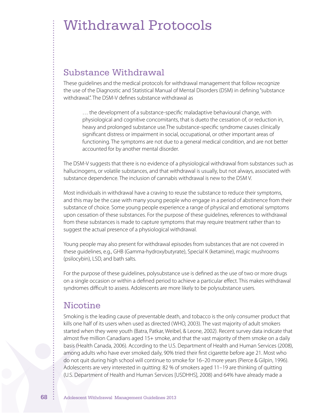# Withdrawal Protocols

# Substance Withdrawal

These guidelines and the medical protocols for withdrawal management that follow recognize the use of the Diagnostic and Statistical Manual of Mental Disorders (DSM) in defining"substance withdrawal.". The DSM-V defines substance withdrawal as

… the development of a substance-specific maladaptive behavioural change, with physiological and cognitive concomitants, that is dueto the cessation of, or reduction in, heavy and prolonged substance use.The substance-specific syndrome causes clinically significant distress or impairment in social, occupational, or other important areas of functioning. The symptoms are not due to a general medical condition, and are not better accounted for by another mental disorder.

The DSM-V suggests that there is no evidence of a physiological withdrawal from substances such as hallucinogens, or volatile substances, and that withdrawal is usually, but not always, associated with substance dependence. The inclusion of cannabis withdrawal is new to the DSM V.

Most individuals in withdrawal have a craving to reuse the substance to reduce their symptoms, and this may be the case with many young people who engage in a period of abstinence from their substance of choice. Some young people experience a range of physical and emotional symptoms upon cessation of these substances. For the purpose of these guidelines, references to withdrawal from these substances is made to capture symptoms that may require treatment rather than to suggest the actual presence of a physiological withdrawal.

Young people may also present for withdrawal episodes from substances that are not covered in these guidelines, e.g., GHB (Gamma-hydroxybutyrate), Special K (ketamine), magic mushrooms (psilocybin), LSD, and bath salts.

For the purpose of these guidelines, polysubstance use is defined as the use of two or more drugs on a single occasion or within a defined period to achieve a particular effect. This makes withdrawal syndromes difficult to assess. Adolescents are more likely to be polysubstance users.

# Nicotine

Smoking is the leading cause of preventable death, and tobacco is the only consumer product that kills one half of its users when used as directed (WHO, 2003). The vast majority of adult smokers started when they were youth (Batra, Patkar, Weibel, & Leone, 2002). Recent survey data indicate that almost five million Canadians aged 15+ smoke, and that the vast majority of them smoke on a daily basis (Health Canada, 2006). According to the U.S. Department of Health and Human Services (2008), among adults who have ever smoked daily, 90% tried their first cigarette before age 21. Most who do not quit during high school will continue to smoke for 16–20 more years (Pierce & Gilpin, 1996). Adolescents are very interested in quitting: 82 % of smokers aged 11–19 are thinking of quitting (U.S. Department of Health and Human Services [USDHHS], 2008) and 64% have already made a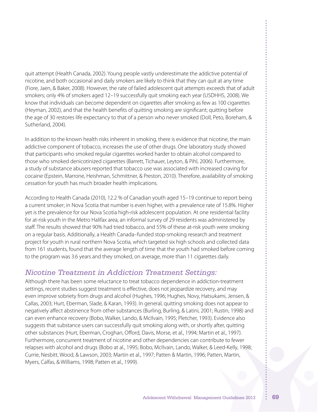quit attempt (Health Canada, 2002). Young people vastly underestimate the addictive potential of nicotine, and both occasional and daily smokers are likely to think that they can quit at any time (Fiore, Jaen, & Baker, 2008). However, the rate of failed adolescent quit attempts exceeds that of adult smokers; only 4% of smokers aged 12–19 successfully quit smoking each year (USDHHS, 2008). We know that individuals can become dependent on cigarettes after smoking as few as 100 cigarettes (Heyman, 2002), and that the health benefits of quitting smoking are significant; quitting before the age of 30 restores life expectancy to that of a person who never smoked (Doll, Peto, Boreham, & Sutherland, 2004).

In addition to the known health risks inherent in smoking, there is evidence that nicotine, the main addictive component of tobacco, increases the use of other drugs. One laboratory study showed that participants who smoked regular cigarettes worked harder to obtain alcohol compared to those who smoked denicotinized cigarettes (Barrett, Tichauer, Leyton, & Pihl, 2006). Furthermore, a study of substance abusers reported that tobacco use was associated with increased craving for cocaine (Epstein, Marrone, Heishman, Schmittner, & Preston, 2010). Therefore, availability of smoking cessation for youth has much broader health implications.

According to Health Canada (2010), 12.2 % of Canadian youth aged 15–19 continue to report being a current smoker; in Nova Scotia that number is even higher, with a prevalence rate of 15.8%. Higher yet is the prevalence for our Nova Scotia high-risk adolescent population. At one residential facility for at-risk youth in the Metro Halifax area, an informal survey of 29 residents was administered by staff. The results showed that 90% had tried tobacco, and 55% of these at-risk youth were smoking on a regular basis. Additionally, a Health Canada–funded stop-smoking research and treatment project for youth in rural northern Nova Scotia, which targeted six high schools and collected data from 161 students, found that the average length of time that the youth had smoked before coming to the program was 3.6 years and they smoked, on average, more than 11 cigarettes daily.

# *Nicotine Treatment in Addiction Treatment Settings:*

Although there has been some reluctance to treat tobacco dependence in addiction-treatment settings, recent studies suggest treatment is effective, does not jeopardize recovery, and may even improve sobriety from drugs and alcohol (Hughes, 1996; Hughes, Novy, Hatsukami, Jensen, & Callas, 2003; Hurt, Eberman, Slade, & Karan, 1993). In general, quitting smoking does not appear to negatively affect abstinence from other substances (Burling, Burling, & Latini, 2001; Rustin, 1998) and can even enhance recovery (Bobo, Walker, Lando, & McIlvain, 1995; Pletcher, 1993). Evidence also suggests that substance users can successfully quit smoking along with, or shortly after, quitting other substances (Hurt, Eberman, Croghan, Offord, Davis, Morse, et al., 1994; Martin et al., 1997). Furthermore, concurrent treatment of nicotine and other dependencies can contribute to fewer relapses with alcohol and drugs (Bobo at al., 1995; Bobo, McIlvain, Lando, Walker, & Leed-Kelly, 1998; Currie, Nesbitt, Wood, & Lawson, 2003; Martin et al., 1997; Patten & Martin, 1996; Patten, Martin, Myers, Calfas, & Williams, 1998; Patten et al., 1999).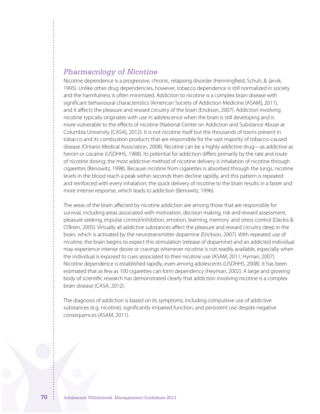### *Pharmacology of Nicotine*

Nicotine dependence is a progressive, chronic, relapsing disorder (Henningfield, Schuh, & Jarvik, 1995). Unlike other drug dependencies, however, tobacco dependence is still normalized in society and the harmfulness is often minimized. Addiction to nicotine is a complex brain disease with significant behavioural characteristics (American Society of Addiction Medicine [ASAM], 2011), and it affects the pleasure and reward circuitry of the brain (Erickson, 2007). Addiction involving nicotine typically originates with use in adolescence when the brain is still developing and is more vulnerable to the effects of nicotine (National Center on Addiction and Substance Abuse at Columbia University [CASA], 2012). It is not nicotine itself but the thousands of toxins present in tobacco and its combustion products that are responsible for the vast majority of tobacco-caused disease (Ontario Medical Association, 2008). Nicotine can be a highly addictive drug—as addictive as heroin or cocaine (USDHHS, 1988). Its potential for addiction differs primarily by the rate and route of nicotine dosing; the most addictive method of nicotine delivery is inhalation of nicotine through cigarettes (Benowitz, 1998). Because nicotine from cigarettes is absorbed through the lungs, nicotine levels in the blood reach a peak within seconds then decline rapidly, and this pattern is repeated and reinforced with every inhalation; the quick delivery of nicotine to the brain results in a faster and more intense response, which leads to addiction (Benowitz, 1996).

The areas of the brain affected by nicotine addiction are among those that are responsible for survival, including areas associated with motivation, decision making, risk and reward assessment, pleasure seeking, impulse control/inhibition, emotion, learning, memory. and stress control (Dackis & O'Brien, 2005). Virtually all addictive substances affect the pleasure and reward circuitry deep in the brain, which is activated by the neurotransmitter dopamine (Erickson, 2007). With repeated use of nicotine, the brain begins to expect this stimulation (release of dopamine) and an addicted individual may experience intense desire or cravings whenever nicotine is not readily available, especially when the individual is exposed to cues associated to their nicotine use (ASAM, 2011; Hyman, 2007). Nicotine dependence is established rapidly, even among adolescents (USDHHS, 2008). It has been estimated that as few as 100 cigarettes can form dependency (Heyman, 2002). A large and growing body of scientific research has demonstrated clearly that addiction involving nicotine is a complex brain disease (CASA, 2012).

The diagnosis of addiction is based on its symptoms, including compulsive use of addictive substances (e.g. nicotine), significantly impaired function, and persistent use despite negative consequences (ASAM, 2011).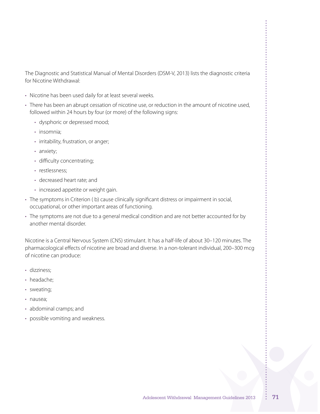The Diagnostic and Statistical Manual of Mental Disorders (DSM-V, 2013) lists the diagnostic criteria for Nicotine Withdrawal:

- Nicotine has been used daily for at least several weeks.
- There has been an abrupt cessation of nicotine use, or reduction in the amount of nicotine used, followed within 24 hours by four (or more) of the following signs:
	- dysphoric or depressed mood;
	- insomnia;
	- irritability, frustration, or anger;
	- anxiety;
	- • difficulty concentrating;
	- restlessness:
	- • decreased heart rate; and
	- increased appetite or weight gain.
- • The symptoms in Criterion ( b) cause clinically significant distress or impairment in social, occupational, or other important areas of functioning.
- The symptoms are not due to a general medical condition and are not better accounted for by another mental disorder.

Nicotine is a Central Nervous System (CNS) stimulant. It has a half-life of about 30–120 minutes. The pharmacological effects of nicotine are broad and diverse. In a non-tolerant individual, 200–300 mcg of nicotine can produce:

- dizziness:
- headache:
- sweating;
- nausea;
- abdominal cramps; and
- possible vomiting and weakness.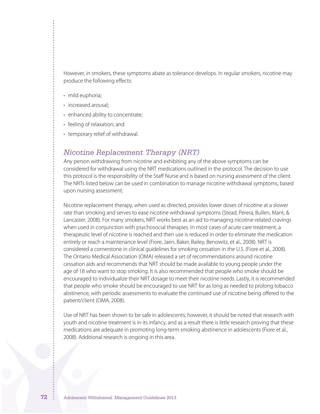However, in smokers, these symptoms abate as tolerance develops. In regular smokers, nicotine may produce the following effects:

- mild euphoria;
- increased arousal;
- enhanced ability to concentrate;
- feeling of relaxation; and
- temporary relief of withdrawal.

### *Nicotine Replacement Therapy (NRT)*

Any person withdrawing from nicotine and exhibiting any of the above symptoms can be considered for withdrawal using the NRT medications outlined in the protocol. The decision to use this protocol is the responsibility of the Staff Nurse and is based on nursing assessment of the client. The NRTs listed below can be used in combination to manage nicotine withdrawal symptoms, based upon nursing assessment.

Nicotine replacement therapy, when used as directed, provides lower doses of nicotine at a slower rate than smoking and serves to ease nicotine withdrawal symptoms (Stead, Perera, Bullen, Mant, & Lancaster, 2008). For many smokers, NRT works best as an aid to managing nicotine-related cravings when used in conjunction with psychosocial therapies. In most cases of acute care treatment, a therapeutic level of nicotine is reached and then use is reduced in order to eliminate the medication entirely or reach a maintenance level (Fiore, Jaen, Baker, Bailey, Benowitz, et al., 2008). NRT is considered a cornerstone in clinical guidelines for smoking cessation in the U.S. (Fiore et al., 2008). The Ontario Medical Association (OMA) released a set of recommendations around nicotine cessation aids and recommends that NRT should be made available to young people under the age of 18 who want to stop smoking. It is also recommended that people who smoke should be encouraged to individualize their NRT dosage to meet their nicotine needs. Lastly, it is recommended that people who smoke should be encouraged to use NRT for as long as needed to prolong tobacco abstinence, with periodic assessments to evaluate the continued use of nicotine being offered to the patient/client (OMA, 2008).

Use of NRT has been shown to be safe in adolescents; however, it should be noted that research with youth and nicotine treatment is in its infancy, and as a result there is little research proving that these medications are adequate in promoting long-term smoking abstinence in adolescents (Fiore et al., 2008). Additional research is ongoing in this area.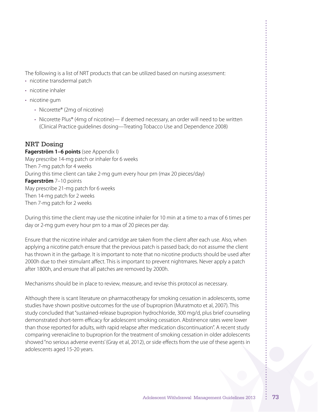The following is a list of NRT products that can be utilized based on nursing assessment:

- nicotine transdermal patch
- nicotine inhaler
- nicotine gum
	- Nicorette® (2mg of nicotine)
	- Nicorette Plus® (4mg of nicotine)— if deemed necessary, an order will need to be written (Clinical Practice guidelines dosing—Treating Tobacco Use and Dependence 2008)

## NRT Dosing

**Fagerström 1–6 points** (see Appendix I) May prescribe 14-mg patch or inhaler for 6 weeks Then 7-mg patch for 4 weeks During this time client can take 2-mg gum every hour prn (max 20 pieces/day) **Fagerström** 7–10 points May prescribe 21-mg patch for 6 weeks Then 14-mg patch for 2 weeks Then 7-mg patch for 2 weeks

During this time the client may use the nicotine inhaler for 10 min at a time to a max of 6 times per day or 2-mg gum every hour prn to a max of 20 pieces per day.

Ensure that the nicotine inhaler and cartridge are taken from the client after each use. Also, when applying a nicotine patch ensure that the previous patch is passed back; do not assume the client has thrown it in the garbage. It is important to note that no nicotine products should be used after 2000h due to their stimulant affect. This is important to prevent nightmares. Never apply a patch after 1800h, and ensure that all patches are removed by 2000h.

Mechanisms should be in place to review, measure, and revise this protocol as necessary.

Although there is scant literature on pharmacotherapy for smoking cessation in adolescents, some studies have shown positive outcomes for the use of buproprion (Muratmoto et al, 2007). This study concluded that"sustained-release bupropion hydrochloride, 300 mg/d, plus brief counseling demonstrated short-term efficacy for adolescent smoking cessation. Abstinence rates were lower than those reported for adults, with rapid relapse after medication discontinuation". A recent study comparing verenaicline to buproprion for the treatment of smoking cessation in older adolescents showed"no serious adverse events'(Gray et al, 2012), or side effects from the use of these agents in adolescents aged 15-20 years.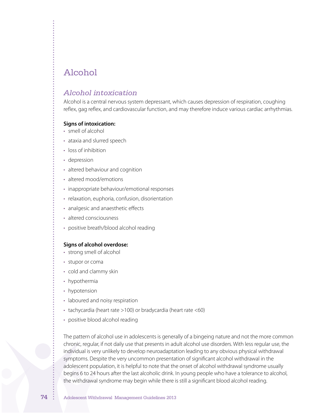# Alcohol

## *Alcohol intoxication*

Alcohol is a central nervous system depressant, which causes depression of respiration, coughing reflex, gag reflex, and cardiovascular function, and may therefore induce various cardiac arrhythmias.

#### **Signs of intoxication:**

- smell of alcohol
- ataxia and slurred speech
- loss of inhibition
- depression
- altered behaviour and cognition
- altered mood/emotions
- inappropriate behaviour/emotional responses
- relaxation, euphoria, confusion, disorientation
- analgesic and anaesthetic effects
- altered consciousness
- positive breath/blood alcohol reading

#### **Signs of alcohol overdose:**

- strong smell of alcohol
- stupor or coma
- cold and clammy skin
- hypothermia
- hypotension
- laboured and noisy respiration
- tachycardia (heart rate >100) or bradycardia (heart rate <60)
- positive blood alcohol reading

The pattern of alcohol use in adolescents is generally of a bingeing nature and not the more common chronic, regular, if not daily use that presents in adult alcohol use disorders. With less regular use, the individual is very unlikely to develop neuroadaptation leading to any obvious physical withdrawal symptoms. Despite the very uncommon presentation of significant alcohol withdrawal in the adolescent population, it is helpful to note that the onset of alcohol withdrawal syndrome usually begins 6 to 24 hours after the last alcoholic drink. In young people who have a tolerance to alcohol, the withdrawal syndrome may begin while there is still a significant blood alcohol reading.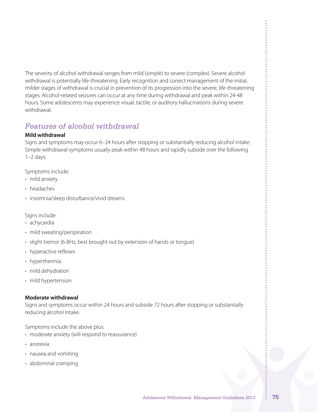The severity of alcohol withdrawal ranges from mild (simple) to severe (complex). Severe alcohol withdrawal is potentially life-threatening. Early recognition and correct management of the initial, milder stages of withdrawal is crucial in prevention of its progression into the severe, life-threatening stages. Alcohol-related seizures can occur at any time during withdrawal and peak within 24-48 hours. Some adolescents may experience visual, tactile, or auditory hallucinations during severe withdrawal.

# *Features of alcohol withdrawal*

### **Mild withdrawal**

Signs and symptoms may occur 6–24 hours after stopping or substantially reducing alcohol intake. Simple withdrawal symptoms usually peak within 48 hours and rapidly subside over the following  $1-2$  days.

Symptoms include:

- mild anxiety
- headaches
- insomnia/sleep disturbance/vivid dreams

Signs include:

- achycardia
- mild sweating/perspiration
- slight tremor (6-8Hz, best brought out by extension of hands or tongue)
- hyperactive reflexes
- hyperthermia
- mild dehydration
- mild hypertension

### **Moderate withdrawal**

Signs and symptoms occur within 24 hours and subside 72 hours after stopping or substantially reducing alcohol intake.

Symptoms include the above plus:

- moderate anxiety (will respond to reassurance)
- • anorexia
- nausea and vomiting
- abdominal cramping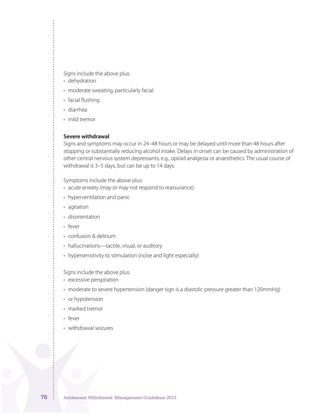Signs include the above plus:

- dehydration
- moderate sweating, particularly facial
- facial flushing
- • diarrhea
- mild tremor

#### **Severe withdrawal**

Signs and symptoms may occur in 24–48 hours or may be delayed until more than 48 hours after stopping or substantially reducing alcohol intake. Delays in onset can be caused by administration of other central nervous system depressants, e.g., opioid analgesia or anaesthetics. The usual course of withdrawal is 3–5 days, but can be up to 14 days.

Symptoms include the above plus:

- acute anxiety (may or may not respond to reassurance)
- hyperventilation and panic
- • agitation
- disorientation
- • fever
- • confusion & delirium
- hallucinations—tactile, visual, or auditory
- hypersensitivity to stimulation (noise and light especially)

Signs include the above plus:

- • excessive perspiration
- moderate to severe hypertension (danger sign is a diastolic pressure greater than 120mmHg)
- or hypotension
- marked tremor
- fever
- • withdrawal seizures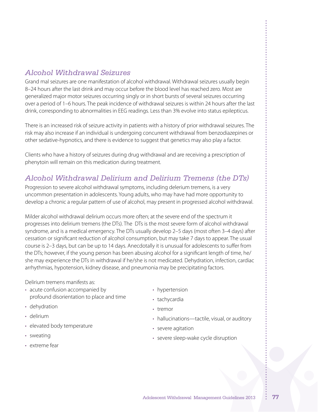# *Alcohol Withdrawal Seizures*

Grand mal seizures are one manifestation of alcohol withdrawal. Withdrawal seizures usually begin 8–24 hours after the last drink and may occur before the blood level has reached zero. Most are generalized major motor seizures occurring singly or in short bursts of several seizures occurring over a period of 1–6 hours. The peak incidence of withdrawal seizures is within 24 hours after the last drink, corresponding to abnormalities in EEG readings. Less than 3% evolve into status epilepticus.

There is an increased risk of seizure activity in patients with a history of prior withdrawal seizures. The risk may also increase if an individual is undergoing concurrent withdrawal from benzodiazepines or other sedative-hypnotics, and there is evidence to suggest that genetics may also play a factor.

Clients who have a history of seizures during drug withdrawal and are receiving a prescription of phenytoin will remain on this medication during treatment.

# *Alcohol Withdrawal Delirium and Delirium Tremens (the DTs)*

Progression to severe alcohol withdrawal symptoms, including delerium tremens, is a very uncommon presentation in adolescents. Young adults, who may have had more opportunity to develop a chronic a regular pattern of use of alcohol, may present in progressed alcohol withdrawal.

Milder alcohol withdrawal delirium occurs more often; at the severe end of the spectrum it progresses into delirium tremens (the DTs). The DTs is the most severe form of alcohol withdrawal syndrome, and is a medical emergency. The DTs usually develop 2–5 days (most often 3–4 days) after cessation or significant reduction of alcohol consumption, but may take 7 days to appear. The usual course is 2–3 days, but can be up to 14 days. Anecdotally it is unusual for adolescents to suffer from the DTs; however, if the young person has been abusing alcohol for a significant length of time, he/ she may experience the DTs in withdrawal if he/she is not medicated. Dehydration, infection, cardiac arrhythmias, hypotension, kidney disease, and pneumonia may be precipitating factors.

Delirium tremens manifests as:

- acute confusion accompanied by profound disorientation to place and time
- dehydration
- • delirium
- elevated body temperature
- sweating
- • extreme fear
- hypertension
- tachycardia
- • tremor
- hallucinations—tactile, visual, or auditory
- severe agitation
- severe sleep-wake cycle disruption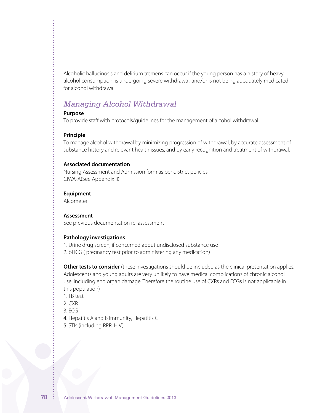Alcoholic hallucinosis and delirium tremens can occur if the young person has a history of heavy alcohol consumption, is undergoing severe withdrawal, and/or is not being adequately medicated for alcohol withdrawal.

## *Managing Alcohol Withdrawal*

#### **Purpose**

To provide staff with protocols/guidelines for the management of alcohol withdrawal.

#### **Principle**

To manage alcohol withdrawal by minimizing progression of withdrawal, by accurate assessment of substance history and relevant health issues, and by early recognition and treatment of withdrawal.

#### **Associated documentation**

Nursing Assessment and Admission form as per district policies CIWA-A(See Appendix II)

#### **Equipment**

Alcometer

#### **Assessment**

See previous documentation re: assessment

#### **Pathology investigations**

1. Urine drug screen, if concerned about undisclosed substance use

2. bHCG ( pregnancy test prior to administering any medication)

**Other tests to consider** (these investigations should be included as the clinical presentation applies. Adolescents and young adults are very unlikely to have medical complications of chronic alcohol use, including end organ damage. Therefore the routine use of CXRs and ECGs is not applicable in this population)

- 1. TB test
- 2. CXR
- 3. ECG
- 4. Hepatitis A and B immunity, Hepatitis C
- 5. STIs (including RPR, HIV)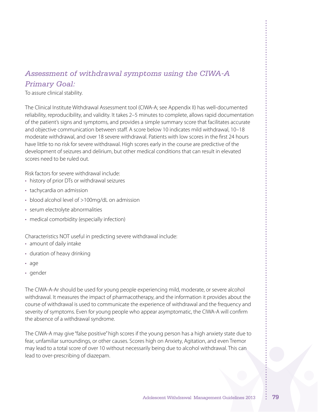# *Assessment of withdrawal symptoms using the CIWA-A Primary Goal:*

To assure clinical stability.

The Clinical Institute Withdrawal Assessment tool (CIWA-A; see Appendix II) has well-documented reliability, reproducibility, and validity. It takes 2–5 minutes to complete, allows rapid documentation of the patient's signs and symptoms, and provides a simple summary score that facilitates accurate and objective communication between staff. A score below 10 indicates mild withdrawal, 10–18 moderate withdrawal, and over 18 severe withdrawal. Patients with low scores in the first 24 hours have little to no risk for severe withdrawal. High scores early in the course are predictive of the development of seizures and delirium, but other medical conditions that can result in elevated scores need to be ruled out.

Risk factors for severe withdrawal include:

- history of prior DTs or withdrawal seizures
- tachycardia on admission
- blood alcohol level of >100mg/dL on admission
- • serum electrolyte abnormalities
- medical comorbidity (especially infection)

Characteristics NOT useful in predicting severe withdrawal include:

- amount of daily intake
- duration of heavy drinking
- • age
- • gender

The CIWA-A-Ar should be used for young people experiencing mild, moderate, or severe alcohol withdrawal. It measures the impact of pharmacotherapy, and the information it provides about the course of withdrawal is used to communicate the experience of withdrawal and the frequency and severity of symptoms. Even for young people who appear asymptomatic, the CIWA-A will confirm the absence of a withdrawal syndrome.

The CIWA-A may give "false positive"high scores if the young person has a high anxiety state due to fear, unfamiliar surroundings, or other causes. Scores high on Anxiety, Agitation, and even Tremor may lead to a total score of over 10 without necessarily being due to alcohol withdrawal. This can lead to over-prescribing of diazepam.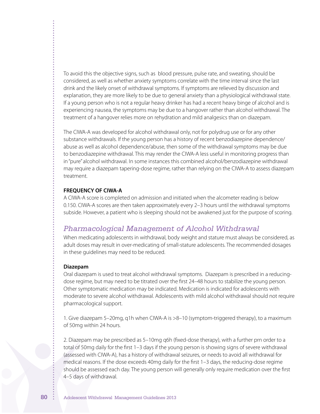To avoid this the objective signs, such as blood pressure, pulse rate, and sweating, should be considered, as well as whether anxiety symptoms correlate with the time interval since the last drink and the likely onset of withdrawal symptoms. If symptoms are relieved by discussion and explanation, they are more likely to be due to general anxiety than a physiological withdrawal state. If a young person who is not a regular heavy drinker has had a recent heavy binge of alcohol and is experiencing nausea, the symptoms may be due to a hangover rather than alcohol withdrawal. The treatment of a hangover relies more on rehydration and mild analgesics than on diazepam.

The CIWA-A was developed for alcohol withdrawal only, not for polydrug use or for any other substance withdrawals. If the young person has a history of recent benzodiazepine dependence/ abuse as well as alcohol dependence/abuse, then some of the withdrawal symptoms may be due to benzodiazepine withdrawal. This may render the CIWA-A less useful in monitoring progress than in"pure" alcohol withdrawal. In some instances this combined alcohol/benzodiazepine withdrawal may require a diazepam tapering-dose regime, rather than relying on the CIWA-A to assess diazepam treatment.

#### **FREQUENCY OF CIWA-A**

A CIWA-A score is completed on admission and initiated when the alcometer reading is below 0.150. CIWA-A scores are then taken approximately every 2–3 hours until the withdrawal symptoms subside. However, a patient who is sleeping should not be awakened just for the purpose of scoring.

## *Pharmacological Management of Alcohol Withdrawal*

When medicating adolescents in withdrawal, body weight and stature must always be considered, as adult doses may result in over-medicating of small-stature adolescents. The recommended dosages in these guidelines may need to be reduced.

#### **Diazepam**

Oral diazepam is used to treat alcohol withdrawal symptoms. Diazepam is prescribed in a reducingdose regime, but may need to be titrated over the first 24–48 hours to stabilize the young person. Other symptomatic medication may be indicated. Medication is indicated for adolescents with moderate to severe alcohol withdrawal. Adolescents with mild alcohol withdrawal should not require pharmacological support.

1. Give diazepam 5–20mg, q1h when CIWA-A is >8–10 (symptom-triggered therapy), to a maximum of 50mg within 24 hours.

2. Diazepam may be prescribed as 5–10mg q6h (fixed-dose therapy), with a further prn order to a total of 50mg daily for the first 1–3 days if the young person is showing signs of severe withdrawal (assessed with CIWA-A), has a history of withdrawal seizures, or needs to avoid all withdrawal for medical reasons. If the dose exceeds 40mg daily for the first 1–3 days, the reducing-dose regime should be assessed each day. The young person will generally only require medication over the first 4–5 days of withdrawal.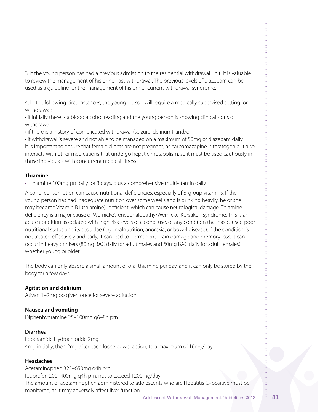3. If the young person has had a previous admission to the residential withdrawal unit, it is valuable to review the management of his or her last withdrawal. The previous levels of diazepam can be used as a guideline for the management of his or her current withdrawal syndrome.

4. In the following circumstances, the young person will require a medically supervised setting for withdrawal:

• if initially there is a blood alcohol reading and the young person is showing clinical signs of withdrawal;

• if there is a history of complicated withdrawal (seizure, delirium); and/or

• if withdrawal is severe and not able to be managed on a maximum of 50mg of diazepam daily. It is important to ensure that female clients are not pregnant, as carbamazepine is teratogenic. It also interacts with other medications that undergo hepatic metabolism, so it must be used cautiously in those individuals with concurrent medical illness.

#### **Thiamine**

• Thiamine 100mg po daily for 3 days, plus a comprehensive multivitamin daily

Alcohol consumption can cause nutritional deficiencies, especially of B-group vitamins. If the young person has had inadequate nutrition over some weeks and is drinking heavily, he or she may become Vitamin B1 (thiamine)–deficient, which can cause neurological damage. Thiamine deficiency is a major cause of Wernicke's encephalopathy/Wernicke-Korsakoff syndrome. This is an acute condition associated with high-risk levels of alcohol use, or any condition that has caused poor nutritional status and its sequelae (e.g., malnutrition, anorexia, or bowel disease). If the condition is not treated effectively and early, it can lead to permanent brain damage and memory loss. It can occur in heavy drinkers (80mg BAC daily for adult males and 60mg BAC daily for adult females), whether young or older.

The body can only absorb a small amount of oral thiamine per day, and it can only be stored by the body for a few days.

#### **Agitation and delirium**

Ativan 1–2mg po given once for severe agitation

**Nausea and vomiting** Diphenhydramine 25–100mg q6–8h prn

## **Diarrhea**

Loperamide Hydrochloride 2mg 4mg initially, then 2mg after each loose bowel action, to a maximum of 16mg/day

#### **Headaches**

Acetaminophen 325–650mg q4h prn Ibuprofen 200–400mg q4h prn, not to exceed 1200mg/day The amount of acetaminophen administered to adolescents who are Hepatitis C–positive must be monitored, as it may adversely affect liver function.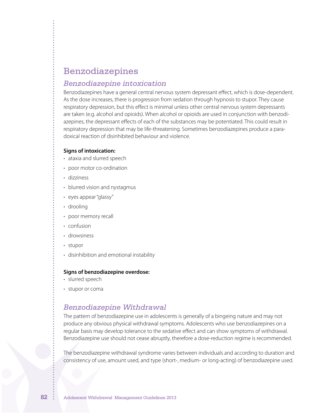# Benzodiazepines

### *Benzodiazepine intoxication*

Benzodiazepines have a general central nervous system depressant effect, which is dose-dependent. As the dose increases, there is progression from sedation through hypnosis to stupor. They cause respiratory depression, but this effect is minimal unless other central nervous system depressants are taken (e.g. alcohol and opioids). When alcohol or opioids are used in conjunction with benzodiazepines, the depressant effects of each of the substances may be potentiated. This could result in respiratory depression that may be life-threatening. Sometimes benzodiazepines produce a paradoxical reaction of disinhibited behaviour and violence.

#### **Signs of intoxication:**

- ataxia and slurred speech
- poor motor co-ordination
- • dizziness
- blurred vision and nystagmus
- eyes appear "glassy"
- drooling
- poor memory recall
- confusion
- drowsiness
- • stupor
- disinhibition and emotional instability

#### **Signs of benzodiazepine overdose:**

- slurred speech
- stupor or coma

## *Benzodiazepine Withdrawal*

The pattern of benzodiazepine use in adolescents is generally of a bingeing nature and may not produce any obvious physical withdrawal symptoms. Adolescents who use benzodiazepines on a regular basis may develop tolerance to the sedative effect and can show symptoms of withdrawal. Benzodiazepine use should not cease abruptly, therefore a dose-reduction regime is recommended.

The benzodiazepine withdrawal syndrome varies between individuals and according to duration and consistency of use, amount used, and type (short-, medium- or long-acting) of benzodiazepine used.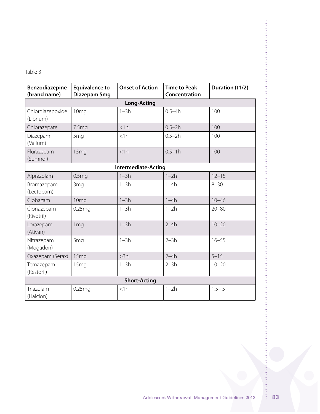Table 3

| Benzodiazepine<br>(brand name) | <b>Equivalence to</b><br>Diazepam 5mg | <b>Onset of Action</b>     | <b>Time to Peak</b><br>Concentration | Duration (t1/2) |
|--------------------------------|---------------------------------------|----------------------------|--------------------------------------|-----------------|
|                                |                                       | <b>Long-Acting</b>         |                                      |                 |
| Chlordiazepoxide<br>(Librium)  | 10 <sub>mg</sub>                      | $1-3h$                     | $0.5 - 4h$                           | 100             |
| Chlorazepate                   | 7.5mg                                 | $<$ 1h                     | $0.5 - 2h$                           | 100             |
| Diazepam<br>(Valium)           | 5 <sub>mq</sub>                       | $<$ 1h                     | $0.5 - 2h$                           | 100             |
| Flurazepam<br>(Somnol)         | 15 <sub>mg</sub>                      | <1h                        | $0.5 - 1h$                           | 100             |
|                                |                                       | <b>Intermediate-Acting</b> |                                      |                 |
| Alprazolam                     | 0.5 <sub>mg</sub>                     | $1-3h$                     | $1-2h$                               | $12 - 15$       |
| Bromazepam<br>(Lectopam)       | 3 <sub>mq</sub>                       | $1-3h$                     | $1-4h$                               | $8 - 30$        |
| Clobazam                       | 10 <sub>mg</sub>                      | $1-3h$                     | $1-4h$                               | $10 - 46$       |
| Clonazepam<br>(Rivotril)       | 0.25mg                                | $1-3h$                     | $1-2h$                               | $20 - 80$       |
| Lorazepam<br>(Ativan)          | 1 <sub>mq</sub>                       | $1-3h$                     | $2-4h$                               | $10 - 20$       |
| Nitrazepam<br>(Mogadon)        | 5 <sub>mq</sub>                       | $1-3h$                     | $2-3h$                               | $16 - 55$       |
| Oxazepam (Serax)               | 15 <sub>mg</sub>                      | >3h                        | $2-4h$                               | $5 - 15$        |
| Temazepam<br>(Restoril)        | 15 <sub>mq</sub>                      | $1-3h$                     | $2-3h$                               | $10 - 20$       |
| <b>Short-Acting</b>            |                                       |                            |                                      |                 |
| Triazolam<br>(Halcion)         | 0.25mg                                | $<$ 1h                     | $1-2h$                               | $1.5 - 5$       |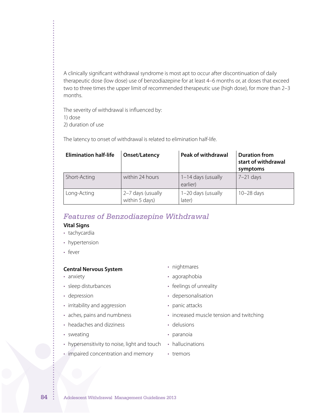A clinically significant withdrawal syndrome is most apt to occur after discontinuation of daily therapeutic dose (low dose) use of benzodiazepine for at least 4–6 months or, at doses that exceed two to three times the upper limit of recommended therapeutic use (high dose), for more than 2–3 months.

The severity of withdrawal is influenced by: 1) dose

2) duration of use

The latency to onset of withdrawal is related to elimination half-life.

| <b>Elimination half-life</b> | Onset/Latency                                   | <b>Peak of withdrawal</b>      | <b>Duration from</b><br>start of withdrawal<br>symptoms |
|------------------------------|-------------------------------------------------|--------------------------------|---------------------------------------------------------|
| Short-Acting                 | within 24 hours                                 | 1-14 days (usually<br>earlier) | $7-21$ days                                             |
| Long-Acting                  | 2-7 days (usually<br>within $\frac{1}{2}$ days) | 1-20 days (usually<br>later)   | $10-28$ days                                            |

## *Features of Benzodiazepine Withdrawal*

#### **Vital Signs**

- tachycardia
- hypertension
- fever

### **Central Nervous System**

- anxiety
- sleep disturbances
- depression
- irritability and aggression
- aches, pains and numbness
- headaches and dizziness
- sweating
- hypersensitivity to noise, light and touch
- impaired concentration and memory
- nightmares
- agoraphobia
- feelings of unreality
- depersonalisation
- panic attacks
- increased muscle tension and twitching
- • delusions
- paranoia
- hallucinations
- • tremors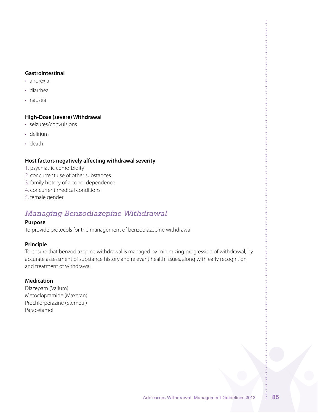#### **Gastrointestinal**

- • anorexia
- • diarrhea
- • nausea

#### **High-Dose (severe) Withdrawal**

- • seizures/convulsions
- • delirium
- • death

### **Host factors negatively affecting withdrawal severity**

- 1. psychiatric comorbidity
- 2. concurrent use of other substances
- 3. family history of alcohol dependence
- 4. concurrent medical conditions
- 5. female gender

# *Managing Benzodiazepine Withdrawal*

### **Purpose**

To provide protocols for the management of benzodiazepine withdrawal.

### **Principle**

To ensure that benzodiazepine withdrawal is managed by minimizing progression of withdrawal, by accurate assessment of substance history and relevant health issues, along with early recognition and treatment of withdrawal.

### **Medication**

Diazepam (Valium) Metoclopramide (Maxeran) Prochlorperazine (Stemetil) Paracetamol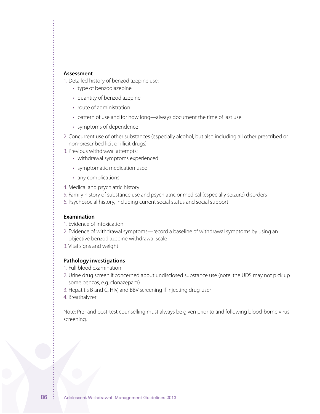#### **Assessment**

1. Detailed history of benzodiazepine use:

- type of benzodiazepine
- quantity of benzodiazepine
- route of administration
- pattern of use and for how long—always document the time of last use
- • symptoms of dependence
- 2. Concurrent use of other substances (especially alcohol, but also including all other prescribed or non-prescribed licit or illicit drugs)
- 3. Previous withdrawal attempts:
	- withdrawal symptoms experienced
	- symptomatic medication used
	- any complications
- 4. Medical and psychiatric history
- 5. Family history of substance use and psychiatric or medical (especially seizure) disorders
- 6. Psychosocial history, including current social status and social support

#### **Examination**

- 1. Evidence of intoxication
- 2. Evidence of withdrawal symptoms—record a baseline of withdrawal symptoms by using an objective benzodiazepine withdrawal scale
- 3. Vital signs and weight

#### **Pathology investigations**

- 1. Full blood examination
- 2. Urine drug screen if concerned about undisclosed substance use (note: the UDS may not pick up some benzos, e.g. clonazepam)
- 3. Hepatitis B and C, HIV, and BBV screening if injecting drug-user
- 4. Breathalyzer

Note: Pre- and post-test counselling must always be given prior to and following blood-borne virus screening.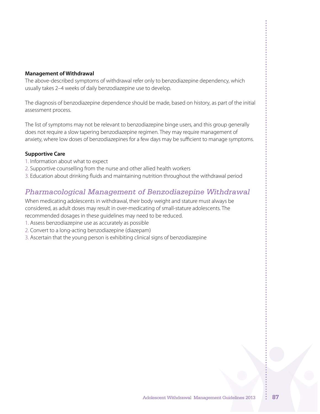#### **Management of Withdrawal**

The above-described symptoms of withdrawal refer only to benzodiazepine dependency, which usually takes 2–4 weeks of daily benzodiazepine use to develop.

The diagnosis of benzodiazepine dependence should be made, based on history, as part of the initial assessment process.

The list of symptoms may not be relevant to benzodiazepine binge users, and this group generally does not require a slow tapering benzodiazepine regimen. They may require management of anxiety, where low doses of benzodiazepines for a few days may be sufficient to manage symptoms.

### **Supportive Care**

- 1. Information about what to expect
- 2. Supportive counselling from the nurse and other allied health workers
- 3. Education about drinking fluids and maintaining nutrition throughout the withdrawal period

## *Pharmacological Management of Benzodiazepine Withdrawal*

When medicating adolescents in withdrawal, their body weight and stature must always be considered, as adult doses may result in over-medicating of small-stature adolescents. The recommended dosages in these guidelines may need to be reduced.

- 1. Assess benzodiazepine use as accurately as possible
- 2. Convert to a long-acting benzodiazepine (diazepam)
- 3. Ascertain that the young person is exhibiting clinical signs of benzodiazepine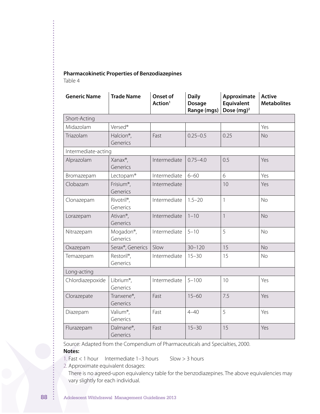#### **Pharmacokinetic Properties of Benzodiazepines**

Table 4

| <b>Generic Name</b> | <b>Trade Name</b>                   | Onset of<br>Action <sup>1</sup> | <b>Daily</b><br><b>Dosage</b><br>Range (mgs) | Approximate<br>Equivalent<br>Dose $(mg)^2$ | <b>Active</b><br><b>Metabolites</b> |
|---------------------|-------------------------------------|---------------------------------|----------------------------------------------|--------------------------------------------|-------------------------------------|
| Short-Acting        |                                     |                                 |                                              |                                            |                                     |
| Midazolam           | Versed <sup>®</sup>                 |                                 |                                              |                                            | Yes                                 |
| Triazolam           | Halcion <sup>®</sup> ,<br>Generics  | Fast                            | $0.25 - 0.5$                                 | 0.25                                       | <b>No</b>                           |
| Intermediate-acting |                                     |                                 |                                              |                                            |                                     |
| Alprazolam          | Xanax®,<br>Generics                 | Intermediate                    | $0.75 - 4.0$                                 | 0.5                                        | Yes                                 |
| Bromazepam          | Lectopam®                           | Intermediate                    | $6 - 60$                                     | 6                                          | Yes                                 |
| Clobazam            | Frisium <sup>®</sup> ,<br>Generics  | Intermediate                    |                                              | 10                                         | Yes                                 |
| Clonazepam          | Rivotril <sup>®</sup> ,<br>Generics | Intermediate                    | $1.5 - 20$                                   | $\mathbf{1}$                               | <b>No</b>                           |
| Lorazepam           | Ativan <sup>®</sup> ,<br>Generics   | Intermediate                    | $1 - 10$                                     | $\mathbf{1}$                               | <b>No</b>                           |
| Nitrazepam          | Mogadon®,<br>Generics               | Intermediate                    | $5 - 10$                                     | 5                                          | <b>No</b>                           |
| Oxazepam            | Serax®, Generics                    | Slow                            | $30 - 120$                                   | 15                                         | <b>No</b>                           |
| Temazepam           | Restoril <sup>®</sup> ,<br>Generics | Intermediate                    | $15 - 30$                                    | 15                                         | <b>No</b>                           |
| Long-acting         |                                     |                                 |                                              |                                            |                                     |
| Chlordiazepoxide    | Librium <sup>®</sup> ,<br>Generics  | Intermediate                    | $5 - 100$                                    | 10                                         | Yes                                 |
| Clorazepate         | Tranxene <sup>®</sup> ,<br>Generics | Fast                            | $15 - 60$                                    | 7.5                                        | Yes                                 |
| Diazepam            | Valium®,<br>Generics                | Fast                            | $4 - 40$                                     | 5                                          | Yes                                 |
| Flurazepam          | Dalmane®,<br>Generics               | Fast                            | $15 - 30$                                    | 15                                         | Yes                                 |

Source: Adapted from the Compendium of Pharmaceuticals and Specialties, 2000.

### **Notes:**

1. Fast  $<$  1 hour Intermediate 1–3 hours Slow  $>$  3 hours

2. Approximate equivalent dosages:

There is no agreed-upon equivalency table for the benzodiazepines. The above equivalencies may vary slightly for each individual.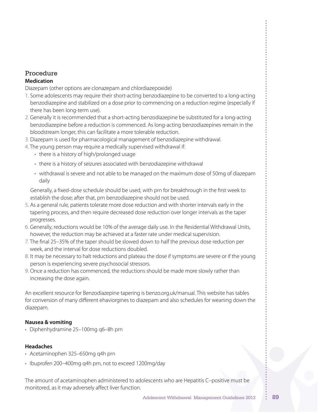### Procedure **Medication**

Diazepam (other options are clonazepam and chlordiazepoxide)

- 1. Some adolescents may require their short-acting benzodiazepine to be converted to a long-acting benzodiazepine and stabilized on a dose prior to commencing on a reduction regime (especially if there has been long-term use).
- 2. Generally it is recommended that a short-acting benzodiazepine be substituted for a long-acting benzodiazepine before a reduction is commenced. As long-acting benzodiazepines remain in the bloodstream longer, this can facilitate a more tolerable reduction.
- 3. Diazepam is used for pharmacological management of benzodiazepine withdrawal.
- 4. The young person may require a medically supervised withdrawal if:
	- there is a history of high/prolonged usage
	- there is a history of seizures associated with benzodiazepine withdrawal
	- • withdrawal is severe and not able to be managed on the maximum dose of 50mg of diazepam daily

Generally, a fixed-dose schedule should be used, with prn for breakthrough in the first week to establish the dose; after that, prn benzodiazepine should not be used.

- 5. As a general rule, patients tolerate more dose reduction and with shorter intervals early in the tapering process, and then require decreased dose reduction over longer intervals as the taper progresses.
- 6. Generally, reductions would be 10% of the average daily use. In the Residential Withdrawal Units, however, the reduction may be achieved at a faster rate under medical supervision.
- 7. The final 25–35% of the taper should be slowed down to half the previous dose reduction per week, and the interval for dose reductions doubled.
- 8. It may be necessary to halt reductions and plateau the dose if symptoms are severe or if the young person is experiencing severe psychosocial stressors.
- 9. Once a reduction has commenced, the reductions should be made more slowly rather than increasing the dose again.

An excellent resource for Benzodiazepine tapering is benzo.org.uk/manual. This website has tables for conversion of many different ehaviorgines to diazepam and also schedules for weaning down the diazepam.

### **Nausea & vomiting**

• Diphenhydramine 25–100mg q6–8h prn

#### **Headaches**

- • Acetaminophen 325–650mg q4h prn
- Ibuprofen 200-400mg q4h prn, not to exceed 1200mg/day

The amount of acetaminophen administered to adolescents who are Hepatitis C–positive must be monitored, as it may adversely affect liver function.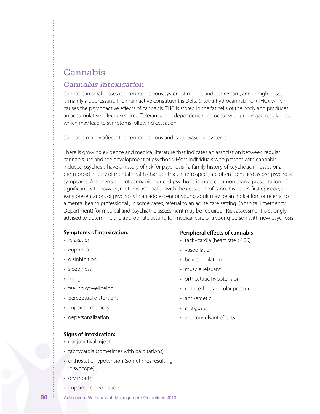# Cannabis

## *Cannabis Intoxication*

Cannabis in small doses is a central nervous system stimulant and depressant, and in high doses is mainly a depressant. The main active constituent is Delta 9-tetra-hydrocannabinol (THC), which causes the psychoactive effects of cannabis. THC is stored in the fat cells of the body and produces an accumulative effect over time. Tolerance and dependence can occur with prolonged regular use, which may lead to symptoms following cessation.

Cannabis mainly affects the central nervous and cardiovascular systems.

There is growing evidence and medical literature that indicates an association between regular cannabis use and the development of psychosis. Most individuals who present with cannabis induced psychosis have a history of risk for psychosis ( a family history of psychotic illnesses or a pre-morbid history of mental health changes that, in retrospect, are often identified as pre-psychotic symptoms. A presentation of cannabis induced psychosis is more common than a presentation of significant withdrawal symptoms associated with the cessation of cannabis use. A first episode, or early presentation, of psychosis in an adolescent or young adult may be an indication for referral to a mental health professional., in some cases, referral to an acute care setting (hospital Emergency Department) for medical and psychiatric assessment may be required. Risk assessment is strongly advised to determine the appropriate setting for medical care of a young person with new psychosis.

#### **Symptoms of intoxication:**

- relaxation
- euphoria
- disinhibition
- sleepiness
- hunger
- feeling of wellbeing
- perceptual distortions
- impaired memory
- • depersonalization

## **Peripheral effects of cannabis**

- tachycardia (heart rate >100)
- vasodilation
- bronchodilation
- • muscle relaxant
- orthostatic hypotension
- reduced intra-ocular pressure
- anti-emetic
- • analgesia
- anticonvulsant effects

- **Signs of intoxication:**
- • conjunctival injection
- tachycardia (sometimes with palpitations)
- orthostatic hypotension (sometimes resulting in syncope)
- dry mouth
- impaired coordination
- **90** Adolescent Withdrawal Management Guidelines 2013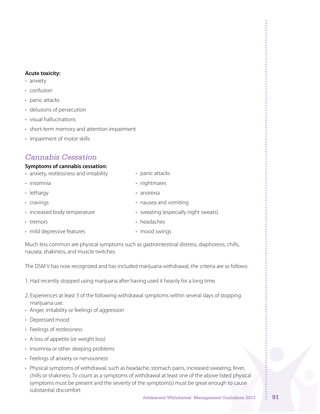#### **Acute toxicity:**

- anxiety
- • confusion
- panic attacks
- • delusions of persecution
- • visual hallucinations
- short-term memory and attention impairment
- impairment of motor skills

# *Cannabis Cessation*

### **Symptoms of cannabis cessation:**

- anxiety, restlessness and irritability
- insomnia
- lethargy
- • cravings
- increased body temperature
- tremors
- mild depressive features
- panic attacks
- nightmares
- • anorexia
- nausea and vomiting
- • sweating (especially night sweats)
- headaches
- mood swings

Much less common are physical symptoms such as gastrointestinal distress, diaphoresis, chills, nausea, shakiness, and muscle twitches.

The DSM V has now recognized and has included marijuana withdrawal, the criteria are as follows:

- 1. Had recently stopped using marijuana after having used it heavily for a long time.
- 2. Experiences at least 3 of the following withdrawal symptoms within several days of stopping marijuana use:
- • Anger, irritability or feelings of aggression
- Depressed mood
- Feelings of restlessness
- • A loss of appetite (or weight loss)
- Insomnia or other sleeping problems
- Feelings of anxiety or nervousness
- Physical symptoms of withdrawal, such as headache, stomach pains, increased sweating, fever, chills or shakiness. To count as a symptoms of withdrawal at least one of the above listed physical symptoms must be present and the severity of the symptom(s) must be great enough to cause substantial discomfort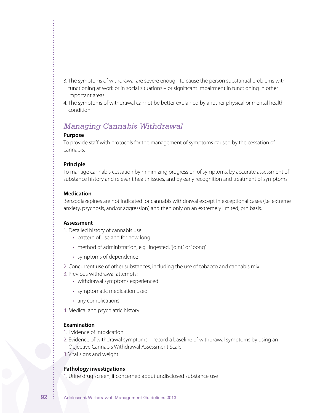- 3. The symptoms of withdrawal are severe enough to cause the person substantial problems with functioning at work or in social situations – or significant impairment in functioning in other important areas.
- 4. The symptoms of withdrawal cannot be better explained by another physical or mental health condition.

## *Managing Cannabis Withdrawal*

#### **Purpose**

To provide staff with protocols for the management of symptoms caused by the cessation of cannabis.

#### **Principle**

To manage cannabis cessation by minimizing progression of symptoms, by accurate assessment of substance history and relevant health issues, and by early recognition and treatment of symptoms.

#### **Medication**

Benzodiazepines are not indicated for cannabis withdrawal except in exceptional cases (i.e. extreme anxiety, psychosis, and/or aggression) and then only on an extremely limited, prn basis.

#### **Assessment**

- 1. Detailed history of cannabis use
	- pattern of use and for how long
	- method of administration, e.g., ingested, "joint," or "bong"
	- • symptoms of dependence
- 2. Concurrent use of other substances, including the use of tobacco and cannabis mix
- 3. Previous withdrawal attempts:
	- withdrawal symptoms experienced
	- symptomatic medication used
	- any complications
- 4. Medical and psychiatric history

#### **Examination**

- 1. Evidence of intoxication
- 2. Evidence of withdrawal symptoms—record a baseline of withdrawal symptoms by using an Objective Cannabis Withdrawal Assessment Scale
- 3. Vital signs and weight

### **Pathology investigations**

1. Urine drug screen, if concerned about undisclosed substance use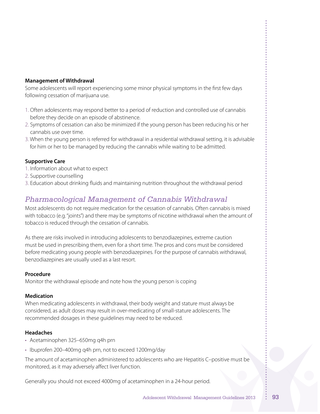#### **Management of Withdrawal**

Some adolescents will report experiencing some minor physical symptoms in the first few days following cessation of marijuana use.

- 1. Often adolescents may respond better to a period of reduction and controlled use of cannabis before they decide on an episode of abstinence.
- 2. Symptoms of cessation can also be minimized if the young person has been reducing his or her cannabis use over time.
- 3. When the young person is referred for withdrawal in a residential withdrawal setting, it is advisable for him or her to be managed by reducing the cannabis while waiting to be admitted.

### **Supportive Care**

- 1. Information about what to expect
- 2. Supportive counselling
- 3. Education about drinking fluids and maintaining nutrition throughout the withdrawal period

## *Pharmacological Management of Cannabis Withdrawal*

Most adolescents do not require medication for the cessation of cannabis. Often cannabis is mixed with tobacco (e.g."joints") and there may be symptoms of nicotine withdrawal when the amount of tobacco is reduced through the cessation of cannabis.

As there are risks involved in introducing adolescents to benzodiazepines, extreme caution must be used in prescribing them, even for a short time. The pros and cons must be considered before medicating young people with benzodiazepines. For the purpose of cannabis withdrawal, benzodiazepines are usually used as a last resort.

#### **Procedure**

Monitor the withdrawal episode and note how the young person is coping

#### **Medication**

When medicating adolescents in withdrawal, their body weight and stature must always be considered, as adult doses may result in over-medicating of small-stature adolescents. The recommended dosages in these guidelines may need to be reduced.

#### **Headaches**

- • Acetaminophen 325–650mg q4h prn
- Ibuprofen 200-400mg q4h prn, not to exceed 1200mg/day

The amount of acetaminophen administered to adolescents who are Hepatitis C–positive must be monitored, as it may adversely affect liver function.

Generally you should not exceed 4000mg of acetaminophen in a 24-hour period.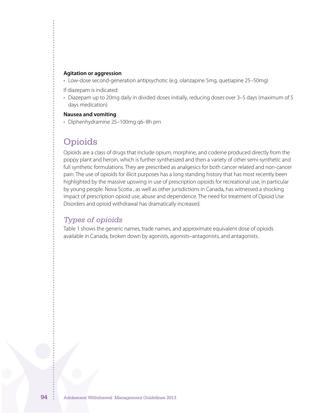#### **Agitation or aggression**

• Low-dose second-generation antipsychotic (e.g. olanzapine 5mg, quetiapine 25–50mg)

If diazepam is indicated:

• Diazepam up to 20mg daily in divided doses initially, reducing doses over 3-5 days (maximum of 5 days medication)

#### **Nausea and vomiting**

• Diphenhydramine 25–100mg q6–8h prn

# **Opioids**

Opioids are a class of drugs that include opium, morphine, and codeine produced directly from the poppy plant and heroin, which is further synthesized and then a variety of other semi-synthetic and full synthetic formulations. They are prescribed as analgesics for both cancer related and non-cancer pain. The use of opioids for illicit purposes has a long standing history that has most recently been highlighted by the massive upswing in use of prescription opioids for recreational use, in particular by young people. Nova Scotia , as well as other jurisdictions in Canada, has witnessed a shocking impact of prescription opioid use, abuse and dependence. The need for treatment of Opioid Use Disorders and opioid withdrawal has dramatically increased.

## *Types of opioids*

Table 1 shows the generic names, trade names, and approximate equivalent dose of opioids available in Canada, broken down by agonists, agonists–antagonists, and antagonists.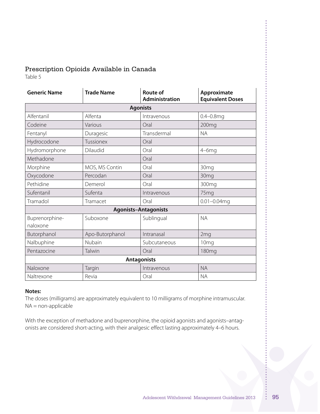## Prescription Opioids Available in Canada

Table 5

| <b>Generic Name</b>         | <b>Trade Name</b> | <b>Route of</b><br>Administration | Approximate<br><b>Equivalent Doses</b> |
|-----------------------------|-------------------|-----------------------------------|----------------------------------------|
|                             |                   | <b>Agonists</b>                   |                                        |
| Alfentanil                  | Alfenta           | Intravenous                       | $0.4 - 0.8$ mq                         |
| Codeine                     | Various           | Oral                              | 200 <sub>mg</sub>                      |
| Fentanyl                    | Duragesic         | Transdermal                       | <b>NA</b>                              |
| Hydrocodone                 | Tussionex         | Oral                              |                                        |
| Hydromorphone               | Dilaudid          | Oral                              | $4-6mg$                                |
| Methadone                   |                   | Oral                              |                                        |
| Morphine                    | MOS, MS Contin    | Oral                              | 30 <sub>mg</sub>                       |
| Oxycodone                   | Percodan          | Oral                              | 30mg                                   |
| Pethidine                   | Demerol           | Oral                              | 300 <sub>mg</sub>                      |
| Sufentanil                  | Sufenta           | Intravenous                       | 75mg                                   |
| Tramadol                    | Tramacet          | Oral                              | $0.01 - 0.04$ mg                       |
| <b>Agonists-Antagonists</b> |                   |                                   |                                        |
| Buprenorphine-<br>naloxone  | Suboxone          | Sublingual                        | <b>NA</b>                              |
| Butorphanol                 | Apo-Butorphanol   | Intranasal                        | 2mg                                    |
| Nalbuphine                  | Nubain            | Subcutaneous                      | 10 <sub>mg</sub>                       |
| Pentazocine                 | Talwin            | Oral                              | <b>180mg</b>                           |
| <b>Antagonists</b>          |                   |                                   |                                        |
| Naloxone                    | Targin            | Intravenous                       | <b>NA</b>                              |
| Naltrexone                  | Revia             | Oral                              | <b>NA</b>                              |

#### **Notes:**

The doses (milligrams) are approximately equivalent to 10 milligrams of morphine intramuscular. NA = non-applicable

With the exception of methadone and buprenorphine, the opioid agonists and agonists–antagonists are considered short-acting, with their analgesic effect lasting approximately 4–6 hours.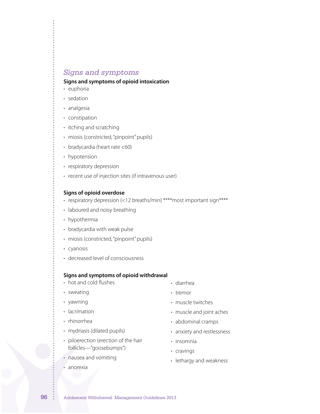## *Signs and symptoms*

#### **Signs and symptoms of opioid intoxication**

- euphoria
- sedation
- analgesia
- constipation
- itching and scratching
- miosis (constricted, "pinpoint" pupils)
- bradycardia (heart rate <60)
- hypotension
- respiratory depression
- recent use of injection sites (if intravenous user)

#### **Signs of opioid overdose**

- respiratory depression (<12 breaths/min) \*\*\*\* most important sign\*\*\*\*
- laboured and noisy breathing
- hypothermia
- bradycardia with weak pulse
- miosis (constricted, "pinpoint" pupils)
- • cyanosis
- • decreased level of consciousness

#### **Signs and symptoms of opioid withdrawal**

- hot and cold flushes
- sweating
- • yawning
- lacrimation
- rhinorrhea
- mydriasis (dilated pupils)
- piloerection (erection of the hair follicles—"goosebumps")
- nausea and vomiting
- anorexia
- • diarrhea
- • tremor
- muscle twitches
- • muscle and joint aches
- abdominal cramps
- anxiety and restlessness
- insomnia
- • cravings
- lethargy and weakness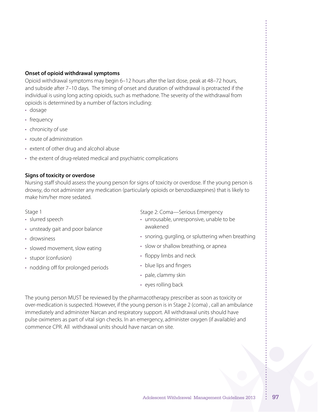### **Onset of opioid withdrawal symptoms**

Opioid withdrawal symptoms may begin 6–12 hours after the last dose, peak at 48–72 hours, and subside after 7–10 days. The timing of onset and duration of withdrawal is protracted if the individual is using long acting opioids, such as methadone. The severity of the withdrawal from opioids is determined by a number of factors including:

- • dosage
- frequency
- chronicity of use
- route of administration
- extent of other drug and alcohol abuse
- the extent of drug-related medical and psychiatric complications

#### **Signs of toxicity or overdose**

Nursing staff should assess the young person for signs of toxicity or overdose. If the young person is drowsy, do not administer any medication (particularly opioids or benzodiazepines) that is likely to make him/her more sedated.

#### Stage 1

- slurred speech
- unsteady gait and poor balance
- drowsiness
- slowed movement, slow eating
- • stupor (confusion)
- nodding off for prolonged periods

Stage 2: Coma—Serious Emergency

- • unrousable, unresponsive, unable to be awakened
- snoring, gurgling, or spluttering when breathing
- slow or shallow breathing, or apnea
- floppy limbs and neck
- blue lips and fingers
- pale, clammy skin
- eyes rolling back

The young person MUST be reviewed by the pharmacotherapy prescriber as soon as toxicity or over-medication is suspected. However, if the young person is in Stage 2 (coma) , call an ambulance immediately and administer Narcan and respiratory support. All withdrawal units should have pulse oximeters as part of vital sign checks. In an emergency, administer oxygen (if available) and commence CPR. All withdrawal units should have narcan on site.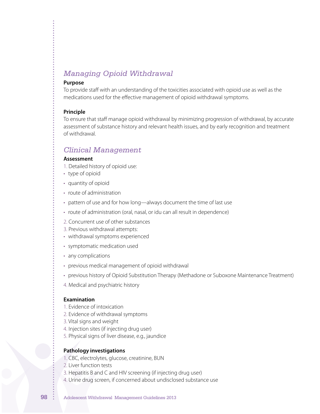# *Managing Opioid Withdrawal*

#### **Purpose**

To provide staff with an understanding of the toxicities associated with opioid use as well as the medications used for the effective management of opioid withdrawal symptoms.

#### **Principle**

To ensure that staff manage opioid withdrawal by minimizing progression of withdrawal, by accurate assessment of substance history and relevant health issues, and by early recognition and treatment of withdrawal.

## *Clinical Management*

#### **Assessment**

- 1. Detailed history of opioid use:
- type of opioid
- quantity of opioid
- route of administration
- pattern of use and for how long—always document the time of last use
- route of administration (oral, nasal, or idu can all result in dependence)
- 2. Concurrent use of other substances
- 3. Previous withdrawal attempts:
- withdrawal symptoms experienced
- • symptomatic medication used
- any complications
- previous medical management of opioid withdrawal
- • previous history of Opioid Substitution Therapy (Methadone or Suboxone Maintenance Treatment)
- 4. Medical and psychiatric history

#### **Examination**

- 1. Evidence of intoxication
- 2. Evidence of withdrawal symptoms
- 3. Vital signs and weight
- 4. Injection sites (if injecting drug user)
- 5. Physical signs of liver disease, e.g., jaundice

### **Pathology investigations**

- 1. CBC, electrolytes, glucose, creatinine, BUN
- 2. Liver function tests
- 3. Hepatitis B and C and HIV screening (if injecting drug user)
- 4. Urine drug screen, if concerned about undisclosed substance use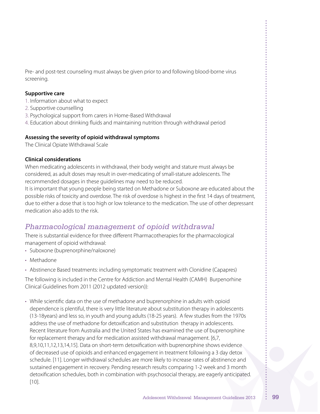Pre- and post-test counseling must always be given prior to and following blood-borne virus screening.

### **Supportive care**

- 1. Information about what to expect
- 2. Supportive counselling
- 3. Psychological support from carers in Home-Based Withdrawal
- 4. Education about drinking fluids and maintaining nutrition through withdrawal period

#### **Assessing the severity of opioid withdrawal symptoms**

The Clinical Opiate Withdrawal Scale

#### **Clinical considerations**

When medicating adolescents in withdrawal, their body weight and stature must always be considered, as adult doses may result in over-medicating of small-stature adolescents. The recommended dosages in these guidelines may need to be reduced.

It is important that young people being started on Methadone or Suboxone are educated about the possible risks of toxicity and overdose. The risk of overdose is highest in the first 14 days of treatment, due to either a dose that is too high or low tolerance to the medication. The use of other depressant medication also adds to the risk.

## *Pharmacological management of opioid withdrawal*

There is substantial evidence for three different Pharmacotherapies for the pharmacological management of opioid withdrawal:

- Suboxone (buprenorphine/naloxone)
- Methadone
- • Abstinence Based treatments: including symptomatic treatment with Clonidine (Capapres)

The following is included in the Centre for Addiction and Mental Health (CAMH) Burpenorhine Clinical Guidelines from 2011 (2012 updated version)):

• While scientific data on the use of methadone and buprenorphine in adults with opioid dependence is plentiful, there is very little literature about substitution therapy in adolescents (13-18years) and less so, in youth and young adults (18-25 years). A few studies from the 1970s address the use of methadone for detoxification and substitution therapy in adolescents. Recent literature from Australia and the United States has examined the use of buprenorphine for replacement therapy and for medication assisted withdrawal management. [6,7, 8,9,10,11,12,13,14,15]. Data on short-term detoxification with buprenorphine shows evidence of decreased use of opioids and enhanced engagement in treatment following a 3 day detox schedule. [11]. Longer withdrawal schedules are more likely to increase rates of abstinence and sustained engagement in recovery. Pending research results comparing 1-2 week and 3 month detoxification schedules, both in combination with psychosocial therapy, are eagerly anticipated. [10].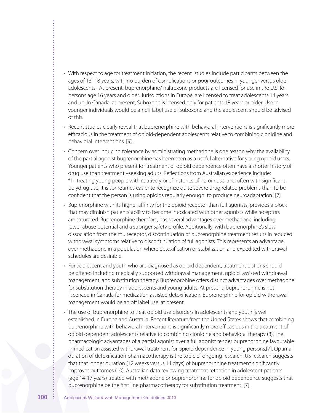- • With respect to age for treatment initiation, the recent studies include participants between the ages of 13- 18 years, with no burden of complications or poor outcomes in younger versus older adolescents. At present, buprenorphine/ naltrexone products are licensed for use in the U.S. for persons age 16 years and older. Jurisdictions in Europe, are licensed to treat adolescents 14 years and up. In Canada, at present, Suboxone is licensed only for patients 18 years or older. Use in younger individuals would be an off label use of Suboxone and the adolescent should be advised of this.
- • Recent studies clearly reveal that buprenorphine with behavioral interventions is significantly more efficacious in the treatment of opioid-dependent adolescents relative to combining clonidine and behavioral interventions. [9].
- • Concern over inducing tolerance by administrating methadone is one reason why the availability of the partial agonist buprenorphine has been seen as a useful alternative for young opioid users. Younger patients who present for treatment of opioid dependence often have a shorter history of drug use than treatment –seeking adults. Reflections from Australian experience include: " In treating young people with relatively brief histories of heroin use, and often with significant polydrug use, it is sometimes easier to recognize quite severe drug related problems than to be confident that the person is using opioids regularly enough to produce neuroadaptation."[7]
- • Buprenorphine with its higher affinity for the opioid receptor than full agonists, provides a block that may diminish patients' ability to become intoxicated with other agonists while receptors are saturated. Buprenorphine therefore, has several advantages over methadone, including lower abuse potential and a stronger safety profile. Additionally, with buprenorphine's slow dissociation from the mu receptor, discontinuation of buprenorphine treatment results in reduced withdrawal symptoms relative to discontinuation of full agonists. This represents an advantage over methadone in a population where detoxification or stabilization and expedited withdrawal schedules are desirable.
- For adolescent and youth who are diagnosed as opioid dependent, treatment options should be offered including medically supported withdrawal management, opioid assisted withdrawal management, and substitution therapy. Buprenorphine offers distinct advantages over methadone for substitution therapy in adolescents and young adults. At present, buprenorphine is not liscenced in Canada for medication assisted detoxification. Buprenorphine for opioid withdrawal management would be an off label use, at present.
- • The use of buprenorphine to treat opioid use disorders in adolescents and youth is well established in Europe and Australia. Recent literature from the United States shows that combining buprenorphine with behavioral interventions is significantly more efficacious in the treatment of opioid dependent adolescents relative to combining clonidine and behavioral therapy (8). The pharmacologic advantages of a partial agonist over a full agonist render buprenorphine favourable in medication assisted withdrawal treatment for opioid dependence in young persons.[7]. Optimal duration of detoxification pharmacotherapy is the topic of ongoing research. US research suggests that that longer duration (12 weeks versus 14 days) of buprenorphine treatment significantly improves outcomes (10). Australian data reviewing treatment retention in adolescent patients (age 14-17 years) treated with methadone or buprenorphine for opioid dependence suggests that buprenorphine be the first line pharmacotherapy for substitution treatment. [7].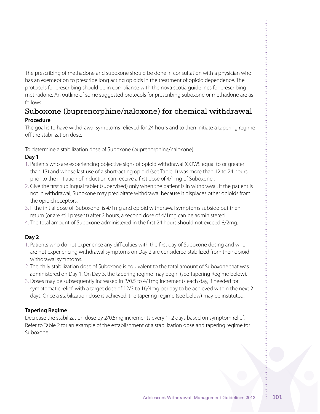The prescribing of methadone and suboxone should be done in consultation with a physician who has an exemeption to prescribe long acting opioids in the treatment of opioid dependence. The protocols for prescribing should be in compliance with the nova scotia guidelines for prescribing methadone. An outline of some suggested protocols for prescribing suboxone or methadone are as follows:

## Suboxone (buprenorphine/naloxone) for chemical withdrawal **Procedure**

The goal is to have withdrawal symptoms relieved for 24 hours and to then initiate a tapering regime off the stabilization dose.

To determine a stabilization dose of Suboxone (buprenorphine/naloxone):

### **Day 1**

- 1. Patients who are experiencing objective signs of opioid withdrawal (COWS equal to or greater than 13) and whose last use of a short-acting opioid (see Table 1) was more than 12 to 24 hours prior to the initiation of induction can receive a first dose of 4/1mg of Suboxone .
- 2. Give the first sublingual tablet (supervised) only when the patient is in withdrawal. If the patient is not in withdrawal, Suboxone may precipitate withdrawal because it displaces other opioids from the opioid receptors.
- 3. If the initial dose of Suboxone is 4/1mg and opioid withdrawal symptoms subside but then return (or are still present) after 2 hours, a second dose of 4/1mg can be administered.
- 4. The total amount of Suboxone administered in the first 24 hours should not exceed 8/2mg.

## **Day 2**

- 1. Patients who do not experience any difficulties with the first day of Suboxone dosing and who are not experiencing withdrawal symptoms on Day 2 are considered stabilized from their opioid withdrawal symptoms.
- 2. The daily stabilization dose of Suboxone is equivalent to the total amount of Suboxone that was administered on Day 1. On Day 3, the tapering regime may begin (see Tapering Regime below).
- 3. Doses may be subsequently increased in 2/0.5 to 4/1mg increments each day, if needed for symptomatic relief, with a target dose of 12/3 to 16/4mg per day to be achieved within the next 2 days. Once a stabilization dose is achieved, the tapering regime (see below) may be instituted.

## **Tapering Regime**

Decrease the stabilization dose by 2/0.5mg increments every 1–2 days based on symptom relief. Refer to Table 2 for an example of the establishment of a stabilization dose and tapering regime for Suboxone.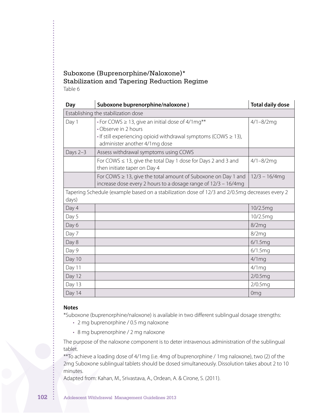### Suboxone (Buprenorphine/Naloxone)\* Stabilization and Tapering Reduction Regime Table 6

| Day                                 | Suboxone buprenorphine/naloxone)                                                                                                                                                                    | <b>Total daily dose</b> |  |
|-------------------------------------|-----------------------------------------------------------------------------------------------------------------------------------------------------------------------------------------------------|-------------------------|--|
| Establishing the stabilization dose |                                                                                                                                                                                                     |                         |  |
| Day 1                               | $\cdot$ For COWS $\geq$ 13, give an initial dose of 4/1 mg**<br>• Observe in 2 hours<br>$\cdot$ If still experiencing opioid withdrawal symptoms (COWS $\geq$ 13),<br>administer another 4/1mg dose | $4/1 - 8/2$ mg          |  |
| Days 2-3                            | Assess withdrawal symptoms using COWS                                                                                                                                                               |                         |  |
|                                     | For COWS $\leq$ 13, give the total Day 1 dose for Days 2 and 3 and<br>then initiate taper on Day 4                                                                                                  | $4/1 - 8/2mg$           |  |
|                                     | For COWS $\geq$ 13, give the total amount of Suboxone on Day 1 and<br>increase dose every 2 hours to a dosage range of 12/3 - 16/4mg                                                                | $12/3 - 16/4$ mg        |  |
| days)                               | Tapering Schedule (example based on a stabilization dose of 12/3 and 2/0.5mg decreases every 2                                                                                                      |                         |  |
| Day 4                               |                                                                                                                                                                                                     | 10/2.5mg                |  |
| Day 5                               |                                                                                                                                                                                                     | 10/2.5mg                |  |
| Day 6                               |                                                                                                                                                                                                     | 8/2mg                   |  |
| Day 7                               |                                                                                                                                                                                                     | 8/2mg                   |  |
| Day 8                               |                                                                                                                                                                                                     | 6/1.5mg                 |  |
| Day 9                               |                                                                                                                                                                                                     | 6/1.5mg                 |  |
| Day 10                              |                                                                                                                                                                                                     | $4/1$ mg                |  |
| Day 11                              |                                                                                                                                                                                                     | $4/1$ mg                |  |
| Day 12                              |                                                                                                                                                                                                     | 2/0.5mg                 |  |
| Day 13                              |                                                                                                                                                                                                     | 2/0.5mg                 |  |
| Day 14                              |                                                                                                                                                                                                     | 0 <sub>mq</sub>         |  |

#### **Notes**

\*Suboxone (buprenorphine/naloxone) is available in two different sublingual dosage strengths:

- • 2 mg buprenorphine / 0.5 mg naloxone
- 8 mg buprenorphine / 2 mg naloxone

The purpose of the naloxone component is to deter intravenous administration of the sublingual tablet.

\*\*To achieve a loading dose of 4/1mg (i.e. 4mg of buprenorphine / 1mg naloxone), two (2) of the 2mg Suboxone sublingual tablets should be dosed simultaneously. Dissolution takes about 2 to 10 minutes.

Adapted from: Kahan, M., Srivastava, A., Ordean, A. & Cirone, S. (2011).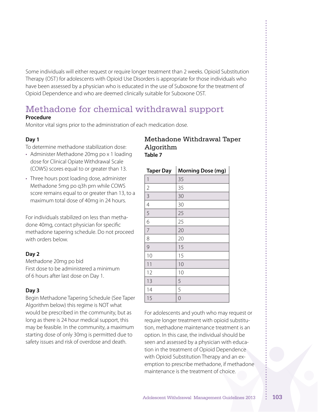Some individuals will either request or require longer treatment than 2 weeks. Opioid Substitution Therapy (OST) for adolescents with Opioid Use Disorders is appropriate for those individuals who have been assessed by a physician who is educated in the use of Suboxone for the treatment of Opioid Dependence and who are deemed clinically suitable for Suboxone OST.

# Methadone for chemical withdrawal support

### **Procedure**

Monitor vital signs prior to the administration of each medication dose.

### **Day 1**

To determine methadone stabilization dose:

- Administer Methadone 20mg po x 1 loading dose for Clinical Opiate Withdrawal Scale (COWS) scores equal to or greater than 13.
- Three hours post loading dose, administer Methadone 5mg po q3h prn while COWS score remains equal to or greater than 13, to a maximum total dose of 40mg in 24 hours.

For individuals stabilized on less than methadone 40mg, contact physician for specific methadone tapering schedule. Do not proceed with orders below.

## **Day 2**

Methadone 20mg po bid First dose to be administered a minimum of 6 hours after last dose on Day 1.

## **Day 3**

Begin Methadone Tapering Schedule (See Taper Algorithm below) this regime is NOT what would be prescribed in the community, but as long as there is 24 hour medical support, this may be feasible. In the community, a maximum starting dose of only 30mg is permitted due to safety issues and risk of overdose and death.

### Methadone Withdrawal Taper Algorithm **Table 7**

| <b>Taper Day</b> | <b>Morning Dose (mg)</b> |
|------------------|--------------------------|
| 1                | 35                       |
| $\overline{2}$   | 35                       |
| 3                | 30                       |
| 4                | 30                       |
| 5                | 25                       |
| 6                | 25                       |
| 7                | 20                       |
| 8                | 20                       |
| 9                | 15                       |
| 10               | 15                       |
| 11               | 10                       |
| 12               | 10                       |
| 13               | 5                        |
| 14               | 5                        |
| 15               | 0                        |

For adolescents and youth who may request or require longer treatment with opioid substitution, methadone maintenance treatment is an option. In this case, the individual should be seen and assessed by a physician with education in the treatment of Opioid Dependence with Opioid Substitution Therapy and an exemption to prescribe methadone, if methadone maintenance is the treatment of choice.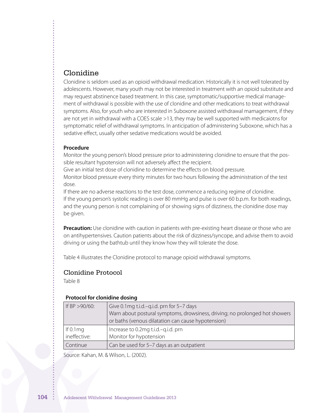## Clonidine

Clonidine is seldom used as an opioid withdrawal medication. Historically it is not well tolerated by adolescents. However, many youth may not be interested in treatment with an opioid substitute and may request abstinence based treatment. In this case, symptomatic/supportive medical management of withdrawal is possible with the use of clonidine and other medications to treat withdrawal symptoms. Also, for youth who are interested in Suboxone assisted withdrawal mamagement, if they are not yet in withdrawal with a COES scale >13, they may be well supported with medicaiotns for symptomatic relief of withdrawal symptoms. In anticipation of administering Suboxone, which has a sedative effect, usually other sedative medications would be avoided.

#### **Procedure**

Monitor the young person's blood pressure prior to administering clonidine to ensure that the possible resultant hypotension will not adversely affect the recipient.

Give an initial test dose of clonidine to determine the effects on blood pressure.

Monitor blood pressure every thirty minutes for two hours following the administration of the test dose.

If there are no adverse reactions to the test dose, commence a reducing regime of clonidine. If the young person's systolic reading is over 80 mmHg and pulse is over 60 b.p.m. for both readings, and the young person is not complaining of or showing signs of dizziness, the clonidine dose may be given.

**Precaution:** Use clonidine with caution in patients with pre-existing heart disease or those who are on antihypertensives. Caution patients about the risk of dizziness/syncope, and advise them to avoid driving or using the bathtub until they know how they will tolerate the dose.

Table 4 illustrates the Clonidine protocol to manage opioid withdrawal symptoms.

### Clonidine Protocol

Table 8

#### **Protocol for clonidine dosing**

| If BP $>90/60$ :            | Give 0.1 mg t.i.d. - q.i.d. prn for 5-7 days<br>Warn about postural symptoms, drowsiness, driving; no prolonged hot showers<br>or baths (venous dilatation can cause hypotension) |
|-----------------------------|-----------------------------------------------------------------------------------------------------------------------------------------------------------------------------------|
| If 0.1 $mg$<br>ineffective: | Increase to 0.2mg t.i.d.-g.i.d. prn<br>Monitor for hypotension                                                                                                                    |
| Continue                    | Can be used for 5-7 days as an outpatient                                                                                                                                         |

Source: Kahan, M. & Wilson, L. (2002).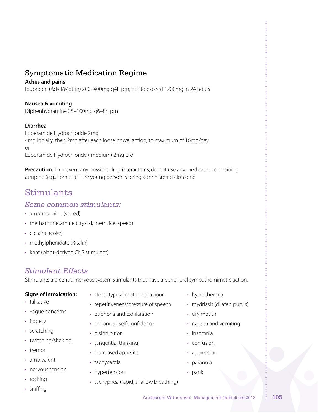# Symptomatic Medication Regime

### **Aches and pains**

Ibuprofen (Advil/Motrin) 200–400mg q4h prn, not to exceed 1200mg in 24 hours

### **Nausea & vomiting**

Diphenhydramine 25–100mg q6–8h prn

### **Diarrhea**

Loperamide Hydrochloride 2mg 4mg initially, then 2mg after each loose bowel action, to maximum of 16mg/day or Loperamide Hydrochloride (Imodium) 2mg t.i.d.

**Precaution:** To prevent any possible drug interactions, do not use any medication containing atropine (e.g., Lomotil) if the young person is being administered clonidine.

# Stimulants

## *Some common stimulants:*

- amphetamine (speed)
- methamphetamine (crystal, meth, ice, speed)
- cocaine (coke)
- methylphenidate (Ritalin)
- khat (plant-derived CNS stimulant)

## *Stimulant Effects*

Stimulants are central nervous system stimulants that have a peripheral sympathomimetic action.

### **Signs of intoxication:**

- stereotypical motor behaviour
- talkative
- vague concerns
- fidgety
- scratching
- twitching/shaking
- tremor
- ambivalent
- nervous tension
- rocking
- • sniffing
- 
- repetitiveness/pressure of speech
- euphoria and exhilaration
- enhanced self-confidence
- disinhibition
- tangential thinking
- • decreased appetite
- tachycardia
- hypertension
- tachypnea (rapid, shallow breathing)
- mydriasis (dilated pupils)
- nausea and vomiting
- confusion
- aggression
- • paranoia
- panic

- hyperthermia
- 
- dry mouth
- 
- insomnia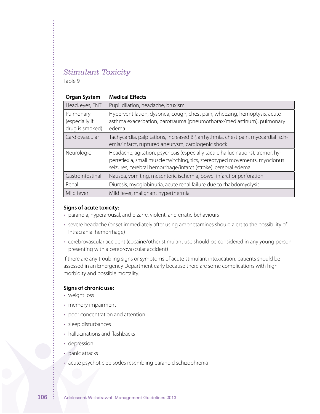# *Stimulant Toxicity*

Table 9

| <b>Organ System</b>                            | <b>Medical Effects</b>                                                                                                                                                                                                           |
|------------------------------------------------|----------------------------------------------------------------------------------------------------------------------------------------------------------------------------------------------------------------------------------|
| Head, eyes, ENT                                | Pupil dilation, headache, bruxism                                                                                                                                                                                                |
| Pulmonary<br>(especially if<br>drug is smoked) | Hyperventilation, dyspnea, cough, chest pain, wheezing, hemoptysis, acute<br>asthma exacerbation, barotrauma (pneumothorax/mediastinum), pulmonary<br>edema                                                                      |
| Cardiovascular                                 | Tachycardia, palpitations, increased BP, arrhythmia, chest pain, myocardial isch-<br>emia/infarct, ruptured aneurysm, cardiogenic shock                                                                                          |
| Neurologic                                     | Headache, agitation, psychosis (especially tactile hallucinations), tremor, hy-<br>perreflexia, small muscle twitching, tics, stereotyped movements, myoclonus<br>seizures, cerebral hemorrhage/infarct (stroke), cerebral edema |
| Gastrointestinal                               | Nausea, vomiting, mesenteric ischemia, bowel infarct or perforation                                                                                                                                                              |
| Renal                                          | Diuresis, myoglobinuria, acute renal failure due to rhabdomyolysis                                                                                                                                                               |
| Mild fever                                     | Mild fever, malignant hyperthermia                                                                                                                                                                                               |

#### **Signs of acute toxicity:**

- paranoia, hyperarousal, and bizarre, violent, and erratic behaviours
- severe headache (onset immediately after using amphetamines should alert to the possibility of intracranial hemorrhage)
- cerebrovascular accident (cocaine/other stimulant use should be considered in any young person presenting with a cerebrovascular accident)

If there are any troubling signs or symptoms of acute stimulant intoxication, patients should be assessed in an Emergency Department early because there are some complications with high morbidity and possible mortality.

#### **Signs of chronic use:**

- weight loss
- • memory impairment
- poor concentration and attention
- sleep disturbances
- hallucinations and flashbacks
- depression
- panic attacks
- acute psychotic episodes resembling paranoid schizophrenia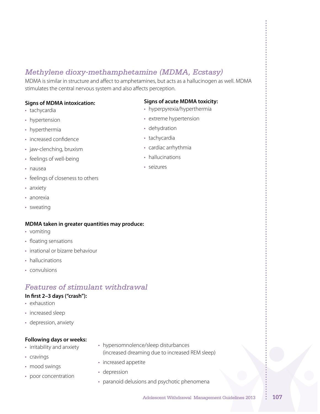# *Methylene dioxy-methamphetamine (MDMA, Ecstasy)*

MDMA is similar in structure and affect to amphetamines, but acts as a hallucinogen as well. MDMA stimulates the central nervous system and also affects perception.

#### **Signs of MDMA intoxication:**

- tachycardia
- hypertension
- hyperthermia
- increased confidence
- jaw-clenching, bruxism
- feelings of well-being
- • nausea
- feelings of closeness to others
- anxiety
- • anorexia
- • sweating

#### **MDMA taken in greater quantities may produce:**

- • vomiting
- floating sensations
- irrational or bizarre behaviour
- hallucinations
- convulsions

# *Features of stimulant withdrawal*

#### **In first 2–3 days ("crash"):**

- exhaustion
- increased sleep
- • depression, anxiety

#### **Following days or weeks:**

- irritability and anxiety
- • cravings
- mood swings
- poor concentration
- hypersomnolence/sleep disturbances (increased dreaming due to increased REM sleep)
- increased appetite
- depression
- paranoid delusions and psychotic phenomena

#### **Signs of acute MDMA toxicity:**

- hyperpyrexia/hyperthermia
- • extreme hypertension
- dehydration
- tachycardia
- • cardiac arrhythmia
- hallucinations
- • seizures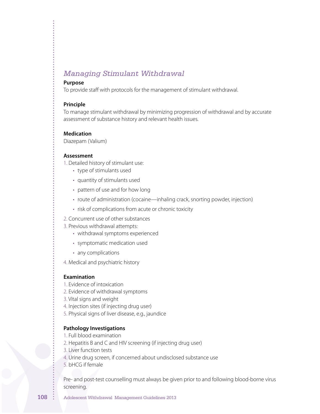# *Managing Stimulant Withdrawal*

#### **Purpose**

To provide staff with protocols for the management of stimulant withdrawal.

#### **Principle**

To manage stimulant withdrawal by minimizing progression of withdrawal and by accurate assessment of substance history and relevant health issues.

#### **Medication**

Diazepam (Valium)

#### **Assessment**

1. Detailed history of stimulant use:

- type of stimulants used
- quantity of stimulants used
- pattern of use and for how long
- route of administration (cocaine—inhaling crack, snorting powder, injection)
- risk of complications from acute or chronic toxicity
- 2. Concurrent use of other substances
- 3. Previous withdrawal attempts:
	- withdrawal symptoms experienced
	- symptomatic medication used
	- any complications
- 4. Medical and psychiatric history

#### **Examination**

- 1. Evidence of intoxication
- 2. Evidence of withdrawal symptoms
- 3. Vital signs and weight
- 4. Injection sites (if injecting drug user)
- 5. Physical signs of liver disease, e.g., jaundice

#### **Pathology Investigations**

- 1. Full blood examination
- 2. Hepatitis B and C and HIV screening (if injecting drug user)
- 3. Liver function tests
- 4. Urine drug screen, if concerned about undisclosed substance use
- 5. bHCG if female

Pre- and post-test counselling must always be given prior to and following blood-borne virus screening.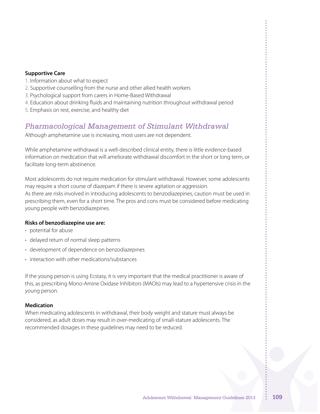#### **Supportive Care**

- 1. Information about what to expect
- 2. Supportive counselling from the nurse and other allied health workers
- 3. Psychological support from carers in Home-Based Withdrawal
- 4. Education about drinking fluids and maintaining nutrition throughout withdrawal period
- 5. Emphasis on rest, exercise, and healthy diet

# *Pharmacological Management of Stimulant Withdrawal*

Although amphetamine use is increasing, most users are not dependent.

While amphetamine withdrawal is a well-described clinical entity, there is little evidence-based information on medication that will ameliorate withdrawal discomfort in the short or long term, or facilitate long-term abstinence.

Most adolescents do not require medication for stimulant withdrawal. However, some adolescents may require a short course of diazepam if there is severe agitation or aggression.

As there are risks involved in introducing adolescents to benzodiazepines, caution must be used in prescribing them, even for a short time. The pros and cons must be considered before medicating young people with benzodiazepines.

### **Risks of benzodiazepine use are:**

- potential for abuse
- delayed return of normal sleep patterns
- development of dependence on benzodiazepines
- interaction with other medications/substances

If the young person is using Ecstasy, it is very important that the medical practitioner is aware of this, as prescribing Mono-Amine Oxidase Inhibitors (MAOIs) may lead to a hypertensive crisis in the young person.

#### **Medication**

When medicating adolescents in withdrawal, their body weight and stature must always be considered, as adult doses may result in over-medicating of small-stature adolescents. The recommended dosages in these guidelines may need to be reduced.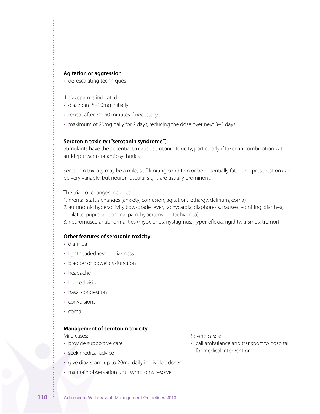#### **Agitation or aggression**

• de-escalating techniques

If diazepam is indicated:

- diazepam 5-10mg initially
- repeat after 30–60 minutes if necessary
- maximum of 20mg daily for 2 days, reducing the dose over next 3-5 days

#### **Serotonin toxicity ("serotonin syndrome")**

Stimulants have the potential to cause serotonin toxicity, particularly if taken in combination with antidepressants or antipsychotics.

Serotonin toxicity may be a mild, self-limiting condition or be potentially fatal, and presentation can be very variable, but neuromuscular signs are usually prominent.

The triad of changes includes:

- 1. mental status changes (anxiety, confusion, agitation, lethargy, delirium, coma)
- 2. autonomic hyperactivity (low-grade fever, tachycardia, diaphoresis, nausea, vomiting, diarrhea, dilated pupils, abdominal pain, hypertension, tachypnea)
- 3. neuromuscular abnormalities (myoclonus, nystagmus, hyperreflexia, rigidity, trismus, tremor)

#### **Other features of serotonin toxicity:**

- diarrhea
- • lightheadedness or dizziness
- bladder or bowel dysfunction
- headache
- blurred vision
- nasal congestion
- convulsions
- • coma

#### **Management of serotonin toxicity**

Mild cases:

- provide supportive care
- seek medical advice
- • give diazepam, up to 20mg daily in divided doses
- maintain observation until symptoms resolve

Severe cases:

• call ambulance and transport to hospital for medical intervention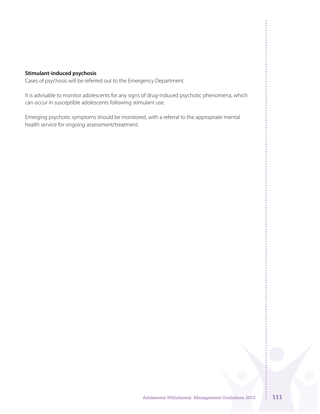#### **Stimulant-induced psychosis**

Cases of psychosis will be referred out to the Emergency Department.

It is advisable to monitor adolescents for any signs of drug-induced psychotic phenomena, which can occur in susceptible adolescents following stimulant use.

Emerging psychotic symptoms should be monitored, with a referral to the appropriate mental health service for ongoing assessment/treatment.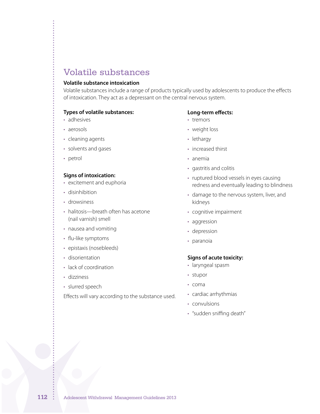# Volatile substances

#### **Volatile substance intoxication**

Volatile substances include a range of products typically used by adolescents to produce the effects of intoxication. They act as a depressant on the central nervous system.

#### **Types of volatile substances:**

- adhesives
- aerosols
- cleaning agents
- • solvents and gases
- petrol

#### **Signs of intoxication:**

- excitement and euphoria
- disinhibition
- • drowsiness
- halitosis—breath often has acetone (nail varnish) smell
- • nausea and vomiting
- flu-like symptoms
- epistaxis (nosebleeds)
- disorientation
- lack of coordination
- • dizziness
- slurred speech

Effects will vary according to the substance used.

#### **Long-term effects:**

- • tremors
- • weight loss
- lethargy
- increased thirst
- • anemia
- gastritis and colitis
- ruptured blood vessels in eyes causing redness and eventually leading to blindness
- damage to the nervous system, liver, and kidneys
- • cognitive impairment
- aggression
- depression
- paranoia

#### **Signs of acute toxicity:**

- laryngeal spasm
- • stupor
- • coma
- • cardiac arrhythmias
- convulsions
- • "sudden sniffing death"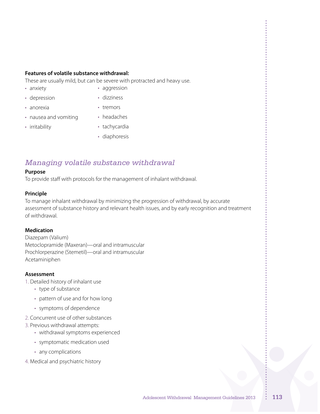#### **Features of volatile substance withdrawal:**

These are usually mild, but can be severe with protracted and heavy use.

• anxiety

- aggression
- depression
- • dizziness • tremors
- nausea and vomiting • headaches
- irritability

• anorexia

- tachycardia
- diaphoresis

# *Managing volatile substance withdrawal*

#### **Purpose**

To provide staff with protocols for the management of inhalant withdrawal.

#### **Principle**

To manage inhalant withdrawal by minimizing the progression of withdrawal, by accurate assessment of substance history and relevant health issues, and by early recognition and treatment of withdrawal.

### **Medication**

Diazepam (Valium) Metoclopramide (Maxeran)—oral and intramuscular Prochlorperazine (Stemetil)—oral and intramuscular Acetaminiphen

### **Assessment**

- 1. Detailed history of inhalant use
	- type of substance
	- pattern of use and for how long
	- • symptoms of dependence
- 2. Concurrent use of other substances
- 3. Previous withdrawal attempts:
	- withdrawal symptoms experienced
	- • symptomatic medication used
	- any complications
- 4. Medical and psychiatric history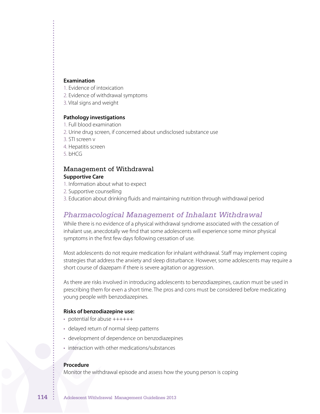#### **Examination**

- 1. Evidence of intoxication
- 2. Evidence of withdrawal symptoms
- 3. Vital signs and weight

#### **Pathology investigations**

- 1. Full blood examination
- 2. Urine drug screen, if concerned about undisclosed substance use
- 3. STI screen v
- 4. Hepatitis screen
- 5. bHCG

#### Management of Withdrawal **Supportive Care**

- 1. Information about what to expect
- 2. Supportive counselling
- 3. Education about drinking fluids and maintaining nutrition through withdrawal period

## *Pharmacological Management of Inhalant Withdrawal*

While there is no evidence of a physical withdrawal syndrome associated with the cessation of inhalant use, anecdotally we find that some adolescents will experience some minor physical symptoms in the first few days following cessation of use.

Most adolescents do not require medication for inhalant withdrawal. Staff may implement coping strategies that address the anxiety and sleep disturbance. However, some adolescents may require a short course of diazepam if there is severe agitation or aggression.

As there are risks involved in introducing adolescents to benzodiazepines, caution must be used in prescribing them for even a short time. The pros and cons must be considered before medicating young people with benzodiazepines.

#### **Risks of benzodiazepine use:**

- potential for abuse ++++++
- delayed return of normal sleep patterns
- development of dependence on benzodiazepines
- interaction with other medications/substances

#### **Procedure**

Monitor the withdrawal episode and assess how the young person is coping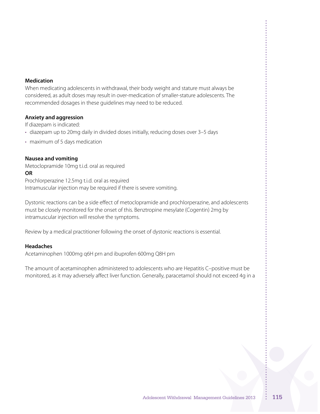#### **Medication**

When medicating adolescents in withdrawal, their body weight and stature must always be considered, as adult doses may result in over-medication of smaller-stature adolescents. The recommended dosages in these guidelines may need to be reduced.

#### **Anxiety and aggression**

If diazepam is indicated:

- diazepam up to 20mg daily in divided doses initially, reducing doses over 3-5 days
- maximum of 5 days medication

#### **Nausea and vomiting**

Metoclopramide 10mg t.i.d. oral as required

#### **OR**

Prochlorperazine 12.5mg t.i.d. oral as required Intramuscular injection may be required if there is severe vomiting.

Dystonic reactions can be a side effect of metoclopramide and prochlorperazine, and adolescents must be closely monitored for the onset of this. Benztropine mesylate (Cogentin) 2mg by intramuscular injection will resolve the symptoms.

Review by a medical practitioner following the onset of dystonic reactions is essential.

#### **Headaches**

Acetaminophen 1000mg q6H prn and ibuprofen 600mg Q8H prn

The amount of acetaminophen administered to adolescents who are Hepatitis C–positive must be monitored, as it may adversely affect liver function. Generally, paracetamol should not exceed 4g in a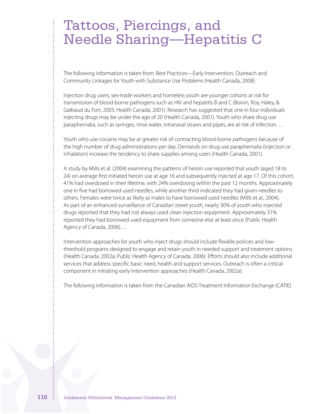# Tattoos, Piercings, and Needle Sharing—Hepatitis C

The following information is taken from: Best Practices—Early Intervention, Outreach and Community Linkages for Youth with Substance Use Problems (Health Canada, 2008)

Injection drug users, sex-trade workers and homeless youth are younger cohorts at risk for transmission of blood-borne pathogens such as HIV and hepatitis B and C (Boivin, Roy, Haley, & Galbaud du Fort, 2005; Health Canada, 2001). Research has suggested that one in four individuals injecting drugs may be under the age of 20 (Health Canada, 2001). Youth who share drug use paraphernalia, such as syringes, rinse water, intranasal straws and pipes, are at risk of infection. …

Youth who use cocaine may be at greater risk of contracting blood-borne pathogens because of the high number of drug administrations per day. Demands on drug use paraphernalia (injection or inhalation) increase the tendency to share supplies among users (Health Canada, 2001).

A study by Mills et al. (2004) examining the patterns of heroin use reported that youth (aged 18 to 24) on average first initiated heroin use at age 16 and subsequently injected at age 17. Of this cohort, 41% had overdosed in their lifetime, with 24% overdosing within the past 12 months. Approximately one in five had borrowed used needles, while another third indicated they had given needles to others. Females were twice as likely as males to have borrowed used needles (Mills et al., 2004). As part of an enhanced surveillance of Canadian street youth, nearly 30% of youth who injected drugs reported that they had not always used clean injection equipment. Approximately 31% reported they had borrowed used equipment from someone else at least once (Public Health Agency of Canada, 2006).…

Intervention approaches for youth who inject drugs should include flexible policies and lowthreshold programs designed to engage and retain youth in needed support and treatment options (Health Canada, 2002a; Public Health Agency of Canada, 2006). Efforts should also include additional services that address specific basic need, health and support services. Outreach is often a critical component in initiating early intervention approaches (Health Canada, 2002a).

The following information is taken from the Canadian AIDS Treatment Information Exchange (CATIE)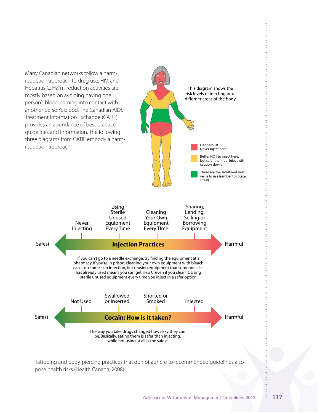

pose health risks (Health Canada, 2008).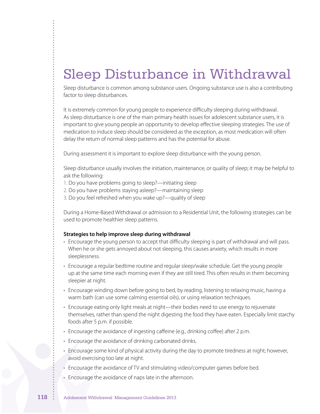# Sleep Disturbance in Withdrawal

Sleep disturbance is common among substance users. Ongoing substance use is also a contributing factor to sleep disturbances.

It is extremely common for young people to experience difficulty sleeping during withdrawal. As sleep disturbance is one of the main primary health issues for adolescent substance users, it is important to give young people an opportunity to develop effective sleeping strategies. The use of medication to induce sleep should be considered as the exception, as most medication will often delay the return of normal sleep patterns and has the potential for abuse.

During assessment it is important to explore sleep disturbance with the young person.

Sleep disturbance usually involves the initiation, maintenance, or quality of sleep; it may be helpful to ask the following:

- 1. Do you have problems going to sleep?—initiating sleep
- 2. Do you have problems staying asleep?—maintaining sleep
- 3. Do you feel refreshed when you wake up?—quality of sleep

During a Home-Based Withdrawal or admission to a Residential Unit, the following strategies can be used to promote healthier sleep patterns.

#### **Strategies to help improve sleep during withdrawal**

- • Encourage the young person to accept that difficulty sleeping is part of withdrawal and will pass. When he or she gets annoyed about not sleeping, this causes anxiety, which results in more sleeplessness.
- • Encourage a regular bedtime routine and regular sleep/wake schedule. Get the young people up at the same time each morning even if they are still tired. This often results in them becoming sleepier at night.
- Encourage winding down before going to bed, by reading, listening to relaxing music, having a warm bath (can use some calming essential oils), or using relaxation techniques.
- • Encourage eating only light meals at night—their bodies need to use energy to rejuvenate themselves, rather than spend the night digesting the food they have eaten. Especially limit starchy foods after 5 p.m. if possible.
- Encourage the avoidance of ingesting caffeine (e.g., drinking coffee) after 2 p.m.
- Encourage the avoidance of drinking carbonated drinks.
- Encourage some kind of physical activity during the day to promote tiredness at night; however, avoid exercising too late at night.
- Encourage the avoidance of TV and stimulating video/computer games before bed.
- Encourage the avoidance of naps late in the afternoon.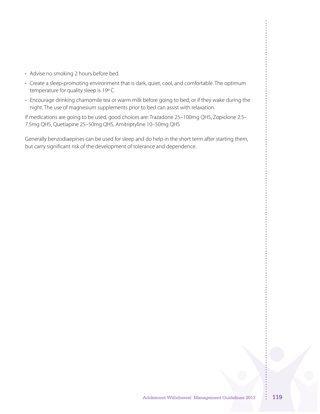- Advise no smoking 2 hours before bed.
- Create a sleep-promoting environment that is dark, quiet, cool, and comfortable. The optimum temperature for quality sleep is 19°C.
- Encourage drinking chamomile tea or warm milk before going to bed, or if they wake during the night. The use of magnesium supplements prior to bed can assist with relaxation.

If medications are going to be used, good choices are: Trazadone 25–100mg QHS, Zopiclone 2.5– 7.5mg QHS, Quetiapine 25–50mg QHS, Amitriptyline 10–50mg QHS

Generally benzodiaepines can be used for sleep and do help in the short term after starting them, but carry significant risk of the development of tolerance and dependence.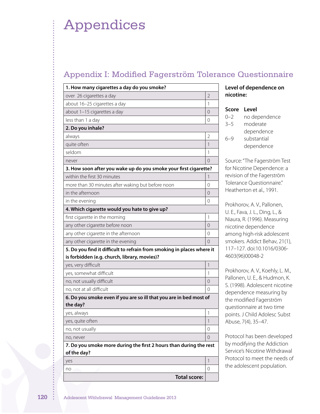# Appendices

# Appendix I: Modified Fagerström Tolerance Questionnaire

| 1. How many cigarettes a day do you smoke?                                        |                |
|-----------------------------------------------------------------------------------|----------------|
| over 26 cigarettes a day                                                          | $\overline{2}$ |
| about 16-25 cigarettes a day                                                      | 1              |
| about 1-15 cigarettes a day                                                       | 0              |
| less than 1 a day                                                                 | $\Omega$       |
| 2. Do you inhale?                                                                 |                |
| always                                                                            | $\overline{2}$ |
| quite often                                                                       | 1              |
| seldom                                                                            | 1              |
| never                                                                             | 0              |
| 3. How soon after you wake up do you smoke your first cigarette?                  |                |
| within the first 30 minutes                                                       | 1              |
| more than 30 minutes after waking but before noon                                 | 0              |
| in the afternoon                                                                  | 0              |
| in the evening                                                                    | $\Omega$       |
| 4. Which cigarette would you hate to give up?                                     |                |
| first cigarette in the morning                                                    | 1              |
| any other cigarette before noon                                                   | 0              |
| any other cigarette in the afternoon                                              | 0              |
| any other cigarette in the evening                                                | $\Omega$       |
| 5. Do you find it difficult to refrain from smoking in places where it            |                |
| is forbidden (e.g. church, library, movies)?                                      |                |
| yes, very difficult                                                               | $\mathbf{1}$   |
| yes, somewhat difficult                                                           | 1              |
| no, not usually difficult                                                         | 0              |
| no, not at all difficult                                                          | $\Omega$       |
| 6. Do you smoke even if you are so ill that you are in bed most of<br>the day?    |                |
| yes, always                                                                       | 1              |
| yes, quite often                                                                  | 1              |
| no, not usually                                                                   | 0              |
| no, never                                                                         | 0              |
| 7. Do you smoke more during the first 2 hours than during the rest<br>of the day? |                |
| yes                                                                               | 1              |
| no                                                                                | 0              |
| <b>Total score:</b>                                                               |                |

## **Level of dependence on nicotine:**

## **Score Level**

| $() - ?$ | no dependence |
|----------|---------------|
| $3 - 5$  | moderate      |
|          | dependence    |
| $6 - 9$  | substantial   |
|          | dependence    |
|          |               |

Source:"The Fagerström Test for Nicotine Dependence: a revision of the Fagerström Tolerance Questionnaire." Heatherton et al., 1991.

Prokhorov, A. V., Pallonen, U. E., Fava, J. L., Ding, L., & Niaura, R. (1996). Measuring nicotine dependence among high-risk adolescent smokers. Addict Behav, 21(1), 117–127. doi:10.1016/0306- 4603(96)00048-2

Prokhorov, A. V., Koehly, L. M., Pallonen, U. E., & Hudmon, K. S. (1998). Adolescent nicotine dependence measuring by the modified Fagerström questionnaire at two time points. J Child Adolesc Subst Abuse, 7(4), 35–47.

Protocol has been developed by modifying the Addiction Service's Nicotine Withdrawal Protocol to meet the needs of the adolescent population.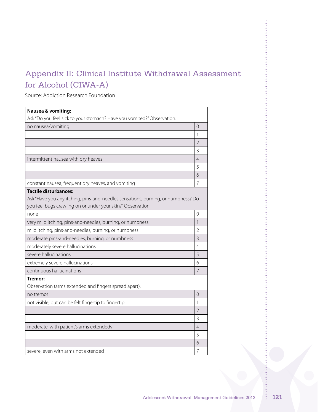# Appendix II: Clinical Institute Withdrawal Assessment for Alcohol (CIWA-A)

Source: Addiction Research Foundation

| Nausea & vomiting:                                                               |                          |
|----------------------------------------------------------------------------------|--------------------------|
| Ask "Do you feel sick to your stomach? Have you vomited?" Observation.           |                          |
| no nausea/vomiting                                                               | 0                        |
|                                                                                  | 1                        |
|                                                                                  | $\overline{\mathcal{L}}$ |
|                                                                                  | 3                        |
| intermittent nausea with dry heaves                                              | 4                        |
|                                                                                  | 5                        |
|                                                                                  | 6                        |
| constant nausea, frequent dry heaves, and vomiting                               | 7                        |
| <b>Tactile disturbances:</b>                                                     |                          |
| Ask "Have you any itching, pins-and-needles sensations, burning, or numbness? Do |                          |
| you feel bugs crawling on or under your skin?" Observation.                      |                          |
| none                                                                             | 0                        |
| very mild itching, pins-and-needles, burning, or numbness                        | $\mathbf{1}$             |
| mild itching, pins-and-needles, burning, or numbness                             | 2                        |
| moderate pins-and-needles, burning, or numbness                                  | 3                        |
| moderately severe hallucinations                                                 | 4                        |
| severe hallucinations                                                            | 5                        |
| extremely severe hallucinations                                                  | 6                        |
| continuous hallucinations                                                        | 7                        |
| Tremor:                                                                          |                          |
| Observation (arms extended and fingers spread apart).                            |                          |
| no tremor                                                                        | $\Omega$                 |
| not visible, but can be felt fingertip to fingertip                              | 1                        |
|                                                                                  | $\overline{2}$           |
|                                                                                  | 3                        |
| moderate, with patient's arms extendedv                                          | $\overline{4}$           |
|                                                                                  | 5                        |
|                                                                                  | 6                        |
| severe, even with arms not extended                                              | 7                        |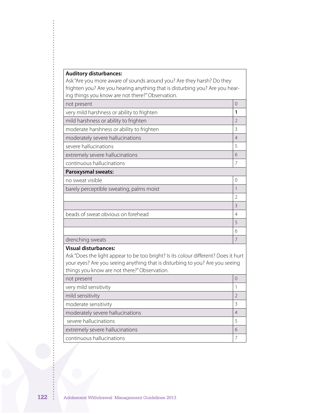# **Auditory disturbances:**

Ask "Are you more aware of sounds around you? Are they harsh? Do they frighten you? Are you hearing anything that is disturbing you? Are you hearing things you know are not there?"Observation.

| $\Omega$<br>not present<br>very mild harshness or ability to frighten<br>1<br>mild harshness or ability to frighten<br>$\overline{2}$<br>moderate harshness or ability to frighten<br>3<br>moderately severe hallucinations<br>$\overline{4}$<br>severe hallucinations<br>5<br>extremely severe hallucinations<br>6<br>continuous hallucinations<br>7<br>Paroxysmal sweats:<br>no sweat visible<br>0<br>$\mathbf{1}$<br>barely perceptible sweating, palms moist<br>$\overline{2}$<br>3<br>beads of sweat obvious on forehead<br>4<br>5<br>6<br>$\overline{7}$<br>drenching sweats<br><b>Visual disturbances:</b><br>your eyes? Are you seeing anything that is disturbing to you? Are you seeing<br>things you know are not there?" Observation.<br>$\Omega$<br>not present<br>very mild sensitivity<br>$\mathbf{1}$<br>mild sensitivity<br>$\overline{2}$<br>moderate sensitivity<br>3<br>moderately severe hallucinations<br>4<br>severe hallucinations<br>5<br>extremely severe hallucinations<br>6 | $5,000$ know are not there. Specifically |  |
|---------------------------------------------------------------------------------------------------------------------------------------------------------------------------------------------------------------------------------------------------------------------------------------------------------------------------------------------------------------------------------------------------------------------------------------------------------------------------------------------------------------------------------------------------------------------------------------------------------------------------------------------------------------------------------------------------------------------------------------------------------------------------------------------------------------------------------------------------------------------------------------------------------------------------------------------------------------------------------------------------------|------------------------------------------|--|
|                                                                                                                                                                                                                                                                                                                                                                                                                                                                                                                                                                                                                                                                                                                                                                                                                                                                                                                                                                                                         |                                          |  |
|                                                                                                                                                                                                                                                                                                                                                                                                                                                                                                                                                                                                                                                                                                                                                                                                                                                                                                                                                                                                         |                                          |  |
|                                                                                                                                                                                                                                                                                                                                                                                                                                                                                                                                                                                                                                                                                                                                                                                                                                                                                                                                                                                                         |                                          |  |
|                                                                                                                                                                                                                                                                                                                                                                                                                                                                                                                                                                                                                                                                                                                                                                                                                                                                                                                                                                                                         |                                          |  |
|                                                                                                                                                                                                                                                                                                                                                                                                                                                                                                                                                                                                                                                                                                                                                                                                                                                                                                                                                                                                         |                                          |  |
|                                                                                                                                                                                                                                                                                                                                                                                                                                                                                                                                                                                                                                                                                                                                                                                                                                                                                                                                                                                                         |                                          |  |
|                                                                                                                                                                                                                                                                                                                                                                                                                                                                                                                                                                                                                                                                                                                                                                                                                                                                                                                                                                                                         |                                          |  |
|                                                                                                                                                                                                                                                                                                                                                                                                                                                                                                                                                                                                                                                                                                                                                                                                                                                                                                                                                                                                         |                                          |  |
| Ask "Does the light appear to be too bright? Is its colour different? Does it hurt                                                                                                                                                                                                                                                                                                                                                                                                                                                                                                                                                                                                                                                                                                                                                                                                                                                                                                                      |                                          |  |
|                                                                                                                                                                                                                                                                                                                                                                                                                                                                                                                                                                                                                                                                                                                                                                                                                                                                                                                                                                                                         |                                          |  |
|                                                                                                                                                                                                                                                                                                                                                                                                                                                                                                                                                                                                                                                                                                                                                                                                                                                                                                                                                                                                         |                                          |  |
|                                                                                                                                                                                                                                                                                                                                                                                                                                                                                                                                                                                                                                                                                                                                                                                                                                                                                                                                                                                                         |                                          |  |
|                                                                                                                                                                                                                                                                                                                                                                                                                                                                                                                                                                                                                                                                                                                                                                                                                                                                                                                                                                                                         |                                          |  |
|                                                                                                                                                                                                                                                                                                                                                                                                                                                                                                                                                                                                                                                                                                                                                                                                                                                                                                                                                                                                         |                                          |  |
|                                                                                                                                                                                                                                                                                                                                                                                                                                                                                                                                                                                                                                                                                                                                                                                                                                                                                                                                                                                                         |                                          |  |
|                                                                                                                                                                                                                                                                                                                                                                                                                                                                                                                                                                                                                                                                                                                                                                                                                                                                                                                                                                                                         |                                          |  |
|                                                                                                                                                                                                                                                                                                                                                                                                                                                                                                                                                                                                                                                                                                                                                                                                                                                                                                                                                                                                         |                                          |  |
|                                                                                                                                                                                                                                                                                                                                                                                                                                                                                                                                                                                                                                                                                                                                                                                                                                                                                                                                                                                                         |                                          |  |
|                                                                                                                                                                                                                                                                                                                                                                                                                                                                                                                                                                                                                                                                                                                                                                                                                                                                                                                                                                                                         |                                          |  |
|                                                                                                                                                                                                                                                                                                                                                                                                                                                                                                                                                                                                                                                                                                                                                                                                                                                                                                                                                                                                         |                                          |  |
|                                                                                                                                                                                                                                                                                                                                                                                                                                                                                                                                                                                                                                                                                                                                                                                                                                                                                                                                                                                                         |                                          |  |
|                                                                                                                                                                                                                                                                                                                                                                                                                                                                                                                                                                                                                                                                                                                                                                                                                                                                                                                                                                                                         |                                          |  |
|                                                                                                                                                                                                                                                                                                                                                                                                                                                                                                                                                                                                                                                                                                                                                                                                                                                                                                                                                                                                         |                                          |  |
|                                                                                                                                                                                                                                                                                                                                                                                                                                                                                                                                                                                                                                                                                                                                                                                                                                                                                                                                                                                                         |                                          |  |
|                                                                                                                                                                                                                                                                                                                                                                                                                                                                                                                                                                                                                                                                                                                                                                                                                                                                                                                                                                                                         |                                          |  |
| 7                                                                                                                                                                                                                                                                                                                                                                                                                                                                                                                                                                                                                                                                                                                                                                                                                                                                                                                                                                                                       | continuous hallucinations                |  |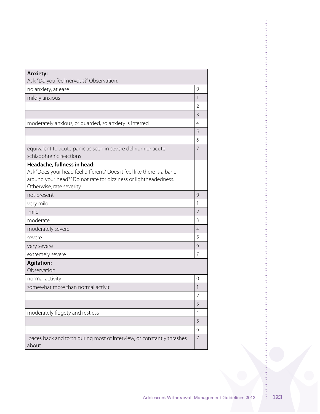| <b>Anxiety:</b><br>Ask: "Do you feel nervous?" Observation.                              |                          |
|------------------------------------------------------------------------------------------|--------------------------|
| no anxiety, at ease                                                                      | $\Omega$                 |
| mildly anxious                                                                           | 1                        |
|                                                                                          | $\overline{2}$           |
|                                                                                          | 3                        |
| moderately anxious, or guarded, so anxiety is inferred                                   | $\overline{4}$           |
|                                                                                          | 5                        |
|                                                                                          | 6                        |
|                                                                                          | $\overline{7}$           |
| equivalent to acute panic as seen in severe delirium or acute<br>schizophrenic reactions |                          |
| Headache, fullness in head:                                                              |                          |
| Ask "Does your head feel different? Does it feel like there is a band                    |                          |
| around your head?" Do not rate for dizziness or lightheadedness.                         |                          |
| Otherwise, rate severity.                                                                |                          |
| not present                                                                              | $\Omega$                 |
| very mild                                                                                | 1                        |
| mild                                                                                     | $\overline{2}$           |
| moderate                                                                                 | 3                        |
| moderately severe                                                                        | $\overline{4}$           |
| severe                                                                                   | 5                        |
| very severe                                                                              | 6                        |
| extremely severe                                                                         | 7                        |
| <b>Agitation:</b>                                                                        |                          |
| Observation.                                                                             |                          |
| normal activity                                                                          | $\Omega$                 |
| somewhat more than normal activit                                                        | $\overline{\phantom{a}}$ |
|                                                                                          | $\overline{2}$           |
|                                                                                          | 3                        |
| moderately fidgety and restless                                                          | 4                        |
|                                                                                          | 5                        |
|                                                                                          | 6                        |
| paces back and forth during most of interview, or constantly thrashes<br>about           | $\overline{7}$           |

 $\frac{1}{2}$ 

**\*\*\*\*\*\*\*\*\*\*\*\*\***\*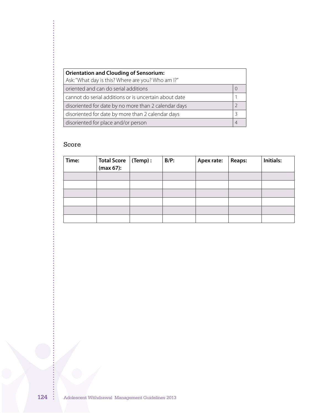| <b>Orientation and Clouding of Sensorium:</b><br>Ask: "What day is this? Where are you? Who am I?" |  |  |
|----------------------------------------------------------------------------------------------------|--|--|
| oriented and can do serial additions                                                               |  |  |
|                                                                                                    |  |  |
| cannot do serial additions or is uncertain about date                                              |  |  |
| disoriented for date by no more than 2 calendar days                                               |  |  |
| disoriented for date by more than 2 calendar days                                                  |  |  |
| disoriented for place and/or person                                                                |  |  |

# Score

 $\frac{1}{2}$   $\frac{1}{2}$   $\frac{1}{2}$   $\frac{1}{2}$   $\frac{1}{2}$   $\frac{1}{2}$   $\frac{1}{2}$   $\frac{1}{2}$   $\frac{1}{2}$   $\frac{1}{2}$   $\frac{1}{2}$   $\frac{1}{2}$   $\frac{1}{2}$   $\frac{1}{2}$   $\frac{1}{2}$   $\frac{1}{2}$   $\frac{1}{2}$   $\frac{1}{2}$   $\frac{1}{2}$   $\frac{1}{2}$   $\frac{1}{2}$   $\frac{1}{2}$ 

| Time: | <b>Total Score</b><br>(max 67): | $\vert$ (Temp) : | $B/P$ : | Apex rate: | <b>Reaps:</b> | Initials: |
|-------|---------------------------------|------------------|---------|------------|---------------|-----------|
|       |                                 |                  |         |            |               |           |
|       |                                 |                  |         |            |               |           |
|       |                                 |                  |         |            |               |           |
|       |                                 |                  |         |            |               |           |
|       |                                 |                  |         |            |               |           |
|       |                                 |                  |         |            |               |           |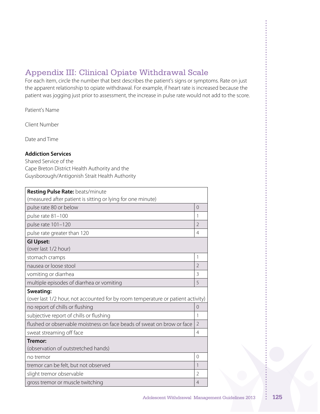# Appendix III: Clinical Opiate Withdrawal Scale

For each item, circle the number that best describes the patient's signs or symptoms. Rate on just the apparent relationship to opiate withdrawal. For example, if heart rate is increased because the patient was jogging just prior to assessment, the increase in pulse rate would not add to the score.

Patient's Name

Client Number

Date and Time 

## **Addiction Services**

Shared Service of the Cape Breton District Health Authority and the Guysborough/Antigonish Strait Health Authority

| Resting Pulse Rate: beats/minute<br>(measured after patient is sitting or lying for one minute) |                |  |
|-------------------------------------------------------------------------------------------------|----------------|--|
| pulse rate 80 or below                                                                          | $\Omega$       |  |
| pulse rate 81-100                                                                               | 1              |  |
| pulse rate 101-120                                                                              | $\overline{2}$ |  |
| pulse rate greater than 120                                                                     | 4              |  |
| <b>GI Upset:</b><br>(over last 1/2 hour)                                                        |                |  |
| stomach cramps                                                                                  | 1              |  |
| nausea or loose stool                                                                           | $\overline{2}$ |  |
| vomiting or diarrhea                                                                            | 3              |  |
| multiple episodes of diarrhea or vomiting                                                       | 5              |  |
| Sweating:<br>(over last 1/2 hour, not accounted for by room temperature or patient activity)    |                |  |
| no report of chills or flushing                                                                 | $\Omega$       |  |
| subjective report of chills or flushing                                                         | 1              |  |
| flushed or observable moistness on face beads of sweat on brow or face                          | $\overline{2}$ |  |
| sweat streaming off face                                                                        | $\overline{4}$ |  |
| Tremor:<br>(observation of outstretched hands)                                                  |                |  |
| no tremor                                                                                       | $\Omega$       |  |
| tremor can be felt, but not observed                                                            | 1              |  |
| slight tremor observable                                                                        | $\overline{2}$ |  |
| gross tremor or muscle twitching                                                                |                |  |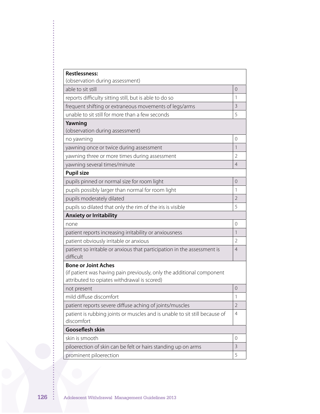| <b>Restlessness:</b><br>(observation during assessment)                                                                                            |                |
|----------------------------------------------------------------------------------------------------------------------------------------------------|----------------|
| able to sit still                                                                                                                                  | $\Omega$       |
| reports difficulty sitting still, but is able to do so                                                                                             | 1              |
| frequent shifting or extraneous movements of legs/arms                                                                                             | 3              |
| unable to sit still for more than a few seconds                                                                                                    | 5              |
| Yawning<br>(observation during assessment)                                                                                                         |                |
| no yawning                                                                                                                                         | $\Omega$       |
| yawning once or twice during assessment                                                                                                            | 1              |
| yawning three or more times during assessment                                                                                                      | $\overline{2}$ |
| yawning several times/minute                                                                                                                       | $\overline{4}$ |
| <b>Pupil size</b>                                                                                                                                  |                |
| pupils pinned or normal size for room light                                                                                                        | $\overline{0}$ |
| pupils possibly larger than normal for room light                                                                                                  | 1              |
| pupils moderately dilated                                                                                                                          | $\overline{2}$ |
| pupils so dilated that only the rim of the iris is visible                                                                                         | 5              |
| <b>Anxiety or Irritability</b>                                                                                                                     |                |
| none                                                                                                                                               | $\Omega$       |
| patient reports increasing irritability or anxiousness                                                                                             | $\mathbf{1}$   |
| patient obviously irritable or anxious                                                                                                             | $\overline{2}$ |
| patient so irritable or anxious that participation in the assessment is<br>difficult                                                               | $\overline{4}$ |
| <b>Bone or Joint Aches</b><br>(if patient was having pain previously, only the additional component<br>attributed to opiates withdrawal is scored) |                |
| not present                                                                                                                                        | 0              |
| mild diffuse discomfort                                                                                                                            | 1              |
| patient reports severe diffuse aching of joints/muscles                                                                                            | $\overline{2}$ |
| patient is rubbing joints or muscles and is unable to sit still because of<br>discomfort                                                           | $\overline{4}$ |
| <b>Gooseflesh skin</b>                                                                                                                             |                |
| skin is smooth                                                                                                                                     | $\overline{0}$ |
| piloerection of skin can be felt or hairs standing up on arms                                                                                      | 3              |
| prominent piloerection                                                                                                                             | 5              |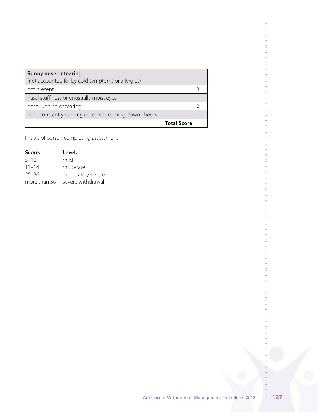| <b>Runny nose or tearing</b><br>(not accounted for by cold symptoms or allergies) |  |
|-----------------------------------------------------------------------------------|--|
| not present                                                                       |  |
| nasal stuffiness or unusually moist eyes                                          |  |
| nose running or tearing                                                           |  |
| nose constantly running or tears streaming down cheeks                            |  |
| <b>Total Score</b>                                                                |  |

Initials of person completing assessment \_\_\_\_\_\_\_\_

| Score:       | Level:            |
|--------------|-------------------|
| $5 - 12$     | mild              |
| $13 - 14$    | moderate          |
| $25 - 36$    | moderately severe |
| more than 36 | severe withdrawal |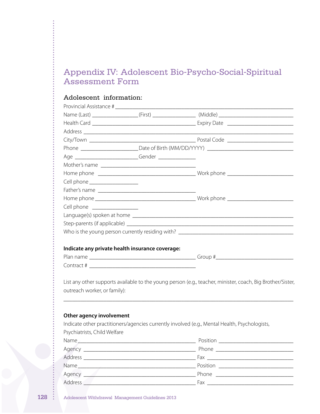# Appendix IV: Adolescent Bio-Psycho-Social-Spiritual Assessment Form

# Adolescent information:

|                                 |                                                 | Name (Last) _____________________(First) ______________________(Middle) ____________________________       |
|---------------------------------|-------------------------------------------------|------------------------------------------------------------------------------------------------------------|
|                                 |                                                 |                                                                                                            |
|                                 |                                                 |                                                                                                            |
|                                 |                                                 |                                                                                                            |
|                                 |                                                 |                                                                                                            |
|                                 |                                                 |                                                                                                            |
|                                 |                                                 |                                                                                                            |
|                                 |                                                 |                                                                                                            |
| Cell phone ____________________ |                                                 |                                                                                                            |
|                                 |                                                 |                                                                                                            |
|                                 |                                                 |                                                                                                            |
| Cell phone ________________     |                                                 |                                                                                                            |
|                                 |                                                 |                                                                                                            |
|                                 |                                                 |                                                                                                            |
|                                 |                                                 |                                                                                                            |
|                                 |                                                 |                                                                                                            |
|                                 | Indicate any private health insurance coverage: |                                                                                                            |
|                                 |                                                 |                                                                                                            |
|                                 |                                                 |                                                                                                            |
| outreach worker, or family):    |                                                 | List any other supports available to the young person (e.g., teacher, minister, coach, Big Brother/Sister, |
| Other agency involvement        |                                                 |                                                                                                            |
| Psychiatrists, Child Welfare    |                                                 | Indicate other practitioners/agencies currently involved (e.g., Mental Health, Psychologists,              |
| Name                            |                                                 | Position                                                                                                   |

|                                                     | Position __________________________                                                                                                                                                                                            |
|-----------------------------------------------------|--------------------------------------------------------------------------------------------------------------------------------------------------------------------------------------------------------------------------------|
|                                                     |                                                                                                                                                                                                                                |
| Address<br><u> 1980 - Jan Alexandria (h. 1980).</u> | $\begin{tabular}{ c c c } \hline \text{Fax} & \text{\hspace{2cm}} & \text{\hspace{2cm}} & \text{\hspace{2cm}} \\ \hline \end{tabular}$                                                                                         |
| Name_                                               | Position ______________                                                                                                                                                                                                        |
| Agency _                                            | <b>Phone</b> Phone                                                                                                                                                                                                             |
| Address                                             | Fax and the contract of the contract of the contract of the contract of the contract of the contract of the contract of the contract of the contract of the contract of the contract of the contract of the contract of the co |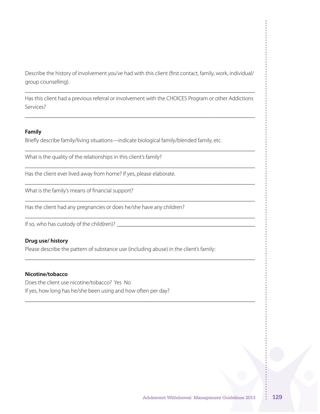Describe the history of involvement you've had with this client (first contact, family, work, individual/ group counselling).

\_\_\_\_\_\_\_\_\_\_\_\_\_\_\_\_\_\_\_\_\_\_\_\_\_\_\_\_\_\_\_\_\_\_\_\_\_\_\_\_\_\_\_\_\_\_\_\_\_\_\_\_\_\_\_\_\_\_\_\_\_\_\_\_\_\_\_\_\_\_\_\_\_\_\_\_\_\_\_\_

Has this client had a previous referral or involvement with the CHOICES Program or other Addictions Services?

\_\_\_\_\_\_\_\_\_\_\_\_\_\_\_\_\_\_\_\_\_\_\_\_\_\_\_\_\_\_\_\_\_\_\_\_\_\_\_\_\_\_\_\_\_\_\_\_\_\_\_\_\_\_\_\_\_\_\_\_\_\_\_\_\_\_\_\_\_\_\_\_\_\_\_\_\_\_\_\_

\_\_\_\_\_\_\_\_\_\_\_\_\_\_\_\_\_\_\_\_\_\_\_\_\_\_\_\_\_\_\_\_\_\_\_\_\_\_\_\_\_\_\_\_\_\_\_\_\_\_\_\_\_\_\_\_\_\_\_\_\_\_\_\_\_\_\_\_\_\_\_\_\_\_\_\_\_\_\_\_

\_\_\_\_\_\_\_\_\_\_\_\_\_\_\_\_\_\_\_\_\_\_\_\_\_\_\_\_\_\_\_\_\_\_\_\_\_\_\_\_\_\_\_\_\_\_\_\_\_\_\_\_\_\_\_\_\_\_\_\_\_\_\_\_\_\_\_\_\_\_\_\_\_\_\_\_\_\_\_\_

\_\_\_\_\_\_\_\_\_\_\_\_\_\_\_\_\_\_\_\_\_\_\_\_\_\_\_\_\_\_\_\_\_\_\_\_\_\_\_\_\_\_\_\_\_\_\_\_\_\_\_\_\_\_\_\_\_\_\_\_\_\_\_\_\_\_\_\_\_\_\_\_\_\_\_\_\_\_\_\_

\_\_\_\_\_\_\_\_\_\_\_\_\_\_\_\_\_\_\_\_\_\_\_\_\_\_\_\_\_\_\_\_\_\_\_\_\_\_\_\_\_\_\_\_\_\_\_\_\_\_\_\_\_\_\_\_\_\_\_\_\_\_\_\_\_\_\_\_\_\_\_\_\_\_\_\_\_\_\_\_

\_\_\_\_\_\_\_\_\_\_\_\_\_\_\_\_\_\_\_\_\_\_\_\_\_\_\_\_\_\_\_\_\_\_\_\_\_\_\_\_\_\_\_\_\_\_\_\_\_\_\_\_\_\_\_\_\_\_\_\_\_\_\_\_\_\_\_\_\_\_\_\_\_\_\_\_\_\_\_\_

\_\_\_\_\_\_\_\_\_\_\_\_\_\_\_\_\_\_\_\_\_\_\_\_\_\_\_\_\_\_\_\_\_\_\_\_\_\_\_\_\_\_\_\_\_\_\_\_\_\_\_\_\_\_\_\_\_\_\_\_\_\_\_\_\_\_\_\_\_\_\_\_\_\_\_\_\_\_\_\_

\_\_\_\_\_\_\_\_\_\_\_\_\_\_\_\_\_\_\_\_\_\_\_\_\_\_\_\_\_\_\_\_\_\_\_\_\_\_\_\_\_\_\_\_\_\_\_\_\_\_\_\_\_\_\_\_\_\_\_\_\_\_\_\_\_\_\_\_\_\_\_\_\_\_\_\_\_\_\_\_

#### **Family**

Briefly describe family/living situations—indicate biological family/blended family, etc.

What is the quality of the relationships in this client's family?

Has the client ever lived away from home? If yes, please elaborate.

What is the family's means of financial support?

Has the client had any pregnancies or does he/she have any children?

If so, who has custody of the child(ren)? \_\_\_\_\_\_\_\_\_\_\_\_\_\_\_\_\_\_\_\_\_\_\_\_\_\_\_\_\_\_\_\_\_\_\_\_\_\_\_\_\_\_\_\_\_\_\_\_

### **Drug use/ history**

Please describe the pattern of substance use (including abuse) in the client's family:

### **Nicotine/tobacco**

Does the client use nicotine/tobacco? Yes No If yes, how long has he/she been using and how often per day?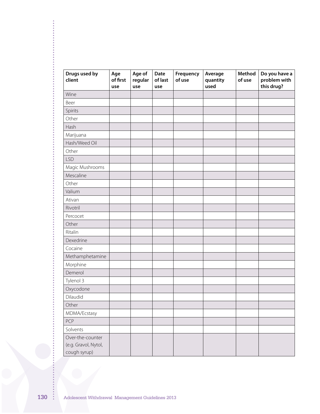| Drugs used by<br>client                                  | Age<br>of first<br>use | Age of<br>regular<br>use | Date<br>of last<br>use | Frequency<br>of use | Average<br>quantity<br>used | Method<br>of use | Do you have a<br>problem with<br>this drug? |
|----------------------------------------------------------|------------------------|--------------------------|------------------------|---------------------|-----------------------------|------------------|---------------------------------------------|
| Wine                                                     |                        |                          |                        |                     |                             |                  |                                             |
| Beer                                                     |                        |                          |                        |                     |                             |                  |                                             |
| Spirits                                                  |                        |                          |                        |                     |                             |                  |                                             |
| Other                                                    |                        |                          |                        |                     |                             |                  |                                             |
| Hash                                                     |                        |                          |                        |                     |                             |                  |                                             |
| Marijuana                                                |                        |                          |                        |                     |                             |                  |                                             |
| Hash/Weed Oil                                            |                        |                          |                        |                     |                             |                  |                                             |
| Other                                                    |                        |                          |                        |                     |                             |                  |                                             |
| <b>LSD</b>                                               |                        |                          |                        |                     |                             |                  |                                             |
| Magic Mushrooms                                          |                        |                          |                        |                     |                             |                  |                                             |
| Mescaline                                                |                        |                          |                        |                     |                             |                  |                                             |
| Other                                                    |                        |                          |                        |                     |                             |                  |                                             |
| Valium                                                   |                        |                          |                        |                     |                             |                  |                                             |
| Ativan                                                   |                        |                          |                        |                     |                             |                  |                                             |
| Rivotril                                                 |                        |                          |                        |                     |                             |                  |                                             |
| Percocet                                                 |                        |                          |                        |                     |                             |                  |                                             |
| Other                                                    |                        |                          |                        |                     |                             |                  |                                             |
| Ritalin                                                  |                        |                          |                        |                     |                             |                  |                                             |
| Dexedrine                                                |                        |                          |                        |                     |                             |                  |                                             |
| Cocaine                                                  |                        |                          |                        |                     |                             |                  |                                             |
| Methamphetamine                                          |                        |                          |                        |                     |                             |                  |                                             |
| Morphine                                                 |                        |                          |                        |                     |                             |                  |                                             |
| Demerol                                                  |                        |                          |                        |                     |                             |                  |                                             |
| Tylenol 3                                                |                        |                          |                        |                     |                             |                  |                                             |
| Oxycodone                                                |                        |                          |                        |                     |                             |                  |                                             |
| Dilaudid                                                 |                        |                          |                        |                     |                             |                  |                                             |
| Other                                                    |                        |                          |                        |                     |                             |                  |                                             |
| MDMA/Ecstasy                                             |                        |                          |                        |                     |                             |                  |                                             |
| PCP                                                      |                        |                          |                        |                     |                             |                  |                                             |
| Solvents                                                 |                        |                          |                        |                     |                             |                  |                                             |
| Over-the-counter<br>(e.g. Gravol, Nytol,<br>cough syrup) |                        |                          |                        |                     |                             |                  |                                             |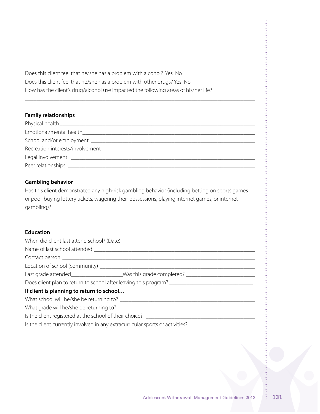Does this client feel that he/she has a problem with alcohol? Yes No Does this client feel that he/she has a problem with other drugs? Yes No How has the client's drug/alcohol use impacted the following areas of his/her life?

### **Family relationships**

| Physical health <b>Exercise Exercise Contract Contract Contract Contract Contract Contract Contract Contract Contract Contract Contract Contract Contract Contract Contract Contract Contract Contract Contract Contract Contrac</b> |
|--------------------------------------------------------------------------------------------------------------------------------------------------------------------------------------------------------------------------------------|
|                                                                                                                                                                                                                                      |
|                                                                                                                                                                                                                                      |
| Recreation interests/involvement example and the state of the state of the state of the state of the state of the state of the state of the state of the state of the state of the state of the state of the state of the stat       |
|                                                                                                                                                                                                                                      |
| Peer relationships expansion of the set of the set of the set of the set of the set of the set of the set of the set of the set of the set of the set of the set of the set of the set of the set of the set of the set of the       |

**\_\_\_\_\_\_\_\_\_\_\_\_\_\_\_\_\_\_\_\_\_\_\_\_\_\_\_\_\_\_\_\_\_\_\_\_\_\_\_\_\_\_\_\_\_\_\_\_\_\_\_\_\_\_\_\_\_\_\_\_\_\_\_\_\_\_\_\_\_\_\_\_\_\_\_\_\_\_\_\_**

### **Gambling behavior**

Has this client demonstrated any high-risk gambling behavior (including betting on sports games or pool, buying lottery tickets, wagering their possessions, playing internet games, or internet gambling)?

\_\_\_\_\_\_\_\_\_\_\_\_\_\_\_\_\_\_\_\_\_\_\_\_\_\_\_\_\_\_\_\_\_\_\_\_\_\_\_\_\_\_\_\_\_\_\_\_\_\_\_\_\_\_\_\_\_\_\_\_\_\_\_\_\_\_\_\_\_\_\_\_\_\_\_\_\_\_\_\_

### **Education**

| When did client last attend school? (Date)                                                           |  |  |
|------------------------------------------------------------------------------------------------------|--|--|
|                                                                                                      |  |  |
|                                                                                                      |  |  |
|                                                                                                      |  |  |
| Last grade attended______________________Was this grade completed? ________________________________  |  |  |
| Does client plan to return to school after leaving this program? ___________________________________ |  |  |
| If client is planning to return to school                                                            |  |  |
|                                                                                                      |  |  |
|                                                                                                      |  |  |
| Is the client registered at the school of their choice? ________________________                     |  |  |
| Is the client currently involved in any extracurricular sports or activities?                        |  |  |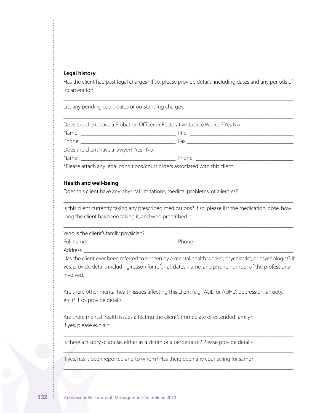#### **Legal history**

Has the client had past legal charges? If so, please provide details, including dates and any periods of incarceration.

\_\_\_\_\_\_\_\_\_\_\_\_\_\_\_\_\_\_\_\_\_\_\_\_\_\_\_\_\_\_\_\_\_\_\_\_\_\_\_\_\_\_\_\_\_\_\_\_\_\_\_\_\_\_\_\_\_\_\_\_\_\_\_\_\_\_\_\_\_\_\_\_\_\_\_\_\_\_\_\_

List any pending court dates or outstanding charges.

| Does the client have a Probation Officer or Restorative Justice Worker? Yes No                                                                                                                                                          |  |
|-----------------------------------------------------------------------------------------------------------------------------------------------------------------------------------------------------------------------------------------|--|
|                                                                                                                                                                                                                                         |  |
|                                                                                                                                                                                                                                         |  |
| Does the client have a lawyer? Yes No                                                                                                                                                                                                   |  |
|                                                                                                                                                                                                                                         |  |
| $\mathbf{v} \in \mathbb{R}$ , and the set of the set of the set of the set of the set of the set of the set of the set of the set of the set of the set of the set of the set of the set of the set of the set of the set of the set of |  |

\*Please attach any legal conditions/court orders associated with this client.

#### **Health and well-being**

Does this client have any physical limitations, medical problems, or allergies?

Is this client currently taking any prescribed medications? If so, please list the medication, dose, how long the client has been taking it, and who prescribed it.

\_\_\_\_\_\_\_\_\_\_\_\_\_\_\_\_\_\_\_\_\_\_\_\_\_\_\_\_\_\_\_\_\_\_\_\_\_\_\_\_\_\_\_\_\_\_\_\_\_\_\_\_\_\_\_\_\_\_\_\_\_\_\_\_\_\_\_\_\_\_\_\_\_\_\_\_\_\_\_\_

\_\_\_\_\_\_\_\_\_\_\_\_\_\_\_\_\_\_\_\_\_\_\_\_\_\_\_\_\_\_\_\_\_\_\_\_\_\_\_\_\_\_\_\_\_\_\_\_\_\_\_\_\_\_\_\_\_\_\_\_\_\_\_\_\_\_\_\_\_\_\_\_\_\_\_\_\_\_\_\_

Who is the client's family physician?

Full name \_\_\_\_\_\_\_\_\_\_\_\_\_\_\_\_\_\_\_\_\_\_\_\_\_\_\_\_\_\_ Phone \_\_\_\_\_\_\_\_\_\_\_\_\_\_\_\_\_\_\_\_\_\_\_\_\_\_\_\_\_\_\_\_\_\_

Address **and a** 

Has the client ever been referred to or seen by a mental health worker, psychiatrist, or psychologist? If yes, provide details including reason for referral, dates, name, and phone number of the professional involved.

\_\_\_\_\_\_\_\_\_\_\_\_\_\_\_\_\_\_\_\_\_\_\_\_\_\_\_\_\_\_\_\_\_\_\_\_\_\_\_\_\_\_\_\_\_\_\_\_\_\_\_\_\_\_\_\_\_\_\_\_\_\_\_\_\_\_\_\_\_\_\_\_\_\_\_\_\_\_\_\_

\_\_\_\_\_\_\_\_\_\_\_\_\_\_\_\_\_\_\_\_\_\_\_\_\_\_\_\_\_\_\_\_\_\_\_\_\_\_\_\_\_\_\_\_\_\_\_\_\_\_\_\_\_\_\_\_\_\_\_\_\_\_\_\_\_\_\_\_\_\_\_\_\_\_\_\_\_\_\_\_

\_\_\_\_\_\_\_\_\_\_\_\_\_\_\_\_\_\_\_\_\_\_\_\_\_\_\_\_\_\_\_\_\_\_\_\_\_\_\_\_\_\_\_\_\_\_\_\_\_\_\_\_\_\_\_\_\_\_\_\_\_\_\_\_\_\_\_\_\_\_\_\_\_\_\_\_\_\_\_\_

 $\mathcal{L} = \{ \mathcal{L} = \{ \mathcal{L} = \mathcal{L} \} \cup \{ \mathcal{L} = \{ \mathcal{L} = \mathcal{L} \} \cup \{ \mathcal{L} = \{ \mathcal{L} = \mathcal{L} = \mathcal{L} \} \cup \{ \mathcal{L} = \{ \mathcal{L} = \mathcal{L} = \mathcal{L} \} \cup \{ \mathcal{L} = \{ \mathcal{L} = \mathcal{L} = \mathcal{L} \} \cup \{ \mathcal{L} = \{ \mathcal{L} = \mathcal{L} = \mathcal{L} \} \cup \{ \mathcal{L} = \{ \mathcal{L}$ 

\_\_\_\_\_\_\_\_\_\_\_\_\_\_\_\_\_\_\_\_\_\_\_\_\_\_\_\_\_\_\_\_\_\_\_\_\_\_\_\_\_\_\_\_\_\_\_\_\_\_\_\_\_\_\_\_\_\_\_\_\_\_\_\_\_\_\_\_\_\_\_\_\_\_\_\_\_\_\_\_

Are there other mental health issues affecting this client (e.g., ADD or ADHD, depression, anxiety, etc.)? If so, provide details.

Are there mental health issues affecting the client's immediate or extended family? If yes, please explain.

Is there a history of abuse, either as a victim or a perpetrator? Please provide details.

If yes, has it been reported and to whom? Has there been any counseling for same?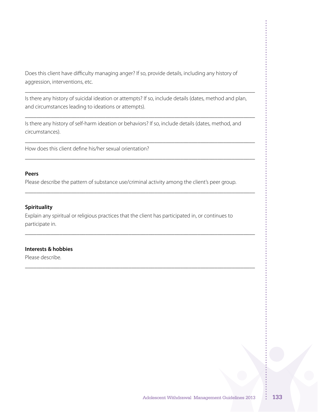Does this client have difficulty managing anger? If so, provide details, including any history of aggression, interventions, etc.

Is there any history of suicidal ideation or attempts? If so, include details (dates, method and plan, and circumstances leading to ideations or attempts).

\_\_\_\_\_\_\_\_\_\_\_\_\_\_\_\_\_\_\_\_\_\_\_\_\_\_\_\_\_\_\_\_\_\_\_\_\_\_\_\_\_\_\_\_\_\_\_\_\_\_\_\_\_\_\_\_\_\_\_\_\_\_\_\_\_\_\_\_\_\_\_\_\_\_\_\_\_\_\_\_

\_\_\_\_\_\_\_\_\_\_\_\_\_\_\_\_\_\_\_\_\_\_\_\_\_\_\_\_\_\_\_\_\_\_\_\_\_\_\_\_\_\_\_\_\_\_\_\_\_\_\_\_\_\_\_\_\_\_\_\_\_\_\_\_\_\_\_\_\_\_\_\_\_\_\_\_\_\_\_\_

\_\_\_\_\_\_\_\_\_\_\_\_\_\_\_\_\_\_\_\_\_\_\_\_\_\_\_\_\_\_\_\_\_\_\_\_\_\_\_\_\_\_\_\_\_\_\_\_\_\_\_\_\_\_\_\_\_\_\_\_\_\_\_\_\_\_\_\_\_\_\_\_\_\_\_\_\_\_\_\_

\_\_\_\_\_\_\_\_\_\_\_\_\_\_\_\_\_\_\_\_\_\_\_\_\_\_\_\_\_\_\_\_\_\_\_\_\_\_\_\_\_\_\_\_\_\_\_\_\_\_\_\_\_\_\_\_\_\_\_\_\_\_\_\_\_\_\_\_\_\_\_\_\_\_\_\_\_\_\_\_

\_\_\_\_\_\_\_\_\_\_\_\_\_\_\_\_\_\_\_\_\_\_\_\_\_\_\_\_\_\_\_\_\_\_\_\_\_\_\_\_\_\_\_\_\_\_\_\_\_\_\_\_\_\_\_\_\_\_\_\_\_\_\_\_\_\_\_\_\_\_\_\_\_\_\_\_\_\_\_\_

\_\_\_\_\_\_\_\_\_\_\_\_\_\_\_\_\_\_\_\_\_\_\_\_\_\_\_\_\_\_\_\_\_\_\_\_\_\_\_\_\_\_\_\_\_\_\_\_\_\_\_\_\_\_\_\_\_\_\_\_\_\_\_\_\_\_\_\_\_\_\_\_\_\_\_\_\_\_\_\_

\_\_\_\_\_\_\_\_\_\_\_\_\_\_\_\_\_\_\_\_\_\_\_\_\_\_\_\_\_\_\_\_\_\_\_\_\_\_\_\_\_\_\_\_\_\_\_\_\_\_\_\_\_\_\_\_\_\_\_\_\_\_\_\_\_\_\_\_\_\_\_\_\_\_\_\_\_\_\_\_

Is there any history of self-harm ideation or behaviors? If so, include details (dates, method, and circumstances).

How does this client define his/her sexual orientation?

#### **Peers**

Please describe the pattern of substance use/criminal activity among the client's peer group.

#### **Spirituality**

Explain any spiritual or religious practices that the client has participated in, or continues to participate in.

### **Interests & hobbies**

Please describe.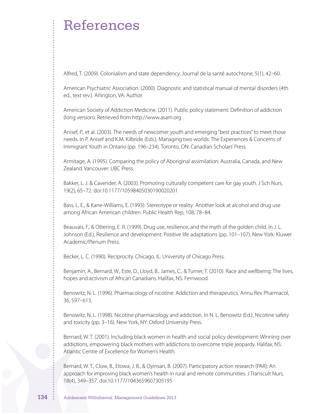# References

Alfred, T. (2009). Colonialism and state dependency. Journal de la santé autochtone, 5(1), 42–60.

American Psychiatric Association. (2000). Diagnostic and statistical manual of mental disorders (4th ed., text rev.). Arlington, VA: Author.

American Society of Addiction Medicine. (2011). Public policy statement: Definition of addiction (long version). Retrieved from http://www.asam.org

Anisef, P., et al. (2003). The needs of newcomer youth and emerging"best practices"to meet those needs. In P. Anisef and K.M. Kilbride (Eds.), Managing two worlds: The Experiences & Concerns of Immigrant Youth in Ontario (pp. 196–234). Toronto, ON: Canadian Scholars'Press.

Armitage, A. (1995). Comparing the policy of Aboriginal assimilation: Australia, Canada, and New Zealand. Vancouver: UBC Press.

Bakker, L. J. & Cavender, A. (2003). Promoting culturally competent care for gay youth. J Sch Nurs, 19(2), 65–72. doi:10.1177/10598405030190020201

Bass, L. E., & Kane-Williams, E. (1993). Stereotype or reality: Another look at alcohol and drug use among African American children. Public Health Rep, 108, 78–84.

Beauvais, F., & Ottering, E. R. (1999). Drug use, resilience, and the myth of the golden child. In J. L. Johnson (Ed.), Resilience and development: Positive life adaptations (pp. 101–107). New York: Kluwer Academic/Plenum Press.

Becker, L. C. (1990). Reciprocity. Chicago, IL: University of Chicago Press.

Benjamin, A., Bernard, W., Este, D., Lloyd, B., James, C., & Turner, T. (2010). Race and wellbeing: The lives, hopes and activism of African Canadians. Halifax, NS: Fernwood.

Benowitz, N. L. (1996). Pharmacology of nicotine: Addiction and therapeutics. Annu Rev Pharmacol, 36, 597–613.

Benowitz, N. L. (1998). Nicotine pharmacology and addiction. In N. L. Benowitz (Ed.), Nicotine safety and toxicity (pp. 3–16). New York, NY: Oxford University Press.

Bernard, W. T. (2001). Including black women in health and social policy development: Winning over addictions, empowering black mothers with addictions to overcome triple jeopardy. Halifax, NS: Atlantic Centre of Excellence for Women's Health.

Bernard, W. T., Clow, B., Etowa, J. B., & Oyinsan, B. (2007). Participatory action research (PAR): An approach for improving black women's health in rural and remote communities. J Transcult Nurs, 18(4), 349–357. doi:10.1177/1043659607305195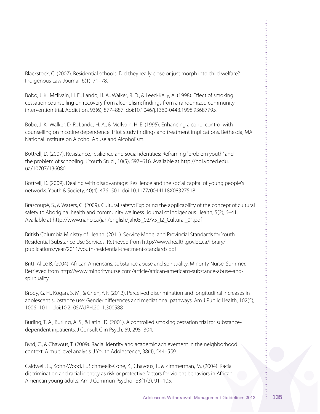Blackstock, C. (2007). Residential schools: Did they really close or just morph into child welfare? Indigenous Law Journal, 6(1), 71–78.

Bobo, J. K., McIlvain, H. E., Lando, H. A., Walker, R. D., & Leed-Kelly, A. (1998). Effect of smoking cessation counselling on recovery from alcoholism: findings from a randomized community intervention trial. Addiction, 93(6), 877–887. doi:10.1046/j.1360-0443.1998.9368779.x

Bobo, J. K., Walker, D. R., Lando, H. A., & McIlvain, H. E. (1995). Enhancing alcohol control with counselling on nicotine dependence: Pilot study findings and treatment implications. Bethesda, MA: National Institute on Alcohol Abuse and Alcoholism.

Bottrell, D. (2007). Resistance, resilience and social identities: Reframing"problem youth" and the problem of schooling. J Youth Stud , 10(5), 597–616. Available at http://hdl.voced.edu. ua/10707/136080

Bottrell, D. (2009). Dealing with disadvantage: Resilience and the social capital of young people's networks. Youth & Society, 40(4), 476–501. doi:10.1177/0044118X08327518

Brascoupé, S., & Waters, C. (2009). Cultural safety: Exploring the applicability of the concept of cultural safety to Aboriginal health and community wellness. Journal of Indigenous Health, 5(2), 6–41. Available at http://www.naho.ca/jah/english/jah05\_02/V5\_I2\_Cultural\_01.pdf

British Columbia Ministry of Health. (2011). Service Model and Provincial Standards for Youth Residential Substance Use Services. Retrieved from http://www.health.gov.bc.ca/library/ publications/year/2011/youth-residential-treatment-standards.pdf

Britt, Alice B. (2004). African Americans, substance abuse and spirituality. Minority Nurse, Summer. Retrieved from http://www.minoritynurse.com/article/african-americans-substance-abuse-andspirituality

Brody, G. H., Kogan, S. M., & Chen, Y. F. (2012). Perceived discrimination and longitudinal increases in adolescent substance use: Gender differences and mediational pathways. Am J Public Health, 102(5), 1006–1011. doi:10.2105/AJPH.2011.300588

Burling, T. A., Burling, A. S., & Latini, D. (2001). A controlled smoking cessation trial for substancedependent inpatients. J Consult Clin Psych, 69, 295–304.

Byrd, C., & Chavous, T. (2009). Racial identity and academic achievement in the neighborhood context: A multilevel analysis. J Youth Adolescence, 38(4), 544–559.

Caldwell, C., Kohn-Wood, L., Schmeelk-Cone, K., Chavous, T., & Zimmerman, M. (2004). Racial discrimination and racial identity as risk or protective factors for violent behaviors in African American young adults. Am J Commun Psychol, 33(1/2), 91–105.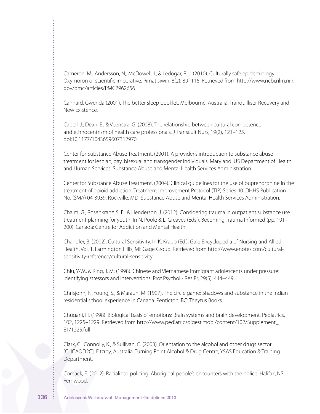Cameron, M., Andersson, N,. McDowell, I., & Ledogar, R. J. (2010). Culturally safe epidemiology: Oxymoron or scientific imperative. Pimatisiwin, 8(2): 89–116. Retrieved from http://www.ncbi.nlm.nih. gov/pmc/articles/PMC2962656

Cannard, Gwenda (2001). The better sleep booklet. Melbourne, Australia: Tranquilliser Recovery and New Existence.

Capell, J., Dean, E., & Veenstra, G. (2008). The relationship between cultural competence and ethnocentrism of health care professionals. J Transcult Nurs, 19(2), 121–125. doi:10.1177/1043659607312970

Center for Substance Abuse Treatment. (2001). A provider's introduction to substance abuse treatment for lesbian, gay, bisexual and transgender individuals. Maryland: US Department of Health and Human Services, Substance Abuse and Mental Health Services Administration.

Center for Substance Abuse Treatment. (2004). Clinical guidelines for the use of buprenorphine in the treatment of opioid addiction. Treatment Improvement Protocol (TIP) Series 40. DHHS Publication No. (SMA) 04-3939. Rockville, MD: Substance Abuse and Mental Health Services Administration.

Chaim, G., Rosenkranz, S. E., & Henderson, J. (2012). Considering trauma in outpatient substance use treatment planning for youth. In N. Poole & L. Greaves (Eds.), Becoming Trauma Informed (pp. 191– 200). Canada: Centre for Addiction and Mental Health.

Chandler, B. (2002). Cultural Sensitivity. In K. Krapp (Ed.), Gale Encyclopedia of Nursing and Allied Health, Vol. 1. Farmington Hills, MI: Gage Group. Retrieved from http://www.enotes.com/culturalsensitivity-reference/cultural-sensitivity

Chiu, Y-W., & Ring, J. M. (1998). Chinese and Vietnamese immigrant adolescents under pressure: Identifying stressors and interventions. Prof Psychol - Res Pr, 29(5), 444–449.

Chrisjohn, R., Young, S., & Maraun, M. (1997). The circle game: Shadows and substance in the Indian residential school experience in Canada. Penticton, BC: Theytus Books.

Chugani, H. (1998). Biological basis of emotions: Brain systems and brain development. Pediatrics, 102, 1225–1229. Retrieved from http://www.pediatricsdigest.mobi/content/102/Supplement\_ E1/1225.full

Clark, C., Connolly, K., & Sullivan, C. (2003). Orientation to the alcohol and other drugs sector [CHCAOD2C]. Fitzroy, Australia: Turning Point Alcohol & Drug Centre, YSAS Education & Training Department.

Comack, E. (2012). Racialized policing: Aboriginal people's encounters with the police. Halifax, NS: Fernwood.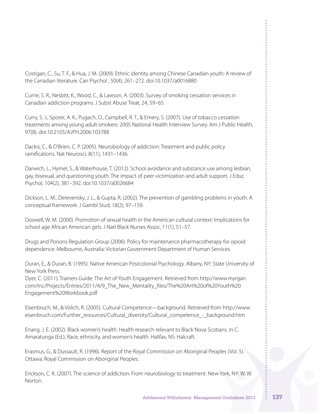Costigan, C., Su, T. F., & Hua, J. M. (2009). Ethnic identity among Chinese Canadian youth: A review of the Canadian literature. Can Psychol , 50(4), 261–272. doi:10.1037/a0016880

Currie, S. R., Nesbitt, K., Wood, C., & Lawson, A. (2003). Survey of smoking cessation services in Canadian addiction programs. J Subst Abuse Treat, 24, 59–65.

Curry, S. J., Sporer, A. K., Pugach, O., Campbell, R. T., & Emery, S. (2007). Use of tobacco cessation treatments among young adult smokers: 2005 National Health Interview Survey. Am J Public Health, 97(8). doi:10.2105/AJPH.2006.103788

Dackis, C., & O'Brien, C. P. (2005). Neurobiology of addiction: Treatment and public policy ramifications. Nat Neurosci, 8(11), 1431–1436.

Darwich, L., Hymel, S., & Waterhouse, T. (2012). School avoidance and substance use among lesbian, gay, bisexual, and questioning youth: The impact of peer victimization and adult support. J Educ Psychol, 104(2), 381–392. doi:10.1037/a0026684

Dickson, L. M., Derevensky, J. L., & Gupta, R. (2002). The prevention of gambling problems in youth: A conceptual framework. J Gambl Stud, 18(2), 97–159.

Doswell, W. M. (2000). Promotion of sexual health in the American cultural context: Implications for school age African American girls. J Natl Black Nurses Assoc, 11(1), 51–57.

Drugs and Poisons Regulation Group (2006). Policy for maintenance pharmacotherapy for opioid dependence. Melbourne, Australia: Victorian Government Department of Human Services.

Duran, E., & Duran, B. (1995). Native American Postcolonial Psychology. Albany, NY: State University of New York Press.

Dyer, C. (2011). Trainers Guide: The Art of Youth Engagement. Retrieved from http://www.myrgan. com/Inc/Projects/Entries/2011/4/9\_The\_New\_Mentality\_files/The%20Art%20of%20Youth%20 Engagement%20Workbook.pdf

Eisenbruch, M., & Volich, R. (2005). Cultural Competence—background. Retrieved from http://www. eisenbruch.com/Further\_resources/Cultural\_diversity/Cultural\_competence\_-\_background.htm

Enang, J. E. (2002). Black women's health: Health research relevant to Black Nova Scotians. In C. Amaratunga (Ed.), Race, ethnicity, and women's health. Halifax, NS: Halcraft.

Erasmus, G., & Dussault, R. (1996). Report of the Royal Commission on Aboriginal Peoples (Vol. 5). Ottawa: Royal Commission on Aboriginal Peoples.

Erickson, C. K. (2007). The science of addiction: From neurobiology to treatment. New York, NY: W. W. Norton.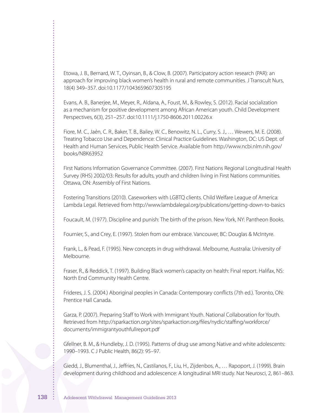Etowa, J. B., Bernard, W. T., Oyinsan, B., & Clow, B. (2007). Participatory action research (PAR): an approach for improving black women's health in rural and remote communities. J Transcult Nurs, 18(4) 349–357. doi:10.1177/1043659607305195

Evans, A. B., Banerjee, M., Meyer, R., Aldana, A., Foust, M., & Rowley, S. (2012). Racial socialization as a mechanism for positive development among African American youth. Child Development Perspectives, 6(3), 251–257. doi:10.1111/j.1750-8606.2011.00226.x

Fiore, M. C., Jaén, C. R., Baker, T. B., Bailey, W. C., Benowitz, N. L., Curry, S. J., … Wewers, M. E. (2008). Treating Tobacco Use and Dependence: Clinical Practice Guidelines. Washington, DC: US Dept. of Health and Human Services, Public Health Service. Available from http://www.ncbi.nlm.nih.gov/ books/NBK63952

First Nations Information Governance Committee. (2007). First Nations Regional Longitudinal Health Survey (RHS) 2002/03: Results for adults, youth and children living in First Nations communities. Ottawa, ON: Assembly of First Nations.

Fostering Transitions (2010). Caseworkers with LGBTQ clients. Child Welfare League of America: Lambda Legal. Retrieved from http://www.lambdalegal.org/publications/getting-down-to-basics

Foucault, M. (1977). Discipline and punish: The birth of the prison. New York, NY: Pantheon Books.

Fournier, S., and Crey, E. (1997). Stolen from our embrace. Vancouver, BC: Douglas & McIntyre.

Frank, L., & Pead, F. (1995). New concepts in drug withdrawal. Melbourne, Australia: University of Melbourne.

Fraser, R., & Reddick, T. (1997). Building Black women's capacity on health: Final report. Halifax, NS: North End Community Health Centre.

Frideres, J. S. (2004.) Aboriginal peoples in Canada: Contemporary conflicts (7th ed.). Toronto, ON: Prentice Hall Canada.

Garza, P. (2007). Preparing Staff to Work with Immigrant Youth. National Collaboration for Youth. Retrieved from http://sparkaction.org/sites/sparkaction.org/files/nydic/staffing/workforce/ documents/immigrantyouthfullreport.pdf

Gfellner, B. M., & Hundleby, J. D. (1995). Patterns of drug use among Native and white adolescents: 1990–1993. C J Public Health, 86(2): 95–97.

Giedd, J., Blumenthal, J., Jeffries, N., Castilanos, F., Liu, H., Zijdenbos, A., … Rapoport, J. (1999). Brain development during childhood and adolescence: A longitudinal MRI study. Nat Neurosci, 2, 861–863.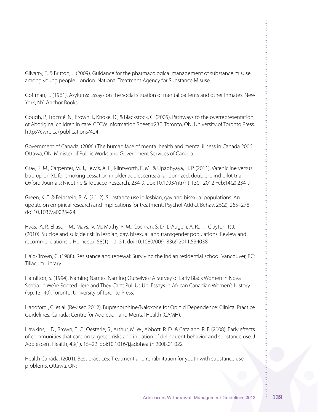Gilvarry, E. & Britton, J. (2009). Guidance for the pharmacological management of substance misuse among young people. London: National Treatment Agency for Substance Misuse.

Goffman, E. (1961). Asylums: Essays on the social situation of mental patients and other inmates. New York, NY: Anchor Books.

Gough, P., Trocmé, N., Brown, I., Knoke, D., & Blackstock, C. (2005). Pathways to the overrepresentation of Aboriginal children in care. CECW Information Sheet #23E. Toronto, ON: University of Toronto Press. http://cwrp.ca/publications/424

Government of Canada. (2006.) The human face of mental health and mental illness in Canada 2006. Ottawa, ON: Minister of Public Works and Government Services of Canada.

Gray, K. M., Carpenter, M. J., Lewis, A. L., Klintworth, E. M., & Upadhyaya, H. P. (2011). Varenicline versus bupropion XL for smoking cessation in older adolescents: a randomized, double-blind pilot trial. Oxford Journals: Nicotine & Tobacco Research, 234-9. doi: 10.1093/ntr/ntr130. 2012 Feb;14(2):234-9

Green, K. E. & Feinstein, B. A. (2012). Substance use in lesbian, gay and bisexual populations: An update on empirical research and implications for treatment. Psychol Addict Behav, 26(2), 265–278. doi:10.1037/a0025424

Haas, A. P., Eliason, M., Mays, V. M., Mathy, R. M., Cochran, S. D., D'Augelli, A. R., … Clayton, P. J. (2010). Suicide and suicide risk in lesbian, gay, bisexual, and transgender populations: Review and recommendations. J Homosex, 58(1), 10–51. doi:10.1080/00918369.2011.534038

Haig-Brown, C. (1988). Resistance and renewal: Surviving the Indian residential school. Vancouver, BC: Tillacum Library.

Hamilton, S. (1994). Naming Names, Naming Ourselves: A Survey of Early Black Women in Nova Scotia. In We're Rooted Here and They Can't Pull Us Up: Essays in African Canadian Women's History (pp. 13–40). Toronto: University of Toronto Press.

Handford , C. et al. (Revised 2012). Buprenorphine/Naloxone for Opioid Dependence: Clinical Practice Guidelines. Canada: Centre for Addiction and Mental Health (CAMH).

Hawkins, J. D., Brown, E. C., Oesterle, S., Arthur, M. W., Abbott, R. D., & Catalano, R. F. (2008). Early effects of communities that care on targeted risks and initiation of delinquent behavior and substance use. J Adolescent Health, 43(1), 15–22. doi:10.1016/j.jadohealth.2008.01.022

Health Canada. (2001). Best practices: Treatment and rehabilitation for youth with substance use problems. Ottawa, ON: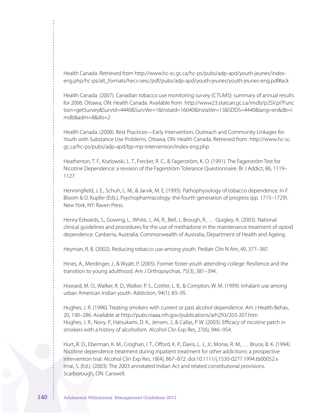Health Canada. Retrieved from http://www.hc-sc.gc.ca/hc-ps/pubs/adp-apd/youth-jeunes/indexeng.php/hc-ps/alt\_formats/hecs-sesc/pdf/pubs/adp-apd/youth-jeunes/youth-jeunes-eng.pdf#ack

Health Canada. (2007). Canadian tobacco use monitoring survey (CTUMS): summary of annual results for 2006. Ottawa, ON: Health Canada. Available from http://www23.statcan.gc.ca/imdb/p2SV.pl?Func tion=getSurvey&SurvId=4440&SurvVer=1&InstaId=16040&InstaVer=13&SDDS=4440&lang=en&db=i mdb&adm=8&dis=2

Health Canada. (2008). Best Practices—Early Intervention, Outreach and Community Linkages for Youth with Substance Use Problems. Ottawa, ON: Health Canada. Retrieved from http://www.hc-sc. gc.ca/hc-ps/pubs/adp-apd/bp-mp-intervention/index-eng.php

Heatherton, T. F., Kozlowski, L. T., Frecker, R. C., & Fagerström, K. O. (1991). The Fagerström Test for Nicotine Dependence: a revision of the Fagerström Tolerance Questionnaire. Br J Addict, 86, 1119– 1127.

Henningfield, J. E., Schuh, L. M., & Jarvik, M. E. (1995). Pathophysiology of tobacco dependence. In F. Bloom & D. Kupfer (Eds.), Psychopharmacology: the fourth generation of progress (pp. 1715–1729). New York, NY: Raven Press.

Henry-Edwards, S., Gowing, L., White, J., Ali, R., Bell, J., Brough, R., … Quigley, A. (2003). National clinical guidelines and procedures for the use of methadone in the maintenance treatment of opioid dependence. Canberra, Australia: Commonwealth of Australia, Department of Health and Ageing.

Heyman, R. B. (2002). Reducing tobacco use among youth. Pediatr Clin N Am, 49, 377–387.

Hines, A., Merdinger, J., & Wyatt, P. (2005). Former foster youth attending college: Resilience and the transition to young adulthood. Am J Orthopsychiat, 75(3), 381–394.

Howard, M. O., Walker, R. D., Walker, P. S., Cottler, L. B., & Compton, W. M. (1999). Inhalant use among urban American Indian youth. Addiction, 94(1): 83–95.

Hughes, J. R. (1996). Treating smokers with current or past alcohol dependence. Am J Health Behav, 20, 190–286. Available at http://pubs.niaaa.nih.gov/publications/arh293/203-207.htm Hughes, J. R., Novy, P., Hatsukami, D. K., Jensen, J., & Callas, P. W. (2003). Efficacy of nicotine patch in smokers with a history of alcoholism. Alcohol Clin Exp Res, 27(6), 946–954.

Hurt, R. D., Eberman, K. M., Croghan, I. T., Offord, K. P., Davis, L. J., Jr., Morse, R. M., … Bruce, B. K. (1994). Nicotine dependence treatment during inpatient treatment for other addictions: a prospective intervention trial. Alcohol Clin Exp Res, 18(4), 867–872. doi:10.1111/j.1530-0277.1994.tb00052.x Imai, S. (Ed.). (2003). The 2003 annotated Indian Act and related constitutional provisions. Scarborough, ON: Carswell.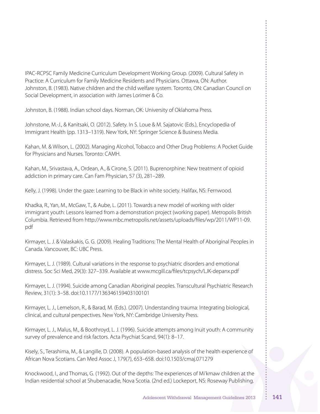IPAC-RCPSC Family Medicine Curriculum Development Working Group. (2009). Cultural Safety in Practice: A Curriculum for Family Medicine Residents and Physicians. Ottawa, ON: Author. Johnston, B. (1983). Native children and the child welfare system. Toronto, ON: Canadian Council on Social Development, in association with James Lorimer & Co.

Johnston, B. (1988). Indian school days. Norman, OK: University of Oklahoma Press.

Johnstone, M.-J., & Kanitsaki, O. (2012). Safety. In S. Loue & M. Sajatovic (Eds.), Encyclopedia of Immigrant Health (pp. 1313–1319). New York, NY: Springer Science & Business Media.

Kahan, M. & Wilson, L. (2002). Managing Alcohol, Tobacco and Other Drug Problems: A Pocket Guide for Physicians and Nurses. Toronto: CAMH.

Kahan, M., Srivastava, A., Ordean, A., & Cirone, S. (2011). Buprenorphine: New treatment of opioid addiction in primary care. Can Fam Physician, 57 (3), 281–289.

Kelly, J. (1998). Under the gaze: Learning to be Black in white society. Halifax, NS: Fernwood.

Khadka, R., Yan, M., McGaw, T., & Aube, L. (2011). Towards a new model of working with older immigrant youth: Lessons learned from a demonstration project (working paper). Metropolis British Columbia. Retrieved from http://www.mbc.metropolis.net/assets/uploads/files/wp/2011/WP11-09. pdf

Kirmayer, L. J. & Valaskakis, G. G. (2009). Healing Traditions: The Mental Health of Aboriginal Peoples in Canada. Vancouver, BC: UBC Press.

Kirmayer, L. J. (1989). Cultural variations in the response to psychiatric disorders and emotional distress. Soc Sci Med, 29(3): 327–339. Available at www.mcgill.ca/files/tcpsych/LJK-depanx.pdf

Kirmayer, L. J. (1994). Suicide among Canadian Aboriginal peoples. Transcultural Psychiatric Research Review, 31(1): 3–58. doi:10.1177/136346159403100101

Kirmayer, L. J., Lemelson, R., & Barad, M. (Eds.). (2007). Understanding trauma: Integrating biological, clinical, and cultural perspectives. New York, NY: Cambridge University Press.

Kirmayer, L. J., Malus, M., & Boothroyd, L. J. (1996). Suicide attempts among Inuit youth: A community survey of prevalence and risk factors. Acta Psychiat Scand, 94(1): 8–17.

Kisely, S., Terashima, M., & Langille, D. (2008). A population-based analysis of the health experience of African Nova Scotians. Can Med Assoc J, 179(7), 653–658. doi:10.1503/cmaj.071279

Knockwood, I., and Thomas, G. (1992). Out of the depths: The experiences of Mi'kmaw children at the Indian residential school at Shubenacadie, Nova Scotia. (2nd ed.) Lockeport, NS: Roseway Publishing.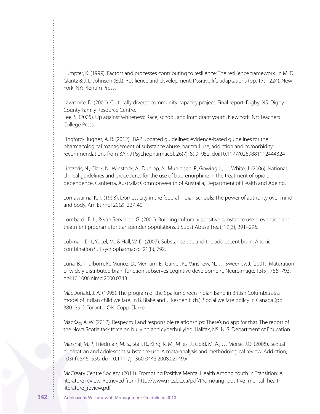Kumpfer, K. (1999). Factors and processes contributing to resilience: The resilience framework. In M. D. Glantz & J. L. Johnson (Ed.), Resilience and development: Positive life adaptations (pp. 179–224). New York, NY: Plenum Press.

Lawrence, D. (2000). Culturally diverse community capacity project: Final report. Digby, NS: Digby County Family Resource Centre.

Lee, S. (2005). Up against whiteness: Race, school, and immigrant youth. New York, NY: Teachers College Press.

Lingford-Hughes, A. R. (2012). BAP updated guidelines: evidence-based guidelines for the pharmacological management of substance abuse, harmful use, addiction and comorbidity: recommendations from BAP. J Psychopharmacol, 26(7): 899–952. doi:10.1177/0269881112444324

Lintzeris, N., Clark, N., Winstock, A., Dunlop, A., Muhleisen, P., Gowing L., … White, J. (2006). National clinical guidelines and procedures for the use of buprenorphine in the treatment of opioid dependence. Canberra, Australia: Commonwealth of Australia, Department of Health and Ageing.

Lomawaima, K. T. (1993). Domesticity in the federal Indian schools: The power of authority over mind and body. Am Ethnol 20(2): 227-40.

Lombardi, E. L., & van Servellen, G. (2000). Building culturally sensitive substance use prevention and treatment programs for transgender populations. J Subst Abuse Treat, 19(3), 291–296.

Lubman, D. I., Yucel, M., & Hall, W. D. (2007). Substance use and the adolescent brain: A toxic combination? J Psychopharmacol, 21(8), 792.

Luna, B., Thulborn, K., Munoz, D., Merriam, E., Garver, K., Minshew, N., … Sweeney, J. (2001). Maturation of widely distributed brain function subserves cognitive development, Neuroimage, 13(5): 786–793. doi:10.1006:nimg.2000.0743

MacDonald, J. A. (1995). The program of the Spallumcheen Indian Band in British Columbia as a model of Indian child welfare. In B. Blake and J. Keshen (Eds.), Social welfare policy in Canada (pp. 380–391). Toronto, ON: Copp Clarke.

MacKay, A. W. (2012). Respectful and responsible relationships: There's no app for that. The report of the Nova Scotia task force on bullying and cyberbullying. Halifax, NS: N. S. Department of Education.

Marshal, M. P., Friedman, M. S., Stall, R., King, K. M., Miles, J., Gold, M. A., … Morse, J.Q. (2008). Sexual orientation and adolescent substance use: A meta-analysis and methodological review. Addiction, 103(4), 546–556. doi:10.1111/j.1360-0443.2008.02149.x

McCreary Centre Society. (2011). Promoting Positive Mental Health Among Youth in Transition: A literature review. Retrieved from http://www.mcs.bc.ca/pdf/Promoting\_positive\_mental\_health\_ literature\_review.pdf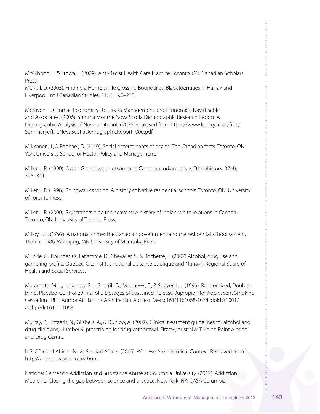McGibbon, E. & Etowa, J. (2009). Anti-Racist Health Care Practice. Toronto, ON: Canadian Scholars' Press.

McNeil, D. (2005). Finding a Home while Crossing Boundaries: Black Identities in Halifax and Liverpool. Int J Canadian Studies, 31(1), 197–235.

McNiven, J., Canmac Economics Ltd., Jozsa Management and Economics, David Sable and Associates. (2006). Summary of the Nova Scotia Demographic Research Report: A Demographic Analysis of Nova Scotia into 2026. Retrieved from https://www.library.ns.ca/files/ SummaryoftheNovaScotiaDemographicReport\_000.pdf

Mikkonen, J., & Raphael, D. (2010). Social determinants of health: The Canadian facts. Toronto, ON: York University School of Health Policy and Management.

Miller, J. R. (1990). Owen Glendower, Hotspur, and Canadian Indian policy. Ethnohistory, 37(4): 325–341.

Miller, J. R. (1996). Shingwauk's vision: A history of Native residential schools. Toronto, ON: University of Toronto Press.

Miller, J. R. (2000). Skyscrapers hide the heavens: A history of Indian-white relations in Canada. Toronto, ON: University of Toronto Press.

Milloy, J. S. (1999). A national crime: The Canadian government and the residential school system, 1879 to 1986. Winnipeg, MB: University of Manitoba Press.

Muckle, G., Boucher, O., Laflamme, D., Chevalier, S., & Rochette, L. (2007) Alcohol, drug use and gambling profile. Quebec, QC: Institut national de santé publique and Nunavik Regional Board of Health and Social Services.

Muramoto, M. L., Leischow, S. J., Sherrill, D., Matthews, E., & Strayer, L. J. (1999). Randomized, Doubleblind, Placebo-Controlled Trial of 2 Dosages of Sustained-Release Bupropion for Adolescent Smoking Cessation FREE. Author Affiliations Arch Pediatr Adolesc Med.; 161(11):1068-1074. doi:10.1001/ archpedi.161.11.1068

Murray, P., Lintzeris, N., Gijsbers, A., & Dunlop, A. (2002). Clinical treatment guidelines for alcohol and drug clinicians, Number 9: prescribing for drug withdrawal. Fitzroy, Australia: Turning Point Alcohol and Drug Centre.

N.S. Office of African Nova Scotian Affairs. (2005). Who We Are: Historical Context. Retrieved from http://ansa.novascotia.ca/about

National Center on Addiction and Substance Abuse at Columbia University. (2012). Addiction Medicine: Closing the gap between science and practice. New York, NY: CASA Columbia.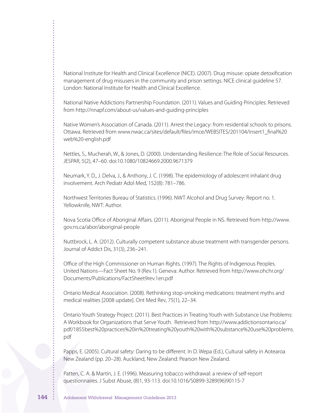National Institute for Health and Clinical Excellence (NICE). (2007). Drug misuse: opiate detoxification management of drug misusers in the community and prison settings. NICE clinical guideline 57. London: National Institute for Health and Clinical Excellence.

National Native Addictions Partnership Foundation. (2011). Values and Guiding Principles. Retrieved from http://nnapf.com/about-us/values-and-guiding-principles

Native Women's Association of Canada. (2011). Arrest the Legacy: from residential schools to prisons. Ottawa. Retrieved from www.nwac.ca/sites/default/files/imce/WEBSITES/201104/insert1\_final%20 web%20-english.pdf

Nettles, S., Mucherah, W., & Jones, D. (2000). Understanding Resilience: The Role of Social Resources. JESPAR, 5(2), 47–60. doi:10.1080/10824669.2000.9671379

Neumark, Y. D., J. Delva, J., & Anthony, J. C. (1998). The epidemiology of adolescent inhalant drug involvement. Arch Pediatr Adol Med, 152(8): 781–786.

Northwest Territories Bureau of Statistics. (1996). NWT Alcohol and Drug Survey: Report no. 1. Yellowknife, NWT: Author.

Nova Scotia Office of Aboriginal Affairs. (2011). Aboriginal People in NS. Retrieved from http://www. gov.ns.ca/abor/aboriginal-people

Nuttbrock, L. A. (2012). Culturally competent substance abuse treatment with transgender persons. Journal of Addict Dis, 31(3), 236–241.

Office of the High Commissioner on Human Rights. (1997). The Rights of Indigenous Peoples. United Nations—Fact Sheet No. 9 (Rev.1). Geneva: Author. Retrieved from http://www.ohchr.org/ Documents/Publications/FactSheet9rev.1en.pdf

Ontario Medical Association. (2008). Rethinking stop-smoking medications: treatment myths and medical realities [2008 update]. Ont Med Rev, 75(1), 22–34.

Ontario Youth Strategy Project. (2011). Best Practices in Treating Youth with Substance Use Problems: A Workbook for Organizations that Serve Youth. Retrieved from http://www.addictionsontario.ca/ pdf/1855best%20practices%20in%20treating%20youth%20with%20substance%20use%20problems. pdf

Papps, E. (2005). Cultural safety: Daring to be different. In D. Wepa (Ed.), Cultural safety in Aotearoa New Zealand (pp. 20–28). Auckland, New Zealand: Pearson New Zealand.

Patten, C. A. & Martin, J. E. (1996). Measuring tobacco withdrawal: a review of self-report questionnaires. J Subst Abuse, (8)1, 93-113. doi:10.1016/S0899-3289(96)90115-7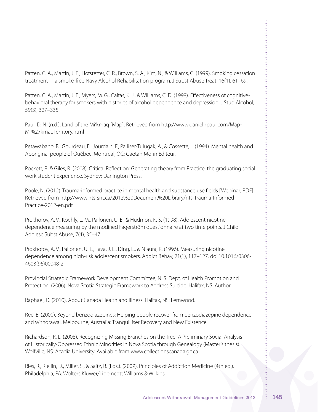Patten, C. A., Martin, J. E., Hofstetter, C. R., Brown, S. A., Kim, N., & Williams, C. (1999). Smoking cessation treatment in a smoke-free Navy Alcohol Rehabilitation program. J Subst Abuse Treat, 16(1), 61–69.

Patten, C. A., Martin, J. E., Myers, M. G., Calfas, K. J., & Williams, C. D. (1998). Effectiveness of cognitivebehavioral therapy for smokers with histories of alcohol dependence and depression. J Stud Alcohol, 59(3), 327–335.

Paul, D. N. (n.d.). Land of the Mi'kmaq [Map]. Retrieved from http://www.danielnpaul.com/Map-Mi%27kmaqTerritory.html

Petawabano, B., Gourdeau, E., Jourdain, F., Palliser-Tulugak, A., & Cossette, J. (1994). Mental health and Aboriginal people of Québec. Montreal, QC: Gaëtan Morin Éditeur.

Pockett, R. & Giles, R. (2008). Critical Reflection: Generating theory from Practice: the graduating social work student experience. Sydney: Darlington Press.

Poole, N. (2012). Trauma-informed practice in mental health and substance use fields [Webinar; PDF]. Retrieved from http://www.nts-snt.ca/2012%20Document%20Library/nts-Trauma-Informed-Practice-2012-en.pdf

Prokhorov, A. V., Koehly, L. M., Pallonen, U. E., & Hudmon, K. S. (1998). Adolescent nicotine dependence measuring by the modified Fagerström questionnaire at two time points. J Child Adolesc Subst Abuse, 7(4), 35–47.

Prokhorov, A. V., Pallonen, U. E., Fava, J. L., Ding, L., & Niaura, R. (1996). Measuring nicotine dependence among high-risk adolescent smokers. Addict Behav, 21(1), 117–127. doi:10.1016/0306- 4603(96)00048-2

Provincial Strategic Framework Development Committee, N. S. Dept. of Health Promotion and Protection. (2006). Nova Scotia Strategic Framework to Address Suicide. Halifax, NS: Author.

Raphael, D. (2010). About Canada Health and Illness. Halifax, NS: Fernwood.

Ree, E. (2000). Beyond benzodiazepines: Helping people recover from benzodiazepine dependence and withdrawal. Melbourne, Australia: Tranquilliser Recovery and New Existence.

Richardson, R. L. (2008). Recognizing Missing Branches on the Tree: A Preliminary Social Analysis of Historically-Oppressed Ethnic Minorities in Nova Scotia through Genealogy (Master's thesis). Wolfville, NS: Acadia University. Available from www.collectionscanada.gc.ca

Ries, R., Riellin, D., Miller, S., & Saitz, R. (Eds.). (2009). Principles of Addiction Medicine (4th ed.). Philadelphia, PA: Wolters Kluwer/Lippincott Williams & Wilkins.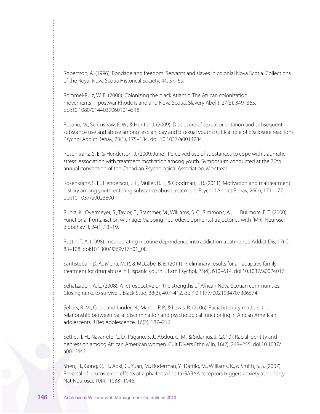Robertson, A. (1996). Bondage and freedom: Servants and slaves in colonial Nova Scotia. Collections of the Royal Nova Scotia Historical Society, 44, 57–69.

Rommel-Ruiz, W. B. (2006). Colonizing the black Atlantic: The African colonization movements in postwar Rhode Island and Nova Scotia. Slavery Abolit, 27(3), 349–365. doi:10.1080/01440390601014518

Rosario, M., Scrimshaw, E. W., & Hunter, J. (2009). Disclosure of sexual orientation and subsequent substance use and abuse among lesbian, gay and bisexual youths: Critical role of disclosure reactions. Psychol Addict Behav, 23(1), 175–184. doi: 10.1037/a0014284

Rosenkranz, S. E. & Henderson, J. (2009, June). Perceived use of substances to cope with traumatic stress: Association with treatment motivation among youth. Symposium conducted at the 70th annual convention of the Canadian Psychological Association, Montreal.

Rosenkranz, S. E., Henderson, J. L., Muller, R. T., & Goodman, I. R. (2011). Motivation and maltreatment history among youth entering substance abuse treatment. Psychol Addict Behav, 26(1), 171–177. doi:10.1037/a0023800

Rubia, K., Overmeyer, S., Taylor, E., Brammer, M., Williams, S. C., Simmons, A., … Bullmore, E. T. (2000). Functional frontalisation with age: Mapping neurodevelopmental trajectories with fMRI. Neurosci Biobehav R, 24(1),13–19.

Rustin, T. A. (1998). Incorporating nicotine dependence into addiction treatment. J Addict Dis, 17(1), 83–108. doi:10.1300/J069v17n01\_08

Santisteban, D. A., Mena, M. P., & McCabe, B. E. (2011). Preliminary results for an adaptive family treatment for drug abuse in Hispanic youth. J Fam Psychol, 25(4), 610–614. doi:10.1037/a0024016

Sehatzadeh, A. L. (2008). A retrospective on the strengths of African Nova Scotian communities: Closing ranks to survive. J Black Stud, 38(3), 407–412. doi:10.1177/0021934707306574

Sellers, R. M., Copeland-Linder, N., Martin, P. P., & Lewis, R. (2006). Racial identity matters: the relationship between racial discrimination and psychological functioning in African American adolescents. J Res Adolescence, 16(2), 187–216.

Settles, I. H., Navarrete, C. D., Pagano, S. J., Abdou, C. M., & Sidanius, J. (2010). Racial identity and depression among African American women. Cult Divers Ethn Min, 16(2), 248–255. doi:10.1037/ a0016442

Shen, H., Gong, Q. H., Aoki, C., Yuan, M., Ruderman, Y., Dattilo, M., Williams, K., & Smith, S. S. (2007). Reversal of neurosteroid effects at alpha4beta2delta GABAA receptors triggers anxiety at puberty. Nat Neurosci, 10(4), 1038–1046.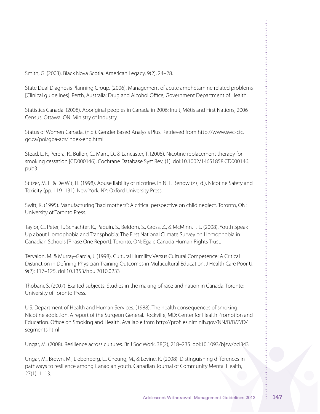Smith, G. (2003). Black Nova Scotia. American Legacy, 9(2), 24–28.

State Dual Diagnosis Planning Group. (2006). Management of acute amphetamine related problems [Clinical guidelines]. Perth, Australia: Drug and Alcohol Office, Government Department of Health.

Statistics Canada. (2008). Aboriginal peoples in Canada in 2006: Inuit, Métis and First Nations, 2006 Census. Ottawa, ON: Ministry of Industry.

Status of Women Canada. (n.d.). Gender Based Analysis Plus. Retrieved from http://www.swc-cfc. gc.ca/pol/gba-acs/index-eng.html

Stead, L. F., Perera, R., Bullen, C., Mant, D., & Lancaster, T. (2008). Nicotine replacement therapy for smoking cessation [CD000146]. Cochrane Database Syst Rev, (1). doi:10.1002/14651858.CD000146. pub3

Stitzer, M. L. & De Wit, H. (1998). Abuse liability of nicotine. In N. L. Benowitz (Ed.), Nicotine Safety and Toxicity (pp. 119–131). New York, NY: Oxford University Press.

Swift, K. (1995). Manufacturing"bad mothers": A critical perspective on child neglect. Toronto, ON: University of Toronto Press.

Taylor, C., Peter, T., Schachter, K., Paquin, S., Beldom, S., Gross, Z., & McMinn, T. L. (2008). Youth Speak Up about Homophobia and Transphobia: The First National Climate Survey on Homophobia in Canadian Schools [Phase One Report]. Toronto, ON: Egale Canada Human Rights Trust.

Tervalon, M. & Murray-Garcia, J. (1998). Cultural Humility Versus Cultural Competence: A Critical Distinction in Defining Physician Training Outcomes in Multicultural Education. J Health Care Poor U, 9(2): 117–125. doi:10.1353/hpu.2010.0233

Thobani, S. (2007). Exalted subjects: Studies in the making of race and nation in Canada. Toronto: University of Toronto Press.

U.S. Department of Health and Human Services. (1988). The health consequences of smoking: Nicotine addiction. A report of the Surgeon General. Rockville, MD: Center for Health Promotion and Education. Office on Smoking and Health. Available from http://profiles.nlm.nih.gov/NN/B/B/Z/D/ segments.html

Ungar, M. (2008). Resilience across cultures. Br J Soc Work, 38(2), 218–235. doi:10.1093/bjsw/bcl343

Ungar, M., Brown, M., Liebenberg, L., Cheung, M., & Levine, K. (2008). Distinguishing differences in pathways to resilience among Canadian youth. Canadian Journal of Community Mental Health, 27(1), 1–13.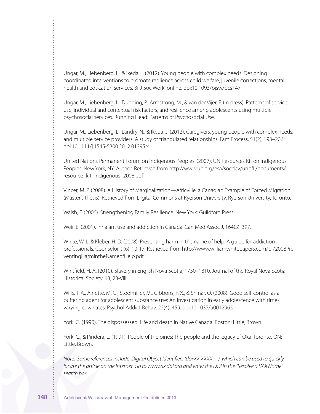Ungar, M., Liebenberg, L., & Ikeda, J. (2012). Young people with complex needs: Designing coordinated interventions to promote resilience across child welfare, juvenile corrections, mental health and education services. Br J Soc Work, online. doi:10.1093/bjsw/bcs147

Ungar, M., Liebenberg, L., Dudding, P., Armstrong, M., & van der Vijer, F. (In press). Patterns of service use, individual and contextual risk factors, and resilience among adolescents using multiple psychosocial services. Running Head: Patterns of Psychosocial Use.

Ungar, M., Liebenberg, L., Landry, N., & Ikeda, J. (2012). Caregivers, young people with complex needs, and multiple service providers: A study of triangulated relationships. Fam Process, 51(2), 193–206. doi:10.1111/j.1545-5300.2012.01395.x

United Nations Permanent Forum on Indigenous Peoples. (2007). UN Resources Kit on Indigenous Peoples. New York, NY: Author. Retrieved from http://www.un.org/esa/socdev/unpfii/documents/ resource\_kit\_indigenous\_2008.pdf

Vincer, M. P. (2008). A History of Marginalization—Africville: a Canadian Example of Forced Migration (Master's thesis). Retrieved from Digital Commons at Ryerson University. Ryerson University, Toronto.

Walsh, F. (2006). Strengthening Family Resilience. New York: Guildford Press.

Weir, E. (2001). Inhalant use and addiction in Canada. Can Med Assoc J, 164(3): 397.

White, W. L. & Kleber, H. D. (2008). Preventing harm in the name of help: A guide for addiction professionals. Counselor, 9(6), 10-17. Retrieved from http://www.williamwhitepapers.com/pr/2008Pre ventingHarmintheNameofHelp.pdf

Whitfield, H. A. (2010). Slavery in English Nova Scotia, 1750–1810. Journal of the Royal Nova Scotia Historical Society, 13, 23-VIII.

Wills, T. A., Ainette, M. G., Stoolmiller, M., Gibbons, F. X., & Shinar, O. (2008). Good self-control as a buffering agent for adolescent substance use: An investigation in early adolescence with timevarying covariates. Psychol Addict Behav, 22(4), 459. doi:10.1037/a0012965

York, G. (1990). The dispossessed: Life and death in Native Canada. Boston: Little, Brown.

York, G., & Pindera, L. (1991). People of the pines: The people and the legacy of Oka. Toronto, ON: Little, Brown.

*Note: Some references include Digital Object Identifiers (doi:XX.XXXX…), which can be used to quickly locate the article on the Internet. Go to www.dx.doi.org and enter the DOI in the "Resolve a DOI Name" search box.*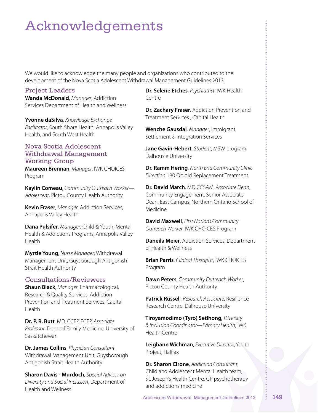# Acknowledgements

We would like to acknowledge the many people and organizations who contributed to the development of the Nova Scotia Adolescent Withdrawal Management Guidelines 2013:

#### Project Leaders

**Wanda McDonald**, *Manager*, Addiction Services Department of Health and Wellness

**Yvonne daSilva**, *Knowledge Exchange Facilitator*, South Shore Health, Annapolis Valley Health, and South West Health

#### Nova Scotia Adolescent Withdrawal Management Working Group

**Maureen Brennan**, *Manager*, IWK CHOICES Program

**Kaylin Comeau**, *Community Outreach Worker— Adolescent*, Pictou County Health Authority

**Kevin Fraser**, *Manager*, Addiction Services, Annapolis Valley Health

**Dana Pulsifer**, *Manager*, Child & Youth, Mental Health & Addictions Programs, Annapolis Valley Health

**Myrtle Young**, *Nurse Manager*, Withdrawal Management Unit, Guysborough Antigonish Strait Health Authority

#### Consultations/Reviewers

**Shaun Black**, *Manager*, Pharmacological, Research & Quality Services, Addiction Prevention and Treatment Services, Capital Health

**Dr. P. R. Butt**, MD, CCFP, FCFP, *Associate Professor*, Dept. of Family Medicine, University of Saskatchewan

**Dr. James Collins**, *Physician Consultant*, Withdrawal Management Unit, Guysborough Antigonish Strait Health Authority

**Sharon Davis - Murdoch**, *Special Advisor on Diversity and Social Inclusion*, Department of Health and Wellness

**Dr. Selene Etches**, *Psychiatrist*, IWK Health Centre

**Dr. Zachary Fraser**, Addiction Prevention and Treatment Services , Capital Health

**Wenche Gausdal**, *Manager*, Immigrant Settlement & Integration Services

**Jane Gavin-Hebert**, *Student*, MSW program, Dalhousie University

**Dr. Ramm Hering**, *North End Community Clinic Direction* 180 Opioid Replacement Treatment

**Dr. David March**, MD CCSAM, *Associate Dean*, Community Engagement, Senior Associate Dean, East Campus, Northern Ontario School of Medicine

**David Maxwell**, *First Nations Community Outreach Worker*, IWK CHOICES Program

**Daneila Meier**, Addiction Services, Department of Health & Wellness

**Brian Parris**, *Clinical Therapist*, IWK CHOICES Program

**Dawn Peters**, *Community Outreach Worker*, Pictou County Health Authority

**Patrick Russel**l, *Research Associate*, Resilience Research Centre, Dalhouse University

**Tiroyamodimo (Tyro) Setlhong,** *Diversity & Inclusion Coordinator—Primary Health*, IWK Health Centre

**Leighann Wichman**, *Executive Director*, Youth Project, Halifax

**Dr. Sharon Cirone**, *Addiction Consultant*, Child and Adolescent Mental Health team, St. Joseph's Health Centre, GP psychotherapy and addictions medicine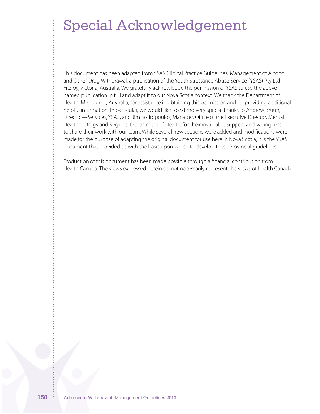## Special Acknowledgement

This document has been adapted from YSAS Clinical Practice Guidelines: Management of Alcohol and Other Drug Withdrawal, a publication of the Youth Substance Abuse Service (YSAS) Pty Ltd, Fitzroy, Victoria, Australia. We gratefully acknowledge the permission of YSAS to use the abovenamed publication in full and adapt it to our Nova Scotia context. We thank the Department of Health, Melbourne, Australia, for assistance in obtaining this permission and for providing additional helpful information. In particular, we would like to extend very special thanks to Andrew Bruun, Director—Services, YSAS, and Jim Sotiropoulos, Manager, Office of the Executive Director, Mental Health—Drugs and Regions, Department of Health, for their invaluable support and willingness to share their work with our team. While several new sections were added and modifications were made for the purpose of adapting the original document for use here in Nova Scotia, it is the YSAS document that provided us with the basis upon which to develop these Provincial guidelines.

Production of this document has been made possible through a financial contribution from Health Canada. The views expressed herein do not necessarily represent the views of Health Canada.